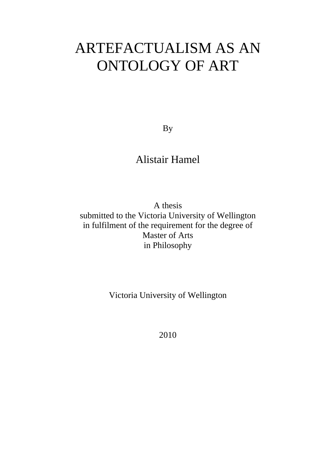# ARTEFACTUALISM AS AN ONTOLOGY OF ART

By

## Alistair Hamel

A thesis submitted to the Victoria University of Wellington in fulfilment of the requirement for the degree of Master of Arts in Philosophy

Victoria University of Wellington

2010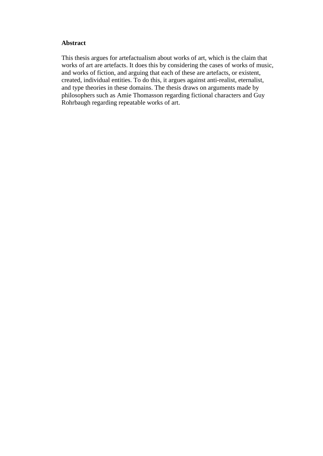#### **Abstract**

This thesis argues for artefactualism about works of art, which is the claim that works of art are artefacts. It does this by considering the cases of works of music, and works of fiction, and arguing that each of these are artefacts, or existent, created, individual entities. To do this, it argues against anti-realist, eternalist, and type theories in these domains. The thesis draws on arguments made by philosophers such as Amie Thomasson regarding fictional characters and Guy Rohrbaugh regarding repeatable works of art.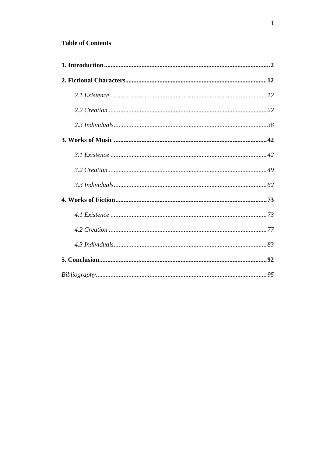### **Table of Contents**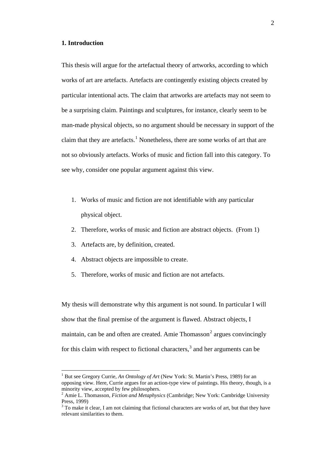#### <span id="page-3-0"></span>**1. Introduction**

This thesis will argue for the artefactual theory of artworks, according to which works of art are artefacts. Artefacts are contingently existing objects created by particular intentional acts. The claim that artworks are artefacts may not seem to be a surprising claim. Paintings and sculptures, for instance, clearly seem to be man-made physical objects, so no argument should be necessary in support of the claim that they are artefacts.<sup>[1](#page-3-1)</sup> Nonetheless, there are some works of art that are not so obviously artefacts. Works of music and fiction fall into this category. To see why, consider one popular argument against this view.

- 1. Works of music and fiction are not identifiable with any particular physical object.
- 2. Therefore, works of music and fiction are abstract objects. (From 1)
- 3. Artefacts are, by definition, created.
- 4. Abstract objects are impossible to create.
- 5. Therefore, works of music and fiction are not artefacts.

My thesis will demonstrate why this argument is not sound. In particular I will show that the final premise of the argument is flawed. Abstract objects, I maintain, can be and often are created. Amie Thomasson<sup>[2](#page-3-2)</sup> argues convincingly for this claim with respect to fictional characters,<sup>[3](#page-3-3)</sup> and her arguments can be

<span id="page-3-1"></span><sup>&</sup>lt;sup>1</sup> But see Gregory Currie, *An Ontology of Art* (New York: St. Martin's Press, 1989) for an opposing view. Here, Currie argues for an action-type view of paintings. His theory, though, is a minority view, accepted by few philosophers.

<span id="page-3-2"></span><sup>2</sup> Amie L. Thomasson, *Fiction and Metaphysics* (Cambridge; New York: Cambridge University Press, 1999)<br> $3$  To make it clear. I am not claiming that fictional characters are works of art, but that they have

<span id="page-3-3"></span>relevant similarities to them.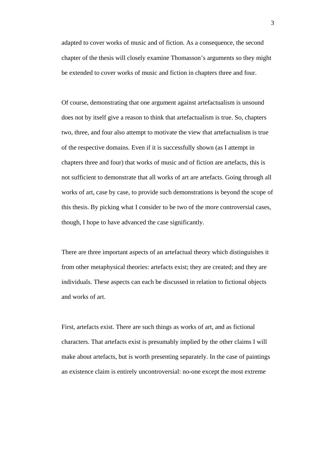adapted to cover works of music and of fiction. As a consequence, the second chapter of the thesis will closely examine Thomasson's arguments so they might be extended to cover works of music and fiction in chapters three and four.

Of course, demonstrating that one argument against artefactualism is unsound does not by itself give a reason to think that artefactualism is true. So, chapters two, three, and four also attempt to motivate the view that artefactualism is true of the respective domains. Even if it is successfully shown (as I attempt in chapters three and four) that works of music and of fiction are artefacts, this is not sufficient to demonstrate that all works of art are artefacts. Going through all works of art, case by case, to provide such demonstrations is beyond the scope of this thesis. By picking what I consider to be two of the more controversial cases, though, I hope to have advanced the case significantly.

There are three important aspects of an artefactual theory which distinguishes it from other metaphysical theories: artefacts exist; they are created; and they are individuals. These aspects can each be discussed in relation to fictional objects and works of art.

First, artefacts exist. There are such things as works of art, and as fictional characters. That artefacts exist is presumably implied by the other claims I will make about artefacts, but is worth presenting separately. In the case of paintings an existence claim is entirely uncontroversial: no-one except the most extreme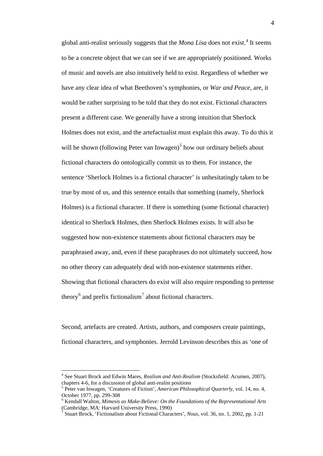global anti-realist seriously suggests that the *Mona Lisa* does not exist.[4](#page-5-0) It seems to be a concrete object that we can see if we are appropriately positioned. Works of music and novels are also intuitively held to exist. Regardless of whether we have any clear idea of what Beethoven's symphonies, or *War and Peace*, are, it would be rather surprising to be told that they do not exist. Fictional characters present a different case. We generally have a strong intuition that Sherlock Holmes does not exist, and the artefactualist must explain this away. To do this it will be shown (following Peter van Inwagen)<sup>[5](#page-5-1)</sup> how our ordinary beliefs about fictional characters do ontologically commit us to them. For instance, the sentence 'Sherlock Holmes is a fictional character' is unhesitatingly taken to be true by most of us, and this sentence entails that something (namely, Sherlock Holmes) is a fictional character. If there is something (some fictional character) identical to Sherlock Holmes, then Sherlock Holmes exists. It will also be suggested how non-existence statements about fictional characters may be paraphrased away, and, even if these paraphrases do not ultimately succeed, how no other theory can adequately deal with non-existence statements either. Showing that fictional characters do exist will also require responding to pretense theory<sup>[6](#page-5-2)</sup> and prefix fictionalism<sup>[7](#page-5-3)</sup> about fictional characters.

Second, artefacts are created. Artists, authors, and composers create paintings, fictional characters, and symphonies. Jerrold Levinson describes this as 'one of

<span id="page-5-0"></span> <sup>4</sup> See Stuart Brock and Edwin Mares, *Realism and Anti-Realism* (Stocksfield: Acumen, 2007), chapters 4-6, for a discussion of global anti-realist positions<br><sup>5</sup> Peter van Inwagen, 'Creatures of Fiction', *American Philosophical Quarterly*, vol. 14, no. 4,

<span id="page-5-1"></span>October 1977, pp. 299-308<br><sup>6</sup> Kendall Walton, *Mimesis as Make-Believe: On the Foundations of the Representational Arts* 

<span id="page-5-2"></span><sup>(</sup>Cambridge, MA: Harvard University Press, 1990)

<span id="page-5-3"></span><sup>7</sup> Stuart Brock, 'Fictionalism about Fictional Characters', *Nous*, vol. 36, no. 1, 2002, pp. 1-21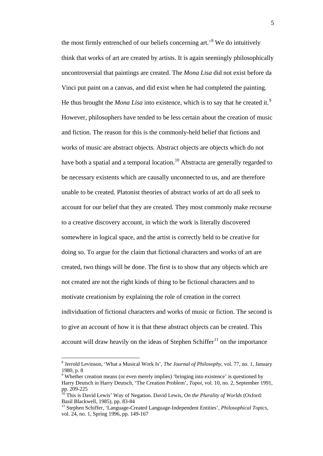the most firmly entrenched of our beliefs concerning  $art.^8$  $art.^8$ . We do intuitively think that works of art are created by artists. It is again seemingly philosophically uncontroversial that paintings are created. The *Mona Lisa* did not exist before da Vinci put paint on a canvas, and did exist when he had completed the painting. He thus brought the *Mona Lisa* into existence, which is to say that he created it.<sup>[9](#page-6-1)</sup> However, philosophers have tended to be less certain about the creation of music and fiction. The reason for this is the commonly-held belief that fictions and works of music are abstract objects. Abstract objects are objects which do not have both a spatial and a temporal location.<sup>[10](#page-6-2)</sup> Abstracta are generally regarded to be necessary existents which are causally unconnected to us, and are therefore unable to be created. Platonist theories of abstract works of art do all seek to account for our belief that they are created. They most commonly make recourse to a creative discovery account, in which the work is literally discovered somewhere in logical space, and the artist is correctly held to be creative for doing so. To argue for the claim that fictional characters and works of art are created, two things will be done. The first is to show that any objects which are not created are not the right kinds of thing to be fictional characters and to motivate creationism by explaining the role of creation in the correct individuation of fictional characters and works of music or fiction. The second is to give an account of how it is that these abstract objects can be created. This account will draw heavily on the ideas of Stephen Schiffer $11$  on the importance

<span id="page-6-0"></span> <sup>8</sup> Jerrold Levinson, 'What a Musical Work Is', *The Journal of Philosophy*, vol. 77, no. 1, January 1980, p. 8

<span id="page-6-1"></span><sup>&</sup>lt;sup>9</sup> Whether creation means (or even merely implies) 'bringing into existence' is questioned by Harry Deutsch in Harry Deutsch, 'The Creation Problem', *Topoi*, vol. 10, no. 2, September 1991,<br>pp. 209-225

<span id="page-6-2"></span><sup>&</sup>lt;sup>10</sup> This is David Lewis' Way of Negation. David Lewis, *On the Plurality of Worlds* (Oxford: Basil Blackwell. 1985). pp. 83-84

<span id="page-6-3"></span><sup>&</sup>lt;sup>11</sup> Stephen Schiffer, 'Language-Created Language-Independent Entities', *Philosophical Topics*, vol. 24, no. 1, Spring 1996, pp. 149-167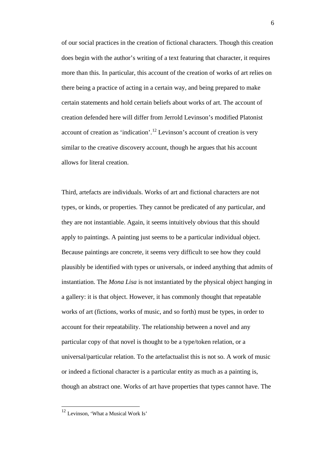of our social practices in the creation of fictional characters. Though this creation does begin with the author's writing of a text featuring that character, it requires more than this. In particular, this account of the creation of works of art relies on there being a practice of acting in a certain way, and being prepared to make certain statements and hold certain beliefs about works of art. The account of creation defended here will differ from Jerrold Levinson's modified Platonist account of creation as 'indication'.<sup>[12](#page-7-0)</sup> Levinson's account of creation is very similar to the creative discovery account, though he argues that his account allows for literal creation.

Third, artefacts are individuals. Works of art and fictional characters are not types, or kinds, or properties. They cannot be predicated of any particular, and they are not instantiable. Again, it seems intuitively obvious that this should apply to paintings. A painting just seems to be a particular individual object. Because paintings are concrete, it seems very difficult to see how they could plausibly be identified with types or universals, or indeed anything that admits of instantiation. The *Mona Lisa* is not instantiated by the physical object hanging in a gallery: it is that object. However, it has commonly thought that repeatable works of art (fictions, works of music, and so forth) must be types, in order to account for their repeatability. The relationship between a novel and any particular copy of that novel is thought to be a type/token relation, or a universal/particular relation. To the artefactualist this is not so. A work of music or indeed a fictional character is a particular entity as much as a painting is, though an abstract one. Works of art have properties that types cannot have. The

<span id="page-7-0"></span> <sup>12</sup> Levinson, 'What a Musical Work Is'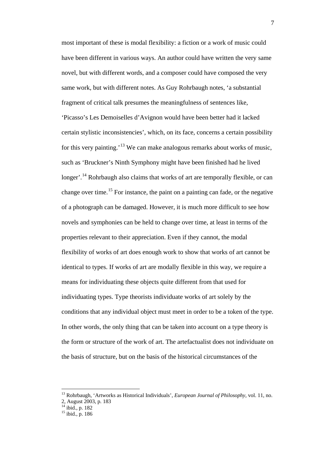most important of these is modal flexibility: a fiction or a work of music could have been different in various ways. An author could have written the very same novel, but with different words, and a composer could have composed the very same work, but with different notes. As Guy Rohrbaugh notes, 'a substantial fragment of critical talk presumes the meaningfulness of sentences like, 'Picasso's Les Demoiselles d'Avignon would have been better had it lacked certain stylistic inconsistencies', which, on its face, concerns a certain possibility for this very painting.<sup>[13](#page-8-0)</sup> We can make analogous remarks about works of music, such as 'Bruckner's Ninth Symphony might have been finished had he lived longer'.<sup>[14](#page-8-1)</sup> Rohrbaugh also claims that works of art are temporally flexible, or can change over time.<sup>[15](#page-8-2)</sup> For instance, the paint on a painting can fade, or the negative of a photograph can be damaged. However, it is much more difficult to see how novels and symphonies can be held to change over time, at least in terms of the properties relevant to their appreciation. Even if they cannot, the modal flexibility of works of art does enough work to show that works of art cannot be identical to types. If works of art are modally flexible in this way, we require a means for individuating these objects quite different from that used for individuating types. Type theorists individuate works of art solely by the conditions that any individual object must meet in order to be a token of the type. In other words, the only thing that can be taken into account on a type theory is the form or structure of the work of art. The artefactualist does not individuate on the basis of structure, but on the basis of the historical circumstances of the

<span id="page-8-0"></span> <sup>13</sup> Rohrbaugh, 'Artworks as Historical Individuals', *European Journal of Philosophy*, vol. 11, no. 2, August 2003, p. 183<br><sup>14</sup> ibid., p. 182

<span id="page-8-2"></span><span id="page-8-1"></span>

 $15$  ibid., p. 186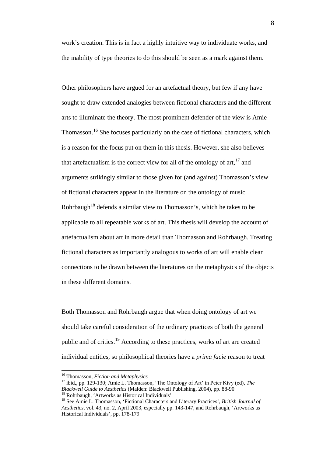work's creation. This is in fact a highly intuitive way to individuate works, and the inability of type theories to do this should be seen as a mark against them.

Other philosophers have argued for an artefactual theory, but few if any have sought to draw extended analogies between fictional characters and the different arts to illuminate the theory. The most prominent defender of the view is Amie Thomasson.<sup>[16](#page-9-0)</sup> She focuses particularly on the case of fictional characters, which is a reason for the focus put on them in this thesis. However, she also believes that artefactualism is the correct view for all of the ontology of art,  $17$  and arguments strikingly similar to those given for (and against) Thomasson's view of fictional characters appear in the literature on the ontology of music. Rohrbaugh<sup>[18](#page-9-2)</sup> defends a similar view to Thomasson's, which he takes to be applicable to all repeatable works of art. This thesis will develop the account of artefactualism about art in more detail than Thomasson and Rohrbaugh. Treating fictional characters as importantly analogous to works of art will enable clear connections to be drawn between the literatures on the metaphysics of the objects in these different domains.

Both Thomasson and Rohrbaugh argue that when doing ontology of art we should take careful consideration of the ordinary practices of both the general public and of critics.<sup>[19](#page-9-3)</sup> According to these practices, works of art are created individual entities, so philosophical theories have a *prima facie* reason to treat

<span id="page-9-0"></span> <sup>16</sup> Thomasson, *Fiction and Metaphysics*

<span id="page-9-1"></span><sup>17</sup> ibid,, pp. 129-130; Amie L. Thomasson, 'The Ontology of Art' in Peter Kivy (ed), *The Blackwell Guide to Aesthetics* (Malden: Blackwell Publishing, 2004), pp. 88-90<sup>18</sup> Rohrbaugh, 'Artworks as Historical Individuals'

<span id="page-9-3"></span><span id="page-9-2"></span><sup>19</sup> See Amie L. Thomasson, 'Fictional Characters and Literary Practices', *British Journal of Aesthetics*, vol. 43, no. 2, April 2003, especially pp. 143-147, and Rohrbaugh, 'Artworks as Historical Individuals', pp. 178-179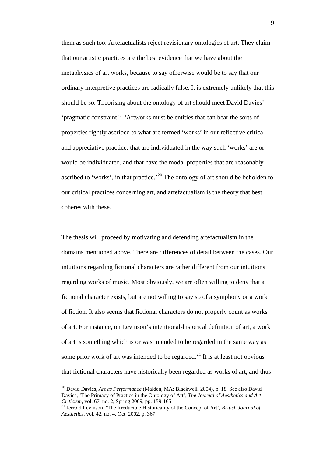them as such too. Artefactualists reject revisionary ontologies of art. They claim that our artistic practices are the best evidence that we have about the metaphysics of art works, because to say otherwise would be to say that our ordinary interpretive practices are radically false. It is extremely unlikely that this should be so. Theorising about the ontology of art should meet David Davies' 'pragmatic constraint': 'Artworks must be entities that can bear the sorts of properties rightly ascribed to what are termed 'works' in our reflective critical and appreciative practice; that are individuated in the way such 'works' are or would be individuated, and that have the modal properties that are reasonably ascribed to 'works', in that practice.<sup>[20](#page-10-0)</sup> The ontology of art should be beholden to our critical practices concerning art, and artefactualism is the theory that best coheres with these.

The thesis will proceed by motivating and defending artefactualism in the domains mentioned above. There are differences of detail between the cases. Our intuitions regarding fictional characters are rather different from our intuitions regarding works of music. Most obviously, we are often willing to deny that a fictional character exists, but are not willing to say so of a symphony or a work of fiction. It also seems that fictional characters do not properly count as works of art. For instance, on Levinson's intentional-historical definition of art, a work of art is something which is or was intended to be regarded in the same way as some prior work of art was intended to be regarded.<sup>[21](#page-10-1)</sup> It is at least not obvious that fictional characters have historically been regarded as works of art, and thus

<span id="page-10-0"></span> <sup>20</sup> David Davies, *Art as Performance* (Malden, MA: Blackwell, 2004), p. 18. See also David Davies, 'The Primacy of Practice in the Ontology of Art', *The Journal of Aesthetics and Art Criticism*, vol. 67, no. 2, Spring 2009, pp. 159-165

<span id="page-10-1"></span><sup>21</sup> Jerrold Levinson, 'The Irreducible Historicality of the Concept of Art', *British Journal of Aesthetics*, vol. 42, no. 4, Oct. 2002, p. 367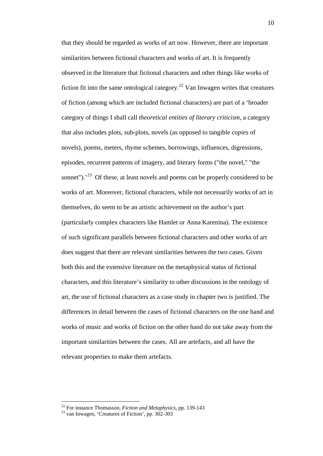that they should be regarded as works of art now. However, there are important similarities between fictional characters and works of art. It is frequently observed in the literature that fictional characters and other things like works of fiction fit into the same ontological category.<sup>[22](#page-11-0)</sup> Van Inwagen writes that creatures of fiction (among which are included fictional characters) are part of a 'broader category of things I shall call *theoretical entities of literary criticism*, a category that also includes plots, sub-plots, novels (as opposed to tangible *copies* of novels), poems, meters, rhyme schemes, borrowings, influences, digressions, episodes, recurrent patterns of imagery, and literary forms ("the novel," "the sonnet").<sup>[23](#page-11-1)</sup> Of these, at least novels and poems can be properly considered to be works of art. Moreover, fictional characters, while not necessarily works of art in themselves, do seem to be an artistic achievement on the author's part (particularly complex characters like Hamlet or Anna Karenina). The existence of such significant parallels between fictional characters and other works of art does suggest that there are relevant similarities between the two cases. Given both this and the extensive literature on the metaphysical status of fictional characters, and this literature's similarity to other discussions in the ontology of art, the use of fictional characters as a case study in chapter two is justified. The differences in detail between the cases of fictional characters on the one hand and works of music and works of fiction on the other hand do not take away from the important similarities between the cases. All are artefacts, and all have the relevant properties to make them artefacts.

<span id="page-11-1"></span><span id="page-11-0"></span><sup>&</sup>lt;sup>22</sup> For instance Thomasson, *Fiction and Metaphysics*, pp. 139-143<sup>23</sup> van Inwagen, 'Creatures of Fiction', pp. 302-303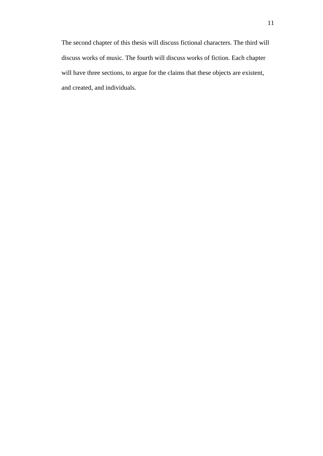<span id="page-12-0"></span>The second chapter of this thesis will discuss fictional characters. The third will discuss works of music. The fourth will discuss works of fiction. Each chapter will have three sections, to argue for the claims that these objects are existent, and created, and individuals.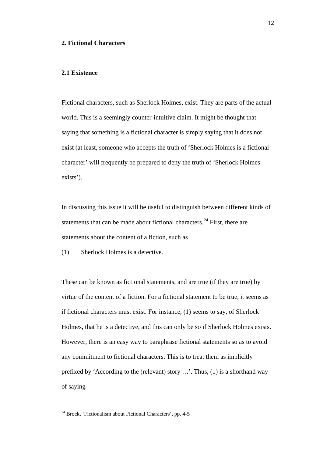#### **2. Fictional Characters**

#### <span id="page-13-0"></span>**2.1 Existence**

Fictional characters, such as Sherlock Holmes, exist. They are parts of the actual world. This is a seemingly counter-intuitive claim. It might be thought that saying that something is a fictional character is simply saying that it does not exist (at least, someone who accepts the truth of 'Sherlock Holmes is a fictional character' will frequently be prepared to deny the truth of 'Sherlock Holmes exists').

In discussing this issue it will be useful to distinguish between different kinds of statements that can be made about fictional characters.<sup>[24](#page-13-1)</sup> First, there are statements about the content of a fiction, such as

(1) Sherlock Holmes is a detective.

These can be known as fictional statements, and are true (if they are true) by virtue of the content of a fiction. For a fictional statement to be true, it seems as if fictional characters must exist. For instance, (1) seems to say, of Sherlock Holmes, that he is a detective, and this can only be so if Sherlock Holmes exists. However, there is an easy way to paraphrase fictional statements so as to avoid any commitment to fictional characters. This is to treat them as implicitly prefixed by 'According to the (relevant) story …'. Thus, (1) is a shorthand way of saying

<span id="page-13-1"></span> $24$  Brock, 'Fictionalism about Fictional Characters', pp. 4-5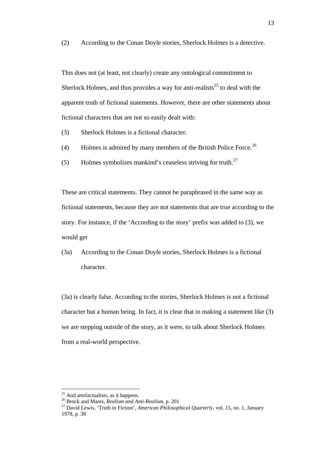(2) According to the Conan Doyle stories, Sherlock Holmes is a detective.

This does not (at least, not clearly) create any ontological commitment to Sherlock Holmes, and thus provides a way for anti-realists<sup>[25](#page-14-0)</sup> to deal with the apparent truth of fictional statements. However, there are other statements about fictional characters that are not so easily dealt with:

- (3) Sherlock Holmes is a fictional character.
- (4) Holmes is admired by many members of the British Police Force.<sup>[26](#page-14-1)</sup>
- (5) Holmes symbolizes mankind's ceaseless striving for truth.<sup>[27](#page-14-2)</sup>

These are critical statements. They cannot be paraphrased in the same way as fictional statements, because they are not statements that are true according to the story. For instance, if the 'According to the story' prefix was added to (3), we would get

(3a) According to the Conan Doyle stories, Sherlock Holmes is a fictional character.

(3a) is clearly false. According to the stories, Sherlock Holmes is not a fictional character but a human being. In fact, it is clear that in making a statement like (3) we are stepping outside of the story, as it were, to talk about Sherlock Holmes from a real-world perspective.

<span id="page-14-2"></span>

<span id="page-14-1"></span><span id="page-14-0"></span><sup>&</sup>lt;sup>25</sup> And artefactualists, as it happens.<br><sup>26</sup> Brock and Mares, *Realism and Anti-Realism*, p. 201<br><sup>27</sup> David Lewis, 'Truth in Fiction', *American Philosophical Quarterly*, vol. 15, no. 1, January 1978, p. 38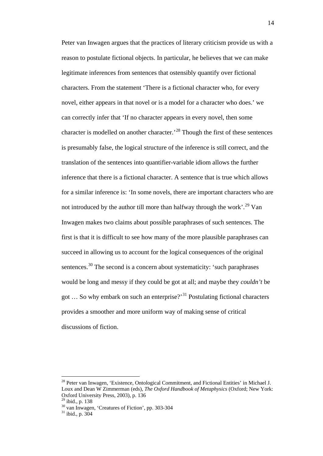Peter van Inwagen argues that the practices of literary criticism provide us with a reason to postulate fictional objects. In particular, he believes that we can make legitimate inferences from sentences that ostensibly quantify over fictional characters. From the statement 'There is a fictional character who, for every novel, either appears in that novel or is a model for a character who does.' we can correctly infer that 'If no character appears in every novel, then some character is modelled on another character.'[28](#page-15-0) Though the first of these sentences is presumably false, the logical structure of the inference is still correct, and the translation of the sentences into quantifier-variable idiom allows the further inference that there is a fictional character. A sentence that is true which allows for a similar inference is: 'In some novels, there are important characters who are not introduced by the author till more than halfway through the work'.<sup>[29](#page-15-1)</sup> Van Inwagen makes two claims about possible paraphrases of such sentences. The first is that it is difficult to see how many of the more plausible paraphrases can succeed in allowing us to account for the logical consequences of the original sentences.<sup>[30](#page-15-2)</sup> The second is a concern about systematicity: 'such paraphrases' would be long and messy if they could be got at all; and maybe they *couldn't* be got  $\ldots$  So why embark on such an enterprise?<sup>[31](#page-15-3)</sup> Postulating fictional characters provides a smoother and more uniform way of making sense of critical discussions of fiction.

<span id="page-15-0"></span><sup>&</sup>lt;sup>28</sup> Peter van Inwagen, 'Existence, Ontological Commitment, and Fictional Entities' in Michael J. Loux and Dean W Zimmerman (eds), *The Oxford Handbook of Metaphysics* (Oxford; New York: Oxford University Press, 2003), p. 136<br><sup>29</sup> ibid., p. 138

<span id="page-15-3"></span><span id="page-15-2"></span><span id="page-15-1"></span> $\frac{30}{31}$  van Inwagen, 'Creatures of Fiction', pp. 303-304  $\frac{31}{31}$  ibid., p. 304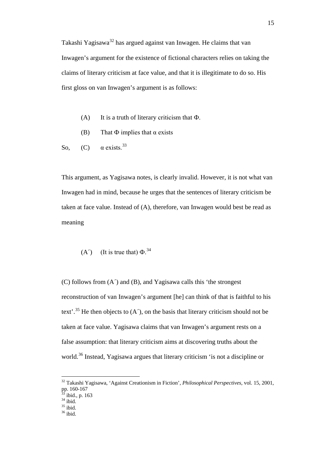Takashi Yagisawa[32](#page-16-0) has argued against van Inwagen. He claims that van Inwagen's argument for the existence of fictional characters relies on taking the claims of literary criticism at face value, and that it is illegitimate to do so. His first gloss on van Inwagen's argument is as follows:

- (A) It is a truth of literary criticism that  $\Phi$ .
- (B) That  $\Phi$  implies that  $\alpha$  exists
- So, (C)  $\alpha$  exists.<sup>[33](#page-16-1)</sup>

This argument, as Yagisawa notes, is clearly invalid. However, it is not what van Inwagen had in mind, because he urges that the sentences of literary criticism be taken at face value. Instead of (A), therefore, van Inwagen would best be read as meaning

(A<sup>′</sup>) (It is true that) 
$$
\Phi
$$
.<sup>34</sup>

(C) follows from (A´) and (B), and Yagisawa calls this 'the strongest reconstruction of van Inwagen's argument [he] can think of that is faithful to his text'.<sup>[35](#page-16-3)</sup> He then objects to  $(A')$ , on the basis that literary criticism should not be taken at face value. Yagisawa claims that van Inwagen's argument rests on a false assumption: that literary criticism aims at discovering truths about the world.<sup>[36](#page-16-4)</sup> Instead, Yagisawa argues that literary criticism 'is not a discipline or

<span id="page-16-0"></span> <sup>32</sup> Takashi Yagisawa, 'Against Creationism in Fiction', *Philosophical Perspectives*, vol. 15, 2001, pp. 160-167

<span id="page-16-1"></span> $\frac{33}{34}$  ibid., p. 163<br> $\frac{35}{35}$  ibid.<br> $\frac{35}{36}$  ibid.

<span id="page-16-3"></span><span id="page-16-2"></span>

<span id="page-16-4"></span>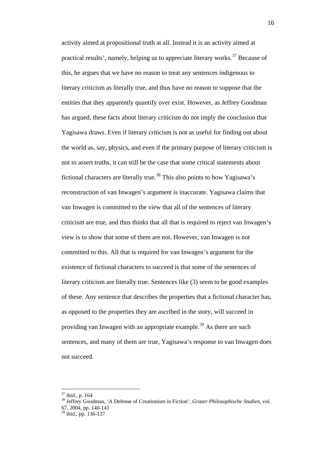activity aimed at propositional truth at all. Instead it is an activity aimed at practical results', namely, helping us to appreciate literary works.<sup>[37](#page-17-0)</sup> Because of this, he argues that we have no reason to treat any sentences indigenous to literary criticism as literally true, and thus have no reason to suppose that the entities that they apparently quantify over exist. However, as Jeffrey Goodman has argued, these facts about literary criticism do not imply the conclusion that Yagisawa draws. Even if literary criticism is not as useful for finding out about the world as, say, physics, and even if the primary purpose of literary criticism is not to assert truths, it can still be the case that some critical statements about fictional characters are literally true.<sup>[38](#page-17-1)</sup> This also points to how Yagisawa's reconstruction of van Inwagen's argument is inaccurate. Yagisawa claims that van Inwagen is committed to the view that all of the sentences of literary criticism are true, and thus thinks that all that is required to reject van Inwagen's view is to show that some of them are not. However, van Inwagen is not committed to this. All that is required for van Inwagen's argument for the existence of fictional characters to succeed is that some of the sentences of literary criticism are literally true. Sentences like (3) seem to be good examples of these. Any sentence that describes the properties that a fictional character has, as opposed to the properties they are ascribed in the story, will succeed in providing van Inwagen with an appropriate example.<sup>[39](#page-17-2)</sup> As there are such sentences, and many of them are true, Yagisawa's response to van Inwagen does not succeed.

<span id="page-17-1"></span><span id="page-17-0"></span><sup>&</sup>lt;sup>37</sup> ibid., p. 164<br><sup>38</sup> Jeffrey Goodman, 'A Defense of Creationism in Fiction', *Grazer Philosophische Studien*, vol. 67, 2004, pp. 140-141

<span id="page-17-2"></span> $39$  ibid., pp. 136-137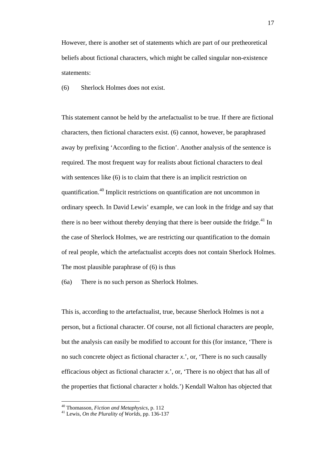However, there is another set of statements which are part of our pretheoretical beliefs about fictional characters, which might be called singular non-existence statements:

(6) Sherlock Holmes does not exist.

This statement cannot be held by the artefactualist to be true. If there are fictional characters, then fictional characters exist. (6) cannot, however, be paraphrased away by prefixing 'According to the fiction'. Another analysis of the sentence is required. The most frequent way for realists about fictional characters to deal with sentences like (6) is to claim that there is an implicit restriction on quantification.[40](#page-18-0) Implicit restrictions on quantification are not uncommon in ordinary speech. In David Lewis' example, we can look in the fridge and say that there is no beer without thereby denying that there is beer outside the fridge. $^{41}$  $^{41}$  $^{41}$  In the case of Sherlock Holmes, we are restricting our quantification to the domain of real people, which the artefactualist accepts does not contain Sherlock Holmes. The most plausible paraphrase of (6) is thus

(6a) There is no such person as Sherlock Holmes.

This is, according to the artefactualist, true, because Sherlock Holmes is not a person, but a fictional character. Of course, not all fictional characters are people, but the analysis can easily be modified to account for this (for instance, 'There is no such concrete object as fictional character *x*.', or, 'There is no such causally efficacious object as fictional character *x*.', or, 'There is no object that has all of the properties that fictional character *x* holds.') Kendall Walton has objected that

<span id="page-18-1"></span><span id="page-18-0"></span><sup>40</sup> Thomasson, *Fiction and Metaphysics*, p. 112 <sup>41</sup> Lewis, *On the Plurality of Worlds*, pp. 136-137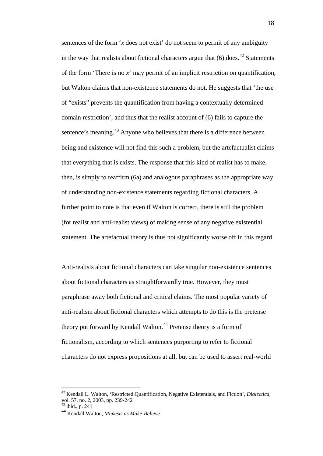sentences of the form '*x* does not exist' do not seem to permit of any ambiguity in the way that realists about fictional characters argue that  $(6)$  does.<sup>[42](#page-19-0)</sup> Statements of the form 'There is no *x*' may permit of an implicit restriction on quantification, but Walton claims that non-existence statements do not. He suggests that 'the use of "exists" prevents the quantification from having a contextually determined domain restriction', and thus that the realist account of (6) fails to capture the sentence's meaning.<sup>[43](#page-19-1)</sup> Anyone who believes that there is a difference between being and existence will not find this such a problem, but the artefactualist claims that everything that is exists. The response that this kind of realist has to make, then, is simply to reaffirm (6a) and analogous paraphrases as the appropriate way of understanding non-existence statements regarding fictional characters. A further point to note is that even if Walton is correct, there is still the problem (for realist and anti-realist views) of making sense of any negative existential statement. The artefactual theory is thus not significantly worse off in this regard.

Anti-realists about fictional characters can take singular non-existence sentences about fictional characters as straightforwardly true. However, they must paraphrase away both fictional and critical claims. The most popular variety of anti-realism about fictional characters which attempts to do this is the pretense theory put forward by Kendall Walton.<sup>[44](#page-19-2)</sup> Pretense theory is a form of fictionalism, according to which sentences purporting to refer to fictional characters do not express propositions at all, but can be used to assert real-world

<span id="page-19-1"></span><span id="page-19-0"></span> <sup>42</sup> Kendall L. Walton, 'Restricted Quantification, Negative Existentials, and Fiction', *Dialectica*, vol. 57, no. 2, 2003, pp. 239-242

 $43$  ibid., p. 241

<span id="page-19-2"></span><sup>44</sup> Kendall Walton, *Mimesis as Make-Believe*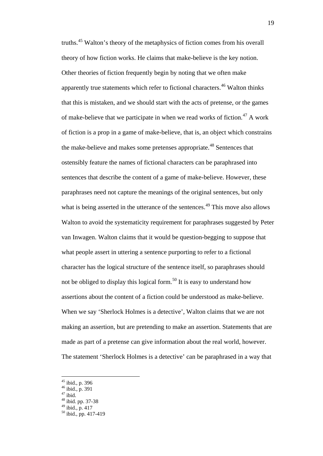truths.[45](#page-20-0) Walton's theory of the metaphysics of fiction comes from his overall theory of how fiction works. He claims that make-believe is the key notion. Other theories of fiction frequently begin by noting that we often make apparently true statements which refer to fictional characters.<sup>[46](#page-20-1)</sup> Walton thinks that this is mistaken, and we should start with the acts of pretense, or the games of make-believe that we participate in when we read works of fiction.<sup>[47](#page-20-2)</sup> A work of fiction is a prop in a game of make-believe, that is, an object which constrains the make-believe and makes some pretenses appropriate.<sup>[48](#page-20-3)</sup> Sentences that ostensibly feature the names of fictional characters can be paraphrased into sentences that describe the content of a game of make-believe. However, these paraphrases need not capture the meanings of the original sentences, but only what is being asserted in the utterance of the sentences.<sup>[49](#page-20-4)</sup> This move also allows Walton to avoid the systematicity requirement for paraphrases suggested by Peter van Inwagen. Walton claims that it would be question-begging to suppose that what people assert in uttering a sentence purporting to refer to a fictional character has the logical structure of the sentence itself, so paraphrases should not be obliged to display this logical form.<sup>[50](#page-20-5)</sup> It is easy to understand how assertions about the content of a fiction could be understood as make-believe. When we say 'Sherlock Holmes is a detective', Walton claims that we are not making an assertion, but are pretending to make an assertion. Statements that are made as part of a pretense can give information about the real world, however. The statement 'Sherlock Holmes is a detective' can be paraphrased in a way that

<span id="page-20-4"></span><span id="page-20-3"></span><span id="page-20-2"></span><span id="page-20-1"></span>

<span id="page-20-0"></span> $^{45}$  ibid., p. 396<br> $^{46}$  ibid., p. 391

 $^{47}$  ibid.<br> $^{48}$  ibid. pp. 37-38<br> $^{49}$  ibid., p. 417

<span id="page-20-5"></span> $50$  ibid., pp. 417-419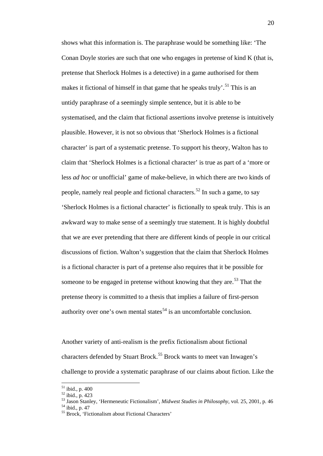shows what this information is. The paraphrase would be something like: 'The Conan Doyle stories are such that one who engages in pretense of kind K (that is, pretense that Sherlock Holmes is a detective) in a game authorised for them makes it fictional of himself in that game that he speaks truly'.<sup>[51](#page-21-0)</sup> This is an untidy paraphrase of a seemingly simple sentence, but it is able to be systematised, and the claim that fictional assertions involve pretense is intuitively plausible. However, it is not so obvious that 'Sherlock Holmes is a fictional character' is part of a systematic pretense. To support his theory, Walton has to claim that 'Sherlock Holmes is a fictional character' is true as part of a 'more or less *ad hoc* or unofficial' game of make-believe, in which there are two kinds of people, namely real people and fictional characters.<sup>[52](#page-21-1)</sup> In such a game, to say 'Sherlock Holmes is a fictional character' is fictionally to speak truly. This is an awkward way to make sense of a seemingly true statement. It is highly doubtful that we are ever pretending that there are different kinds of people in our critical discussions of fiction. Walton's suggestion that the claim that Sherlock Holmes is a fictional character is part of a pretense also requires that it be possible for someone to be engaged in pretense without knowing that they are.<sup>[53](#page-21-2)</sup> That the pretense theory is committed to a thesis that implies a failure of first-person authority over one's own mental states<sup>[54](#page-21-3)</sup> is an uncomfortable conclusion.

Another variety of anti-realism is the prefix fictionalism about fictional characters defended by Stuart Brock.<sup>[55](#page-21-4)</sup> Brock wants to meet van Inwagen's challenge to provide a systematic paraphrase of our claims about fiction. Like the

<span id="page-21-0"></span> $^{51}$  ibid., p. 400<br> $^{52}$  ibid., p. 423

<span id="page-21-1"></span>

<span id="page-21-3"></span><span id="page-21-2"></span><sup>&</sup>lt;sup>53</sup> Jason Stanley, 'Hermeneutic Fictionalism', *Midwest Studies in Philosophy*, vol. 25, 2001, p. 46<br><sup>54</sup> ibid., p. 47<br><sup>55</sup> Brock, 'Fictionalism about Fictional Characters'

<span id="page-21-4"></span>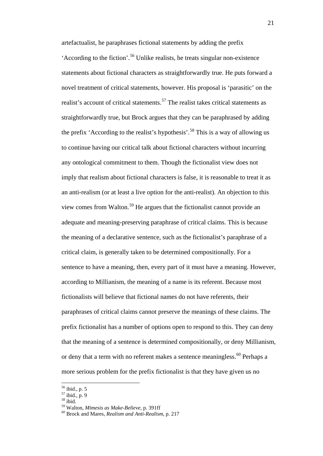artefactualist, he paraphrases fictional statements by adding the prefix 'According to the fiction'.[56](#page-22-0) Unlike realists, he treats singular non-existence statements about fictional characters as straightforwardly true. He puts forward a novel treatment of critical statements, however. His proposal is 'parasitic' on the realist's account of critical statements.<sup>[57](#page-22-1)</sup> The realist takes critical statements as straightforwardly true, but Brock argues that they can be paraphrased by adding the prefix 'According to the realist's hypothesis'.<sup>[58](#page-22-2)</sup> This is a way of allowing us to continue having our critical talk about fictional characters without incurring any ontological commitment to them. Though the fictionalist view does not imply that realism about fictional characters is false, it is reasonable to treat it as an anti-realism (or at least a live option for the anti-realist). An objection to this view comes from Walton.[59](#page-22-3) He argues that the fictionalist cannot provide an adequate and meaning-preserving paraphrase of critical claims. This is because the meaning of a declarative sentence, such as the fictionalist's paraphrase of a critical claim, is generally taken to be determined compositionally. For a sentence to have a meaning, then, every part of it must have a meaning. However, according to Millianism, the meaning of a name is its referent. Because most fictionalists will believe that fictional names do not have referents, their paraphrases of critical claims cannot preserve the meanings of these claims. The prefix fictionalist has a number of options open to respond to this. They can deny that the meaning of a sentence is determined compositionally, or deny Millianism, or deny that a term with no referent makes a sentence meaningless.<sup>[60](#page-22-4)</sup> Perhaps a more serious problem for the prefix fictionalist is that they have given us no

 <sup>56</sup> ibid., p. 5

<span id="page-22-2"></span>

<span id="page-22-1"></span><span id="page-22-0"></span> $57 \text{ ibid.}, p. 9$ <br>  $58 \text{ ibid.}$ <br>  $59 \text{ Walton. } \textit{Mimesis as Make-Believe}, p. 391 \text{ ff}$ 

<span id="page-22-4"></span><span id="page-22-3"></span><sup>&</sup>lt;sup>60</sup> Brock and Mares, *Realism and Anti-Realism*, p. 217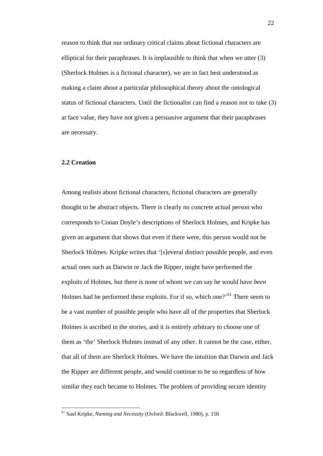reason to think that our ordinary critical claims about fictional characters are elliptical for their paraphrases. It is implausible to think that when we utter (3) (Sherlock Holmes is a fictional character), we are in fact best understood as making a claim about a particular philosophical theory about the ontological status of fictional characters. Until the fictionalist can find a reason not to take (3) at face value, they have not given a persuasive argument that their paraphrases are necessary.

#### <span id="page-23-0"></span>**2.2 Creation**

Among realists about fictional characters, fictional characters are generally thought to be abstract objects. There is clearly no concrete actual person who corresponds to Conan Doyle's descriptions of Sherlock Holmes, and Kripke has given an argument that shows that even if there were, this person would not be Sherlock Holmes. Kripke writes that '[s]everal distinct possible people, and even actual ones such as Darwin or Jack the Ripper, might have performed the exploits of Holmes, but there is none of whom we can say he would have *been* Holmes had he performed these exploits. For if so, which one?<sup>'[61](#page-23-1)</sup> There seem to be a vast number of possible people who have all of the properties that Sherlock Holmes is ascribed in the stories, and it is entirely arbitrary to choose one of them as 'the' Sherlock Holmes instead of any other. It cannot be the case, either, that all of them are Sherlock Holmes. We have the intuition that Darwin and Jack the Ripper are different people, and would continue to be so regardless of how similar they each became to Holmes. The problem of providing secure identity

<span id="page-23-1"></span> <sup>61</sup> Saul Kripke, *Naming and Necessity* (Oxford: Blackwell, 1980), p. 158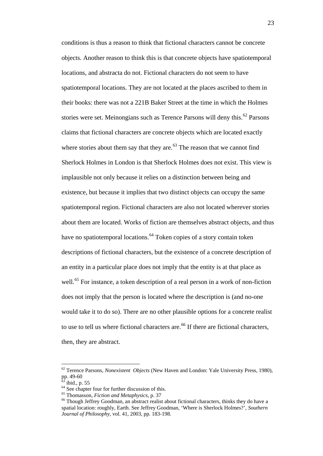conditions is thus a reason to think that fictional characters cannot be concrete objects. Another reason to think this is that concrete objects have spatiotemporal locations, and abstracta do not. Fictional characters do not seem to have spatiotemporal locations. They are not located at the places ascribed to them in their books: there was not a 221B Baker Street at the time in which the Holmes stories were set. Meinongians such as Terence Parsons will deny this.<sup>[62](#page-24-0)</sup> Parsons claims that fictional characters are concrete objects which are located exactly where stories about them say that they are. $63$  The reason that we cannot find Sherlock Holmes in London is that Sherlock Holmes does not exist. This view is implausible not only because it relies on a distinction between being and existence, but because it implies that two distinct objects can occupy the same spatiotemporal region. Fictional characters are also not located wherever stories about them are located. Works of fiction are themselves abstract objects, and thus have no spatiotemporal locations.<sup>[64](#page-24-2)</sup> Token copies of a story contain token descriptions of fictional characters, but the existence of a concrete description of an entity in a particular place does not imply that the entity is at that place as well.<sup>[65](#page-24-3)</sup> For instance, a token description of a real person in a work of non-fiction does not imply that the person is located where the description is (and no-one would take it to do so). There are no other plausible options for a concrete realist to use to tell us where fictional characters are.<sup>[66](#page-24-4)</sup> If there are fictional characters, then, they are abstract.

<span id="page-24-0"></span> <sup>62</sup> Terence Parsons, *Nonexistent Objects* (New Haven and London: Yale University Press, 1980), pp. 49-60<br> $^{63}$  ibid., p. 55

<span id="page-24-1"></span>

<span id="page-24-4"></span><span id="page-24-3"></span>

<span id="page-24-2"></span><sup>&</sup>lt;sup>64</sup> See chapter four for further discussion of this.<br><sup>65</sup> Thomasson, *Fiction and Metaphysics*, p. 37<br><sup>66</sup> Though Jeffrey Goodman, an abstract realist about fictional characters, thinks they do have a spatial location: roughly, Earth. See Jeffrey Goodman, 'Where is Sherlock Holmes?', *Southern Journal of Philosophy*, vol. 41, 2003, pp. 183-198.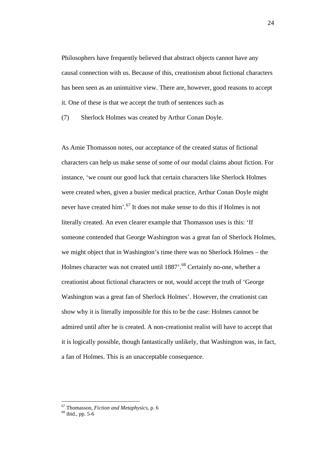Philosophers have frequently believed that abstract objects cannot have any causal connection with us. Because of this, creationism about fictional characters has been seen as an unintuitive view. There are, however, good reasons to accept it. One of these is that we accept the truth of sentences such as

(7) Sherlock Holmes was created by Arthur Conan Doyle.

As Amie Thomasson notes, our acceptance of the created status of fictional characters can help us make sense of some of our modal claims about fiction. For instance, 'we count our good luck that certain characters like Sherlock Holmes were created when, given a busier medical practice, Arthur Conan Doyle might never have created him'.<sup>[67](#page-25-0)</sup> It does not make sense to do this if Holmes is not literally created. An even clearer example that Thomasson uses is this: 'If someone contended that George Washington was a great fan of Sherlock Holmes, we might object that in Washington's time there was no Sherlock Holmes – the Holmes character was not created until  $1887'$ .<sup>[68](#page-25-1)</sup> Certainly no-one, whether a creationist about fictional characters or not, would accept the truth of 'George Washington was a great fan of Sherlock Holmes'. However, the creationist can show why it is literally impossible for this to be the case: Holmes cannot be admired until after he is created. A non-creationist realist will have to accept that it is logically possible, though fantastically unlikely, that Washington was, in fact, a fan of Holmes. This is an unacceptable consequence.

<span id="page-25-1"></span><span id="page-25-0"></span><sup>67</sup> Thomasson, *Fiction and Metaphysics*, p. 6 <sup>68</sup> ibid., pp. 5-6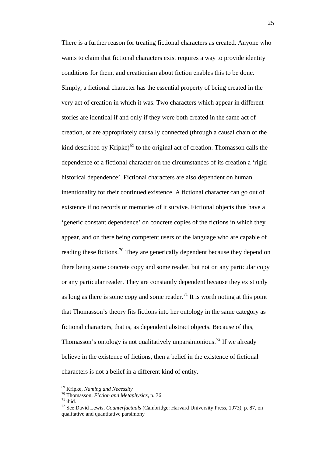There is a further reason for treating fictional characters as created. Anyone who wants to claim that fictional characters exist requires a way to provide identity conditions for them, and creationism about fiction enables this to be done. Simply, a fictional character has the essential property of being created in the very act of creation in which it was. Two characters which appear in different stories are identical if and only if they were both created in the same act of creation, or are appropriately causally connected (through a causal chain of the kind described by Kripke)<sup>[69](#page-26-0)</sup> to the original act of creation. Thomasson calls the dependence of a fictional character on the circumstances of its creation a 'rigid historical dependence'. Fictional characters are also dependent on human intentionality for their continued existence. A fictional character can go out of existence if no records or memories of it survive. Fictional objects thus have a 'generic constant dependence' on concrete copies of the fictions in which they appear, and on there being competent users of the language who are capable of reading these fictions.<sup>[70](#page-26-1)</sup> They are generically dependent because they depend on there being some concrete copy and some reader, but not on any particular copy or any particular reader. They are constantly dependent because they exist only as long as there is some copy and some reader.<sup>[71](#page-26-2)</sup> It is worth noting at this point that Thomasson's theory fits fictions into her ontology in the same category as fictional characters, that is, as dependent abstract objects. Because of this, Thomasson's ontology is not qualitatively unparsimonious.<sup>[72](#page-26-3)</sup> If we already believe in the existence of fictions, then a belief in the existence of fictional characters is not a belief in a different kind of entity.

<span id="page-26-0"></span><sup>&</sup>lt;sup>69</sup> Kripke, *Naming and Necessity*<br><sup>70</sup> Thomasson, *Fiction and Metaphysics*, p. 36

<span id="page-26-3"></span><span id="page-26-2"></span>

<span id="page-26-1"></span><sup>70</sup> Thomasson, *Fiction and Metaphysics*, p. 36 <sup>71</sup> ibid. <sup>72</sup> See David Lewis, *Counterfactuals* (Cambridge: Harvard University Press, 1973), p. 87, on qualitative and quantitative parsimony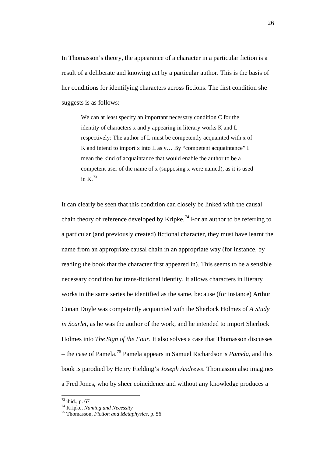In Thomasson's theory, the appearance of a character in a particular fiction is a result of a deliberate and knowing act by a particular author. This is the basis of her conditions for identifying characters across fictions. The first condition she suggests is as follows:

We can at least specify an important necessary condition C for the identity of characters x and y appearing in literary works K and L respectively: The author of L must be competently acquainted with x of K and intend to import x into L as y… By "competent acquaintance" I mean the kind of acquaintance that would enable the author to be a competent user of the name of x (supposing x were named), as it is used in K.[73](#page-27-0)

It can clearly be seen that this condition can closely be linked with the causal chain theory of reference developed by Kripke.<sup>[74](#page-27-1)</sup> For an author to be referring to a particular (and previously created) fictional character, they must have learnt the name from an appropriate causal chain in an appropriate way (for instance, by reading the book that the character first appeared in). This seems to be a sensible necessary condition for trans-fictional identity. It allows characters in literary works in the same series be identified as the same, because (for instance) Arthur Conan Doyle was competently acquainted with the Sherlock Holmes of *A Study in Scarlet*, as he was the author of the work, and he intended to import Sherlock Holmes into *The Sign of the Four*. It also solves a case that Thomasson discusses – the case of Pamela.[75](#page-27-2) Pamela appears in Samuel Richardson's *Pamela*, and this book is parodied by Henry Fielding's *Joseph Andrews*. Thomasson also imagines a Fred Jones, who by sheer coincidence and without any knowledge produces a

<span id="page-27-1"></span><span id="page-27-0"></span> $^{73}$  ibid., p. 67<br> $^{74}$  Kripke, *Naming and Necessity* 

<span id="page-27-2"></span><sup>&</sup>lt;sup>75</sup> Thomasson, *Fiction and Metaphysics*, p. 56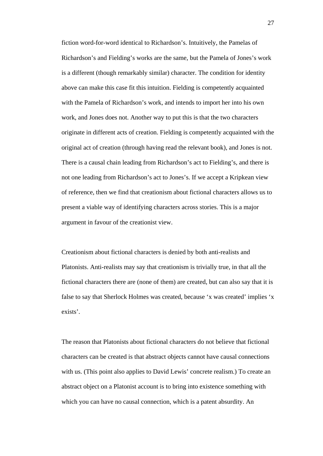fiction word-for-word identical to Richardson's. Intuitively, the Pamelas of Richardson's and Fielding's works are the same, but the Pamela of Jones's work is a different (though remarkably similar) character. The condition for identity above can make this case fit this intuition. Fielding is competently acquainted with the Pamela of Richardson's work, and intends to import her into his own work, and Jones does not. Another way to put this is that the two characters originate in different acts of creation. Fielding is competently acquainted with the original act of creation (through having read the relevant book), and Jones is not. There is a causal chain leading from Richardson's act to Fielding's, and there is not one leading from Richardson's act to Jones's. If we accept a Kripkean view of reference, then we find that creationism about fictional characters allows us to present a viable way of identifying characters across stories. This is a major argument in favour of the creationist view.

Creationism about fictional characters is denied by both anti-realists and Platonists. Anti-realists may say that creationism is trivially true, in that all the fictional characters there are (none of them) are created, but can also say that it is false to say that Sherlock Holmes was created, because 'x was created' implies 'x exists'.

The reason that Platonists about fictional characters do not believe that fictional characters can be created is that abstract objects cannot have causal connections with us. (This point also applies to David Lewis' concrete realism.) To create an abstract object on a Platonist account is to bring into existence something with which you can have no causal connection, which is a patent absurdity. An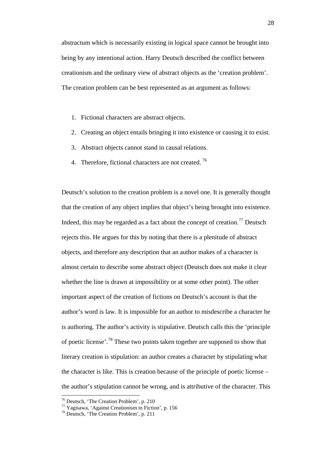abstractum which is necessarily existing in logical space cannot be brought into being by any intentional action. Harry Deutsch described the conflict between creationism and the ordinary view of abstract objects as the 'creation problem'. The creation problem can be best represented as an argument as follows:

- 1. Fictional characters are abstract objects.
- 2. Creating an object entails bringing it into existence or causing it to exist.
- 3. Abstract objects cannot stand in causal relations.
- 4. Therefore, fictional characters are not created.  $76$

Deutsch's solution to the creation problem is a novel one. It is generally thought that the creation of any object implies that object's being brought into existence. Indeed, this may be regarded as a fact about the concept of creation.<sup>[77](#page-29-1)</sup> Deutsch rejects this. He argues for this by noting that there is a plenitude of abstract objects, and therefore any description that an author makes of a character is almost certain to describe some abstract object (Deutsch does not make it clear whether the line is drawn at impossibility or at some other point). The other important aspect of the creation of fictions on Deutsch's account is that the author's word is law. It is impossible for an author to misdescribe a character he is authoring. The author's activity is stipulative. Deutsch calls this the 'principle of poetic license'.<sup>[78](#page-29-2)</sup> These two points taken together are supposed to show that literary creation is stipulation: an author creates a character by stipulating what the character is like. This is creation because of the principle of poetic license – the author's stipulation cannot be wrong, and is attributive of the character. This

<span id="page-29-0"></span> <sup>76</sup> Deutsch, 'The Creation Problem', p. 210

<span id="page-29-1"></span> $\frac{77}{7}$  Yagisawa, 'Against Creationism in Fiction', p. 156<br><sup>78</sup> Deutsch, 'The Creation Problem', p. 211

<span id="page-29-2"></span>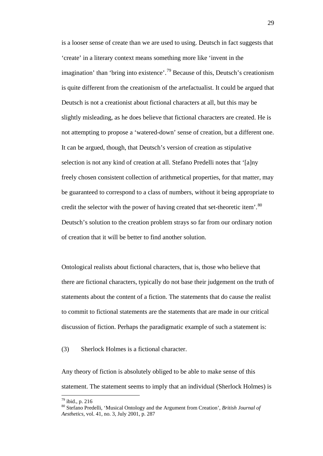is a looser sense of create than we are used to using. Deutsch in fact suggests that 'create' in a literary context means something more like 'invent in the imagination' than 'bring into existence'.<sup>[79](#page-30-0)</sup> Because of this, Deutsch's creationism is quite different from the creationism of the artefactualist. It could be argued that Deutsch is not a creationist about fictional characters at all, but this may be slightly misleading, as he does believe that fictional characters are created. He is not attempting to propose a 'watered-down' sense of creation, but a different one. It can be argued, though, that Deutsch's version of creation as stipulative selection is not any kind of creation at all. Stefano Predelli notes that '[a]ny freely chosen consistent collection of arithmetical properties, for that matter, may be guaranteed to correspond to a class of numbers, without it being appropriate to credit the selector with the power of having created that set-theoretic item'.<sup>[80](#page-30-1)</sup> Deutsch's solution to the creation problem strays so far from our ordinary notion of creation that it will be better to find another solution.

Ontological realists about fictional characters, that is, those who believe that there are fictional characters, typically do not base their judgement on the truth of statements about the content of a fiction. The statements that do cause the realist to commit to fictional statements are the statements that are made in our critical discussion of fiction. Perhaps the paradigmatic example of such a statement is:

(3) Sherlock Holmes is a fictional character.

Any theory of fiction is absolutely obliged to be able to make sense of this statement. The statement seems to imply that an individual (Sherlock Holmes) is

<span id="page-30-1"></span><span id="page-30-0"></span><sup>&</sup>lt;sup>79</sup> ibid., p. 216<br><sup>80</sup> Stefano Predelli, 'Musical Ontology and the Argument from Creation', *British Journal of Aesthetics*, vol. 41, no. 3, July 2001, p. 287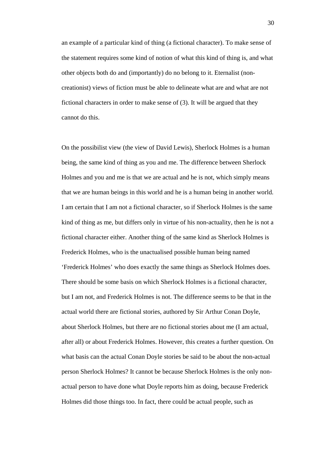an example of a particular kind of thing (a fictional character). To make sense of the statement requires some kind of notion of what this kind of thing is, and what other objects both do and (importantly) do no belong to it. Eternalist (noncreationist) views of fiction must be able to delineate what are and what are not fictional characters in order to make sense of (3). It will be argued that they cannot do this.

On the possibilist view (the view of David Lewis), Sherlock Holmes is a human being, the same kind of thing as you and me. The difference between Sherlock Holmes and you and me is that we are actual and he is not, which simply means that we are human beings in this world and he is a human being in another world. I am certain that I am not a fictional character, so if Sherlock Holmes is the same kind of thing as me, but differs only in virtue of his non-actuality, then he is not a fictional character either. Another thing of the same kind as Sherlock Holmes is Frederick Holmes, who is the unactualised possible human being named 'Frederick Holmes' who does exactly the same things as Sherlock Holmes does. There should be some basis on which Sherlock Holmes is a fictional character, but I am not, and Frederick Holmes is not. The difference seems to be that in the actual world there are fictional stories, authored by Sir Arthur Conan Doyle, about Sherlock Holmes, but there are no fictional stories about me (I am actual, after all) or about Frederick Holmes. However, this creates a further question. On what basis can the actual Conan Doyle stories be said to be about the non-actual person Sherlock Holmes? It cannot be because Sherlock Holmes is the only nonactual person to have done what Doyle reports him as doing, because Frederick Holmes did those things too. In fact, there could be actual people, such as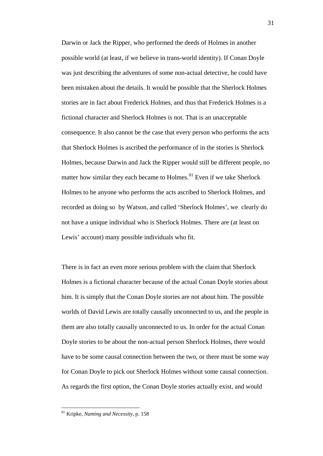Darwin or Jack the Ripper, who performed the deeds of Holmes in another possible world (at least, if we believe in trans-world identity). If Conan Doyle was just describing the adventures of some non-actual detective, he could have been mistaken about the details. It would be possible that the Sherlock Holmes stories are in fact about Frederick Holmes, and thus that Frederick Holmes is a fictional character and Sherlock Holmes is not. That is an unacceptable consequence. It also cannot be the case that every person who performs the acts that Sherlock Holmes is ascribed the performance of in the stories is Sherlock Holmes, because Darwin and Jack the Ripper would still be different people, no matter how similar they each became to Holmes.<sup>[81](#page-32-0)</sup> Even if we take Sherlock Holmes to be anyone who performs the acts ascribed to Sherlock Holmes, and recorded as doing so by Watson, and called 'Sherlock Holmes', we clearly do not have a unique individual who is Sherlock Holmes. There are (at least on Lewis' account) many possible individuals who fit.

There is in fact an even more serious problem with the claim that Sherlock Holmes is a fictional character because of the actual Conan Doyle stories about him. It is simply that the Conan Doyle stories are not about him. The possible worlds of David Lewis are totally causally unconnected to us, and the people in them are also totally causally unconnected to us. In order for the actual Conan Doyle stories to be about the non-actual person Sherlock Holmes, there would have to be some causal connection between the two, or there must be some way for Conan Doyle to pick out Sherlock Holmes without some causal connection. As regards the first option, the Conan Doyle stories actually exist, and would

<span id="page-32-0"></span> <sup>81</sup> Kripke, *Naming and Necessity*, p. 158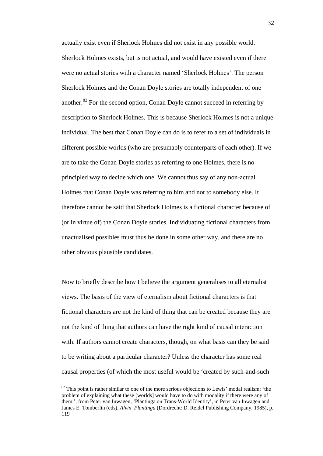actually exist even if Sherlock Holmes did not exist in any possible world. Sherlock Holmes exists, but is not actual, and would have existed even if there were no actual stories with a character named 'Sherlock Holmes'. The person Sherlock Holmes and the Conan Doyle stories are totally independent of one another.<sup>[82](#page-33-0)</sup> For the second option, Conan Doyle cannot succeed in referring by description to Sherlock Holmes. This is because Sherlock Holmes is not a unique individual. The best that Conan Doyle can do is to refer to a set of individuals in different possible worlds (who are presumably counterparts of each other). If we are to take the Conan Doyle stories as referring to one Holmes, there is no principled way to decide which one. We cannot thus say of any non-actual Holmes that Conan Doyle was referring to him and not to somebody else. It therefore cannot be said that Sherlock Holmes is a fictional character because of (or in virtue of) the Conan Doyle stories. Individuating fictional characters from unactualised possibles must thus be done in some other way, and there are no other obvious plausible candidates.

Now to briefly describe how I believe the argument generalises to all eternalist views. The basis of the view of eternalism about fictional characters is that fictional characters are not the kind of thing that can be created because they are not the kind of thing that authors can have the right kind of causal interaction with. If authors cannot create characters, though, on what basis can they be said to be writing about a particular character? Unless the character has some real causal properties (of which the most useful would be 'created by such-and-such

<span id="page-33-0"></span> $82$  This point is rather similar to one of the more serious objections to Lewis' modal realism: 'the problem of explaining what these [worlds] would have to do with modality if there were any of them.', from Peter van Inwagen, 'Plantinga on Trans-World Identity', in Peter van Inwagen and James E. Tomberlin (eds), *Alvin Plantinga* (Dordrecht: D. Reidel Publishing Company, 1985), p. 119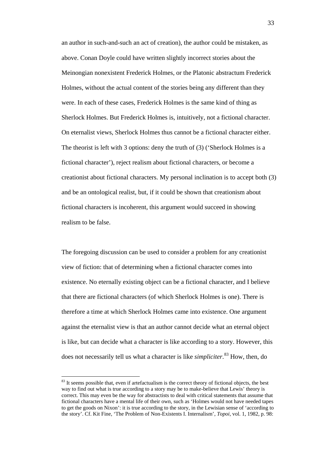an author in such-and-such an act of creation), the author could be mistaken, as above. Conan Doyle could have written slightly incorrect stories about the Meinongian nonexistent Frederick Holmes, or the Platonic abstractum Frederick Holmes, without the actual content of the stories being any different than they were. In each of these cases, Frederick Holmes is the same kind of thing as Sherlock Holmes. But Frederick Holmes is, intuitively, not a fictional character. On eternalist views, Sherlock Holmes thus cannot be a fictional character either. The theorist is left with 3 options: deny the truth of (3) ('Sherlock Holmes is a fictional character'), reject realism about fictional characters, or become a creationist about fictional characters. My personal inclination is to accept both (3) and be an ontological realist, but, if it could be shown that creationism about fictional characters is incoherent, this argument would succeed in showing realism to be false.

The foregoing discussion can be used to consider a problem for any creationist view of fiction: that of determining when a fictional character comes into existence. No eternally existing object can be a fictional character, and I believe that there are fictional characters (of which Sherlock Holmes is one). There is therefore a time at which Sherlock Holmes came into existence. One argument against the eternalist view is that an author cannot decide what an eternal object is like, but can decide what a character is like according to a story. However, this does not necessarily tell us what a character is like *simpliciter*. [83](#page-34-0) How, then, do

<span id="page-34-0"></span><sup>&</sup>lt;sup>83</sup> It seems possible that, even if artefactualism is the correct theory of fictional objects, the best way to find out what is true according to a story may be to make-believe that Lewis' theory is correct. This may even be the way for abstractists to deal with critical statements that assume that fictional characters have a mental life of their own, such as 'Holmes would not have needed tapes to get the goods on Nixon': it is true according to the story, in the Lewisian sense of 'according to the story'. Cf. Kit Fine, 'The Problem of Non-Existents I. Internalism', *Topoi*, vol. 1, 1982, p. 98: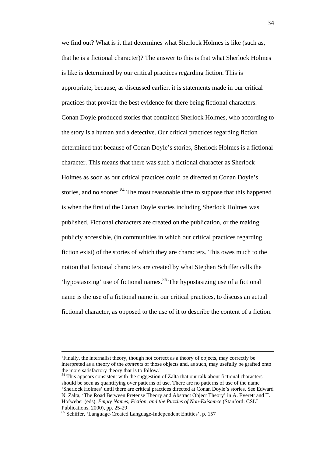we find out? What is it that determines what Sherlock Holmes is like (such as, that he is a fictional character)? The answer to this is that what Sherlock Holmes is like is determined by our critical practices regarding fiction. This is appropriate, because, as discussed earlier, it is statements made in our critical practices that provide the best evidence for there being fictional characters. Conan Doyle produced stories that contained Sherlock Holmes, who according to the story is a human and a detective. Our critical practices regarding fiction determined that because of Conan Doyle's stories, Sherlock Holmes is a fictional character. This means that there was such a fictional character as Sherlock Holmes as soon as our critical practices could be directed at Conan Doyle's stories, and no sooner.<sup>[84](#page-35-0)</sup> The most reasonable time to suppose that this happened is when the first of the Conan Doyle stories including Sherlock Holmes was published. Fictional characters are created on the publication, or the making publicly accessible, (in communities in which our critical practices regarding fiction exist) of the stories of which they are characters. This owes much to the notion that fictional characters are created by what Stephen Schiffer calls the 'hypostasizing' use of fictional names. $85$  The hypostasizing use of a fictional name is the use of a fictional name in our critical practices, to discuss an actual fictional character, as opposed to the use of it to describe the content of a fiction.

 <sup>&#</sup>x27;Finally, the internalist theory, though not correct as a theory of objects, may correctly be interpreted as a theory of the *contents* of those objects and, as such, may usefully be grafted onto

<span id="page-35-0"></span> $84$  This appears consistent with the suggestion of Zalta that our talk about fictional characters should be seen as quantifying over patterns of use. There are no patterns of use of the name 'Sherlock Holmes' until there are critical practices directed at Conan Doyle's stories. See Edward N. Zalta, 'The Road Between Pretense Theory and Abstract Object Theory' in A. Everett and T. Hofweber (eds), *Empty Names, Fiction, and the Puzzles of Non-Existence* (Stanford: CSLI

<span id="page-35-1"></span><sup>85</sup> Schiffer, 'Language-Created Language-Independent Entities', p. 157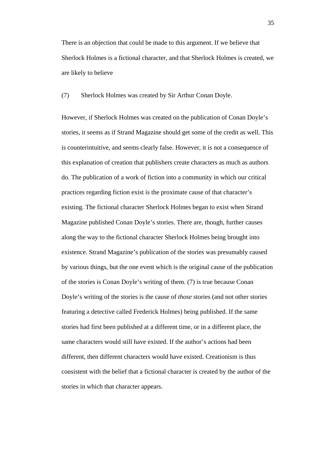There is an objection that could be made to this argument. If we believe that Sherlock Holmes is a fictional character, and that Sherlock Holmes is created, we are likely to believe

(7) Sherlock Holmes was created by Sir Arthur Conan Doyle.

However, if Sherlock Holmes was created on the publication of Conan Doyle's stories, it seems as if Strand Magazine should get some of the credit as well. This is counterintuitive, and seems clearly false. However, it is not a consequence of this explanation of creation that publishers create characters as much as authors do. The publication of a work of fiction into a community in which our critical practices regarding fiction exist is the proximate cause of that character's existing. The fictional character Sherlock Holmes began to exist when Strand Magazine published Conan Doyle's stories. There are, though, further causes along the way to the fictional character Sherlock Holmes being brought into existence. Strand Magazine's publication of the stories was presumably caused by various things, but the one event which is the original cause of the publication of the stories is Conan Doyle's writing of them. (7) is true because Conan Doyle's writing of the stories is the cause of *those* stories (and not other stories featuring a detective called Frederick Holmes) being published. If the same stories had first been published at a different time, or in a different place, the same characters would still have existed. If the author's actions had been different, then different characters would have existed. Creationism is thus consistent with the belief that a fictional character is created by the author of the stories in which that character appears.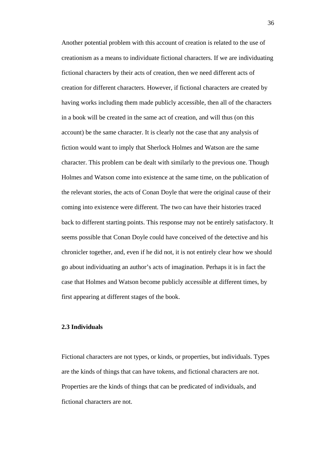Another potential problem with this account of creation is related to the use of creationism as a means to individuate fictional characters. If we are individuating fictional characters by their acts of creation, then we need different acts of creation for different characters. However, if fictional characters are created by having works including them made publicly accessible, then all of the characters in a book will be created in the same act of creation, and will thus (on this account) be the same character. It is clearly not the case that any analysis of fiction would want to imply that Sherlock Holmes and Watson are the same character. This problem can be dealt with similarly to the previous one. Though Holmes and Watson come into existence at the same time, on the publication of the relevant stories, the acts of Conan Doyle that were the original cause of their coming into existence were different. The two can have their histories traced back to different starting points. This response may not be entirely satisfactory. It seems possible that Conan Doyle could have conceived of the detective and his chronicler together, and, even if he did not, it is not entirely clear how we should go about individuating an author's acts of imagination. Perhaps it is in fact the case that Holmes and Watson become publicly accessible at different times, by first appearing at different stages of the book.

# **2.3 Individuals**

Fictional characters are not types, or kinds, or properties, but individuals. Types are the kinds of things that can have tokens, and fictional characters are not. Properties are the kinds of things that can be predicated of individuals, and fictional characters are not.

36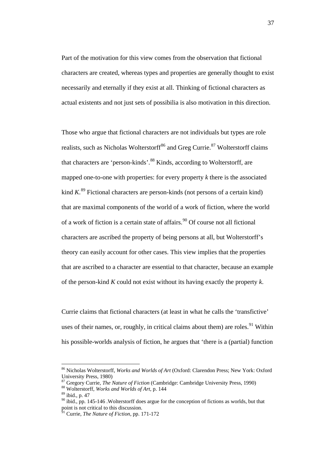Part of the motivation for this view comes from the observation that fictional characters are created, whereas types and properties are generally thought to exist necessarily and eternally if they exist at all. Thinking of fictional characters as actual existents and not just sets of possibilia is also motivation in this direction.

Those who argue that fictional characters are not individuals but types are role realists, such as Nicholas Wolterstorff<sup>[86](#page-38-0)</sup> and Greg Currie.<sup>[87](#page-38-1)</sup> Wolterstorff claims that characters are 'person-kinds'.<sup>[88](#page-38-2)</sup> Kinds, according to Wolterstorff, are mapped one-to-one with properties: for every property *k* there is the associated kind *K*. [89](#page-38-3) Fictional characters are person-kinds (not persons of a certain kind) that are maximal components of the world of a work of fiction, where the world of a work of fiction is a certain state of affairs.<sup>[90](#page-38-4)</sup> Of course not all fictional characters are ascribed the property of being persons at all, but Wolterstorff's theory can easily account for other cases. This view implies that the properties that are ascribed to a character are essential to that character, because an example of the person-kind *K* could not exist without its having exactly the property *k*.

Currie claims that fictional characters (at least in what he calls the 'transfictive' uses of their names, or, roughly, in critical claims about them) are roles.<sup>[91](#page-38-5)</sup> Within his possible-worlds analysis of fiction, he argues that 'there is a (partial) function

<span id="page-38-0"></span> <sup>86</sup> Nicholas Wolterstorff, *Works and Worlds of Art* (Oxford: Clarendon Press; New York: Oxford University Press, 1980)

<span id="page-38-1"></span><sup>&</sup>lt;sup>87</sup> Gregory Currie, *The Nature of Fiction* (Cambridge: Cambridge University Press, 1990) <sup>88</sup> Wolterstorff. *Works and Worlds of Art*, p. 144

<span id="page-38-3"></span><span id="page-38-2"></span><sup>89</sup> ibid., p. 47

<span id="page-38-4"></span> $90$  ibid., pp. 145-146 . Wolterstorff does argue for the conception of fictions as worlds, but that point is not critical to this discussion.

<span id="page-38-5"></span><sup>91</sup> Currie, *The Nature of Fiction*, pp. 171-172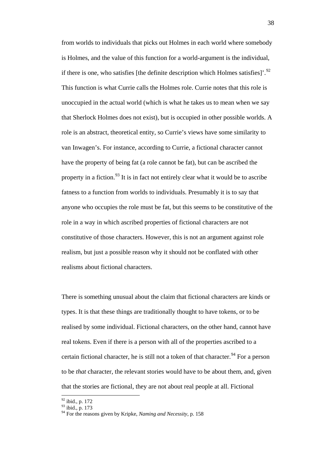from worlds to individuals that picks out Holmes in each world where somebody is Holmes, and the value of this function for a world-argument is the individual, if there is one, who satisfies [the definite description which Holmes satisfies]'.<sup>[92](#page-39-0)</sup> This function is what Currie calls the Holmes role. Currie notes that this role is unoccupied in the actual world (which is what he takes us to mean when we say that Sherlock Holmes does not exist), but is occupied in other possible worlds. A role is an abstract, theoretical entity, so Currie's views have some similarity to van Inwagen's. For instance, according to Currie, a fictional character cannot have the property of being fat (a role cannot be fat), but can be ascribed the property in a fiction.<sup>[93](#page-39-1)</sup> It is in fact not entirely clear what it would be to ascribe fatness to a function from worlds to individuals. Presumably it is to say that anyone who occupies the role must be fat, but this seems to be constitutive of the role in a way in which ascribed properties of fictional characters are not constitutive of those characters. However, this is not an argument against role realism, but just a possible reason why it should not be conflated with other realisms about fictional characters.

There is something unusual about the claim that fictional characters are kinds or types. It is that these things are traditionally thought to have tokens, or to be realised by some individual. Fictional characters, on the other hand, cannot have real tokens. Even if there is a person with all of the properties ascribed to a certain fictional character, he is still not a token of that character.<sup>[94](#page-39-2)</sup> For a person to be *that* character, the relevant stories would have to be about them, and, given that the stories are fictional, they are not about real people at all. Fictional

 $\frac{92 \text{ ibid.}, \text{p. } 172}{92 \text{ ibid.}}$ 

<span id="page-39-0"></span> $93$  ibid., p. 173

<span id="page-39-2"></span><span id="page-39-1"></span><sup>94</sup> For the reasons given by Kripke, *Naming and Necessity*, p. 158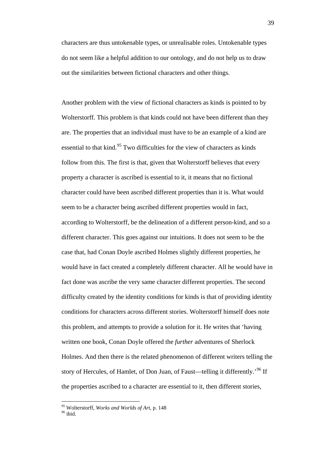characters are thus untokenable types, or unrealisable roles. Untokenable types do not seem like a helpful addition to our ontology, and do not help us to draw out the similarities between fictional characters and other things.

Another problem with the view of fictional characters as kinds is pointed to by Wolterstorff. This problem is that kinds could not have been different than they are. The properties that an individual must have to be an example of a kind are essential to that kind.<sup>[95](#page-40-0)</sup> Two difficulties for the view of characters as kinds follow from this. The first is that, given that Wolterstorff believes that every property a character is ascribed is essential to it, it means that no fictional character could have been ascribed different properties than it is. What would seem to be a character being ascribed different properties would in fact, according to Wolterstorff, be the delineation of a different person-kind, and so a different character. This goes against our intuitions. It does not seem to be the case that, had Conan Doyle ascribed Holmes slightly different properties, he would have in fact created a completely different character. All he would have in fact done was ascribe the very same character different properties. The second difficulty created by the identity conditions for kinds is that of providing identity conditions for characters across different stories. Wolterstorff himself does note this problem, and attempts to provide a solution for it. He writes that 'having written one book, Conan Doyle offered the *further* adventures of Sherlock Holmes. And then there is the related phenomenon of different writers telling the story of Hercules, of Hamlet, of Don Juan, of Faust—telling it differently.<sup>'[96](#page-40-1)</sup> If the properties ascribed to a character are essential to it, then different stories,

<span id="page-40-0"></span> <sup>95</sup> Wolterstorff, *Works and Worlds of Art*, p. 148

<span id="page-40-1"></span> $96$  ibid.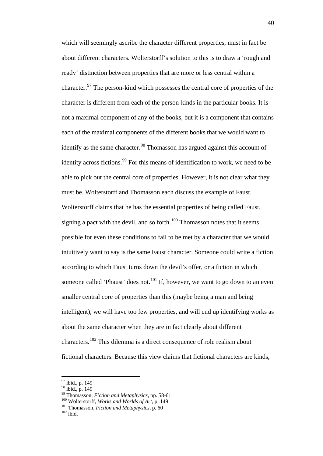which will seemingly ascribe the character different properties, must in fact be about different characters. Wolterstorff's solution to this is to draw a 'rough and ready' distinction between properties that are more or less central within a character.<sup>[97](#page-41-0)</sup> The person-kind which possesses the central core of properties of the character is different from each of the person-kinds in the particular books. It is not a maximal component of any of the books, but it is a component that contains each of the maximal components of the different books that we would want to identify as the same character.<sup>[98](#page-41-1)</sup> Thomasson has argued against this account of identity across fictions.<sup>[99](#page-41-2)</sup> For this means of identification to work, we need to be able to pick out the central core of properties. However, it is not clear what they must be. Wolterstorff and Thomasson each discuss the example of Faust. Wolterstorff claims that he has the essential properties of being called Faust, signing a pact with the devil, and so forth.<sup>[100](#page-41-3)</sup> Thomasson notes that it seems possible for even these conditions to fail to be met by a character that we would intuitively want to say is the same Faust character. Someone could write a fiction according to which Faust turns down the devil's offer, or a fiction in which someone called 'Phaust' does not.<sup>[101](#page-41-4)</sup> If, however, we want to go down to an even smaller central core of properties than this (maybe being a man and being intelligent), we will have too few properties, and will end up identifying works as about the same character when they are in fact clearly about different characters.<sup>[102](#page-41-5)</sup> This dilemma is a direct consequence of role realism about fictional characters. Because this view claims that fictional characters are kinds,

<span id="page-41-0"></span> $\frac{97}{98}$  ibid., p. 149<br> $\frac{98}{96}$  ibid., p. 149

<span id="page-41-1"></span>

<span id="page-41-3"></span><span id="page-41-2"></span><sup>&</sup>lt;sup>99</sup> Thomasson, *Fiction and Metaphysics*, pp. 58-61<br><sup>100</sup> Wolterstorff, *Works and Worlds of Art*, p. 149<br><sup>101</sup> Thomasson, *Fiction and Metaphysics*, p. 60<br><sup>102</sup> ibid.

<span id="page-41-5"></span><span id="page-41-4"></span>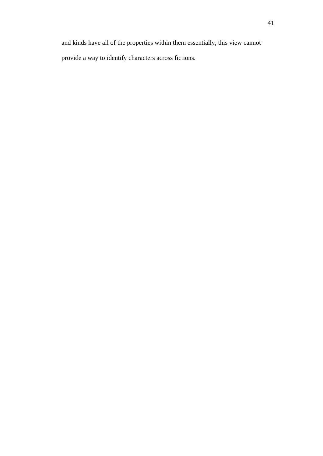and kinds have all of the properties within them essentially, this view cannot provide a way to identify characters across fictions.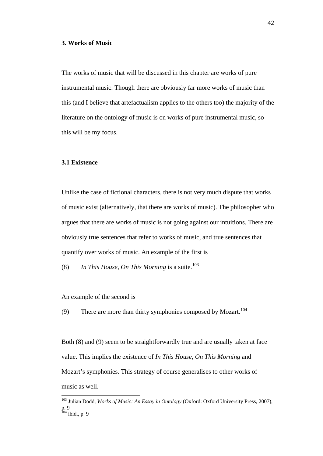## **3. Works of Music**

The works of music that will be discussed in this chapter are works of pure instrumental music. Though there are obviously far more works of music than this (and I believe that artefactualism applies to the others too) the majority of the literature on the ontology of music is on works of pure instrumental music, so this will be my focus.

## **3.1 Existence**

Unlike the case of fictional characters, there is not very much dispute that works of music exist (alternatively, that there are works of music). The philosopher who argues that there are works of music is not going against our intuitions. There are obviously true sentences that refer to works of music, and true sentences that quantify over works of music. An example of the first is

(8) In This House, On This Morning is a suite.<sup>[103](#page-43-0)</sup>

An example of the second is

(9) There are more than thirty symphonies composed by Mozart.<sup>[104](#page-43-1)</sup>

Both (8) and (9) seem to be straightforwardly true and are usually taken at face value. This implies the existence of *In This House, On This Morning* and Mozart's symphonies. This strategy of course generalises to other works of music as well.

<span id="page-43-1"></span><span id="page-43-0"></span> <sup>103</sup> Julian Dodd, *Works of Music: An Essay in Ontology* (Oxford: Oxford University Press, 2007), p. 9  $104$  ibid., p. 9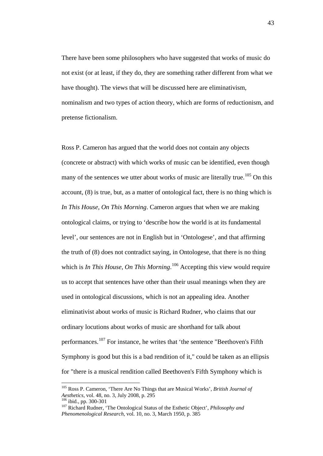There have been some philosophers who have suggested that works of music do not exist (or at least, if they do, they are something rather different from what we have thought). The views that will be discussed here are eliminativism, nominalism and two types of action theory, which are forms of reductionism, and pretense fictionalism.

Ross P. Cameron has argued that the world does not contain any objects (concrete or abstract) with which works of music can be identified, even though many of the sentences we utter about works of music are literally true.<sup>[105](#page-44-0)</sup> On this account, (8) is true, but, as a matter of ontological fact, there is no thing which is *In This House, On This Morning*. Cameron argues that when we are making ontological claims, or trying to 'describe how the world is at its fundamental level', our sentences are not in English but in 'Ontologese', and that affirming the truth of (8) does not contradict saying, in Ontologese, that there is no thing which is *In This House, On This Morning*.<sup>[106](#page-44-1)</sup> Accepting this view would require us to accept that sentences have other than their usual meanings when they are used in ontological discussions, which is not an appealing idea. Another eliminativist about works of music is Richard Rudner, who claims that our ordinary locutions about works of music are shorthand for talk about performances.<sup>[107](#page-44-2)</sup> For instance, he writes that 'the sentence "Beethoven's Fifth Symphony is good but this is a bad rendition of it," could be taken as an ellipsis for "there is a musical rendition called Beethoven's Fifth Symphony which is

<span id="page-44-0"></span> <sup>105</sup> Ross P. Cameron, 'There Are No Things that are Musical Works', *British Journal of Aesthetics*, vol. 48, no. 3, July 2008, p. 295<br><sup>106</sup> ibid., pp. 300-301

<span id="page-44-2"></span><span id="page-44-1"></span><sup>106</sup> ibid., pp. 300-301 <sup>107</sup> Richard Rudner, 'The Ontological Status of the Esthetic Object', *Philosophy and Phenomenological Research*, vol. 10, no. 3, March 1950, p. 385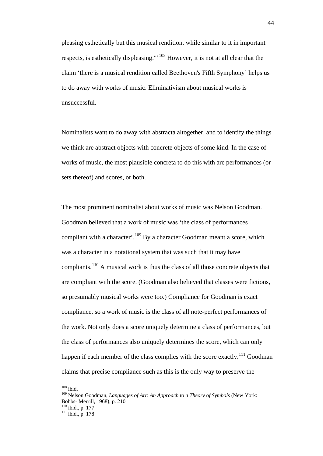pleasing esthetically but this musical rendition, while similar to it in important respects, is esthetically displeasing."<sup>[108](#page-45-0)</sup> However, it is not at all clear that the claim 'there is a musical rendition called Beethoven's Fifth Symphony' helps us to do away with works of music. Eliminativism about musical works is unsuccessful.

Nominalists want to do away with abstracta altogether, and to identify the things we think are abstract objects with concrete objects of some kind. In the case of works of music, the most plausible concreta to do this with are performances (or sets thereof) and scores, or both.

The most prominent nominalist about works of music was Nelson Goodman. Goodman believed that a work of music was 'the class of performances compliant with a character'.<sup>[109](#page-45-1)</sup> By a character Goodman meant a score, which was a character in a notational system that was such that it may have compliants.<sup>[110](#page-45-2)</sup> A musical work is thus the class of all those concrete objects that are compliant with the score. (Goodman also believed that classes were fictions, so presumably musical works were too.) Compliance for Goodman is exact compliance, so a work of music is the class of all note-perfect performances of the work. Not only does a score uniquely determine a class of performances, but the class of performances also uniquely determines the score, which can only happen if each member of the class complies with the score exactly.<sup>[111](#page-45-3)</sup> Goodman claims that precise compliance such as this is the only way to preserve the

<span id="page-45-0"></span> $108$  ibid.

<span id="page-45-1"></span><sup>109</sup> Nelson Goodman, *Languages of Art: An Approach to a Theory of Symbols* (New York: Bobbs- Merrill, 1968), p. 210<br><sup>110</sup> ibid., p. 177<br><sup>111</sup> ibid., p. 178

<span id="page-45-3"></span><span id="page-45-2"></span>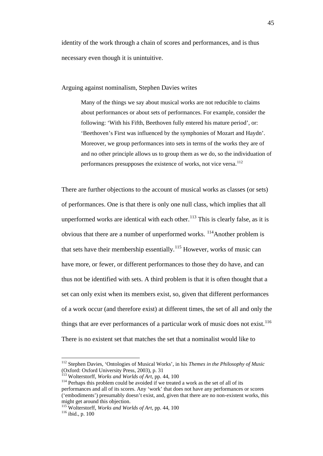identity of the work through a chain of scores and performances, and is thus necessary even though it is unintuitive.

Arguing against nominalism, Stephen Davies writes

Many of the things we say about musical works are not reducible to claims about performances or about sets of performances. For example, consider the following: 'With his Fifth, Beethoven fully entered his mature period', or: 'Beethoven's First was influenced by the symphonies of Mozart and Haydn'. Moreover, we group performances into sets in terms of the works they are of and no other principle allows us to group them as we do, so the individuation of performances presupposes the existence of works, not vice versa.<sup>[112](#page-46-0)</sup>

There are further objections to the account of musical works as classes (or sets) of performances. One is that there is only one null class, which implies that all unperformed works are identical with each other.<sup>[113](#page-46-1)</sup> This is clearly false, as it is obvious that there are a number of unperformed works.  $114$ Another problem is that sets have their membership essentially.<sup>[115](#page-46-3)</sup> However, works of music can have more, or fewer, or different performances to those they do have, and can thus not be identified with sets. A third problem is that it is often thought that a set can only exist when its members exist, so, given that different performances of a work occur (and therefore exist) at different times, the set of all and only the things that are ever performances of a particular work of music does not exist.<sup>[116](#page-46-4)</sup> There is no existent set that matches the set that a nominalist would like to

<span id="page-46-0"></span> <sup>112</sup> Stephen Davies, 'Ontologies of Musical Works', in his *Themes in the Philosophy of Music* (Oxford: Oxford University Press, 2003), p. 31<br><sup>113</sup> Wolterstorff, *Works and Worlds of Art*, pp. 44, 100

<span id="page-46-1"></span>

<span id="page-46-2"></span><sup>&</sup>lt;sup>114</sup> Perhaps this problem could be avoided if we treated a work as the set of all of its performances and all of its scores. Any 'work' that does not have any performances or scores ('embodiments') presumably doesn't exist, and, given that there are no non-existent works, this might get around this objection.

<span id="page-46-4"></span><span id="page-46-3"></span><sup>&</sup>lt;sup>115</sup> Wolterstorff, *Works and Worlds of Art*, pp. 44, 100<sup>16</sup> ibid., p. 100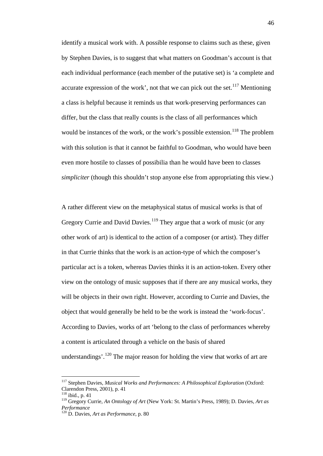identify a musical work with. A possible response to claims such as these, given by Stephen Davies, is to suggest that what matters on Goodman's account is that each individual performance (each member of the putative set) is 'a complete and accurate expression of the work', not that we can pick out the set.<sup>[117](#page-47-0)</sup> Mentioning a class is helpful because it reminds us that work-preserving performances can differ, but the class that really counts is the class of all performances which would be instances of the work, or the work's possible extension.<sup>[118](#page-47-1)</sup> The problem with this solution is that it cannot be faithful to Goodman, who would have been even more hostile to classes of possibilia than he would have been to classes *simpliciter* (though this shouldn't stop anyone else from appropriating this view.)

A rather different view on the metaphysical status of musical works is that of Gregory Currie and David Davies.<sup>[119](#page-47-2)</sup> They argue that a work of music (or any other work of art) is identical to the action of a composer (or artist). They differ in that Currie thinks that the work is an action-type of which the composer's particular act is a token, whereas Davies thinks it is an action-token. Every other view on the ontology of music supposes that if there are any musical works, they will be objects in their own right. However, according to Currie and Davies, the object that would generally be held to be the work is instead the 'work-focus'. According to Davies, works of art 'belong to the class of performances whereby a content is articulated through a vehicle on the basis of shared understandings'.<sup>[120](#page-47-3)</sup> The major reason for holding the view that works of art are

<span id="page-47-0"></span> <sup>117</sup> Stephen Davies, *Musical Works and Performances: A Philosophical Exploration* (Oxford: Clarendon Press, 2001), p. 41

<span id="page-47-1"></span><sup>118</sup> ibid., p. 41

<span id="page-47-2"></span><sup>119</sup> Gregory Currie, *An Ontology of Art* (New York: St. Martin's Press, 1989); D. Davies, *Art as Performance*

<span id="page-47-3"></span><sup>120</sup> D. Davies, *Art as Performance*, p. 80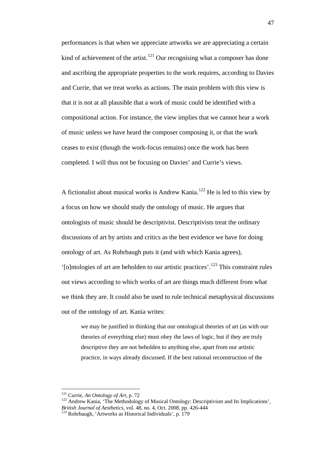performances is that when we appreciate artworks we are appreciating a certain kind of achievement of the artist.<sup>[121](#page-48-0)</sup> Our recognising what a composer has done and ascribing the appropriate properties to the work requires, according to Davies and Currie, that we treat works as actions. The main problem with this view is that it is not at all plausible that a work of music could be identified with a compositional action. For instance, the view implies that we cannot hear a work of music unless we have heard the composer composing it, or that the work ceases to exist (though the work-focus remains) once the work has been completed. I will thus not be focusing on Davies' and Currie's views.

A fictionalist about musical works is Andrew Kania.<sup>[122](#page-48-1)</sup> He is led to this view by a focus on how we should study the ontology of music. He argues that ontologists of music should be descriptivist. Descriptivists treat the ordinary discussions of art by artists and critics as the best evidence we have for doing ontology of art. As Rohrbaugh puts it (and with which Kania agrees), '[o]ntologies of art are beholden to our artistic practices'.<sup>[123](#page-48-2)</sup> This constraint rules out views according to which works of art are things much different from what we think they are. It could also be used to rule technical metaphysical discussions out of the ontology of art. Kania writes:

we may be justified in thinking that our ontological theories of art (as with our theories of everything else) must obey the laws of logic, but if they are truly descriptive they are not beholden to anything else, apart from our artistic practice, in ways already discussed. If the best rational reconstruction of the

<span id="page-48-1"></span><span id="page-48-0"></span><sup>&</sup>lt;sup>121</sup> Currie, *An Ontology of Art*, p. 72<br><sup>122</sup> Andrew Kania, 'The Methodology of Musical Ontology: Descriptivism and Its Implications',<br>*British Journal of Aesthetics*. vol. 48, no. 4, Oct. 2008, pp. 426-444

<span id="page-48-2"></span><sup>&</sup>lt;sup>123</sup> Rohrbaugh, 'Artworks as Historical Individuals', p. 179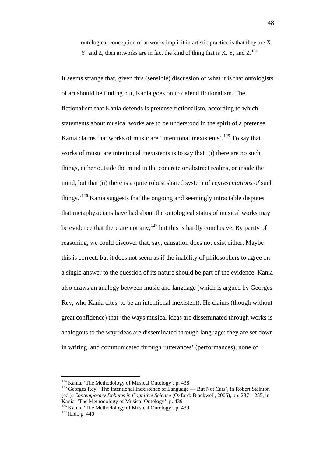ontological conception of artworks implicit in artistic practice is that they are X, Y, and Z, then artworks are in fact the kind of thing that is X, Y, and  $Z^{124}$  $Z^{124}$  $Z^{124}$ .

It seems strange that, given this (sensible) discussion of what it is that ontologists of art should be finding out, Kania goes on to defend fictionalism. The fictionalism that Kania defends is pretense fictionalism, according to which statements about musical works are to be understood in the spirit of a pretense. Kania claims that works of music are 'intentional inexistents'.<sup>[125](#page-49-1)</sup> To say that works of music are intentional inexistents is to say that '(i) there are no such things, either outside the mind in the concrete or abstract realms, or inside the mind, but that (ii) there is a quite robust shared system of *representations of* such things.<sup>'[126](#page-49-2)</sup> Kania suggests that the ongoing and seemingly intractable disputes that metaphysicians have had about the ontological status of musical works may be evidence that there are not any,  $127$  but this is hardly conclusive. By parity of reasoning, we could discover that, say, causation does not exist either. Maybe this is correct, but it does not seem as if the inability of philosophers to agree on a single answer to the question of its nature should be part of the evidence. Kania also draws an analogy between music and language (which is argued by Georges Rey, who Kania cites, to be an intentional inexistent). He claims (though without great confidence) that 'the ways musical ideas are disseminated through works is analogous to the way ideas are disseminated through language: they are set down in writing, and communicated through 'utterances' (performances), none of

<span id="page-49-0"></span> $124$  Kania, 'The Methodology of Musical Ontology', p. 438

<span id="page-49-1"></span> $125$  Georges Rey, 'The Intentional Inexistence of Language — But Not Cars', in Robert Stainton (ed.), *Contemporary Debates in Cognitive Science* (Oxford: Blackwell, 2006), pp. 237 – 255, in Kania, 'The Methodology of Musical Ontology', p. 439

<span id="page-49-3"></span><span id="page-49-2"></span> $\frac{126}{127}$  Kania, 'The Methodology of Musical Ontology', p. 439  $\frac{127}{127}$  ibid., p. 440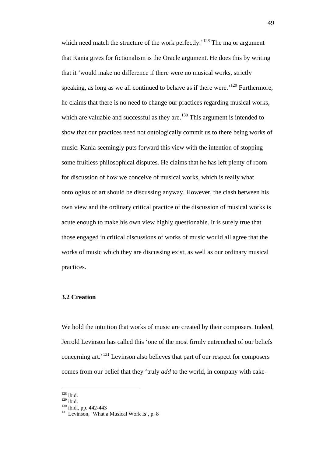which need match the structure of the work perfectly.<sup> $128$ </sup> The major argument that Kania gives for fictionalism is the Oracle argument. He does this by writing that it 'would make no difference if there were no musical works, strictly speaking, as long as we all continued to behave as if there were.<sup>'[129](#page-50-1)</sup> Furthermore, he claims that there is no need to change our practices regarding musical works, which are valuable and successful as they are.<sup>[130](#page-50-2)</sup> This argument is intended to show that our practices need not ontologically commit us to there being works of music. Kania seemingly puts forward this view with the intention of stopping some fruitless philosophical disputes. He claims that he has left plenty of room for discussion of how we conceive of musical works, which is really what ontologists of art should be discussing anyway. However, the clash between his own view and the ordinary critical practice of the discussion of musical works is acute enough to make his own view highly questionable. It is surely true that those engaged in critical discussions of works of music would all agree that the works of music which they are discussing exist, as well as our ordinary musical practices.

# **3.2 Creation**

We hold the intuition that works of music are created by their composers. Indeed, Jerrold Levinson has called this 'one of the most firmly entrenched of our beliefs concerning art.<sup>'[131](#page-50-3)</sup> Levinson also believes that part of our respect for composers comes from our belief that they 'truly *add* to the world, in company with cake-

<span id="page-50-0"></span> $\begin{array}{c} 128 \\ 129 \end{array}$ ibid.

<span id="page-50-3"></span><span id="page-50-2"></span><span id="page-50-1"></span> $\frac{130}{130}$  ibid., pp. 442-443<br> $\frac{131}{131}$  Levinson, 'What a Musical Work Is', p. 8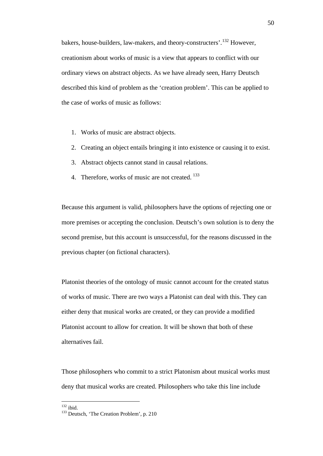bakers, house-builders, law-makers, and theory-constructers'.[132](#page-51-0) However, creationism about works of music is a view that appears to conflict with our ordinary views on abstract objects. As we have already seen, Harry Deutsch described this kind of problem as the 'creation problem'. This can be applied to the case of works of music as follows:

- 1. Works of music are abstract objects.
- 2. Creating an object entails bringing it into existence or causing it to exist.
- 3. Abstract objects cannot stand in causal relations.
- 4. Therefore, works of music are not created. <sup>[133](#page-51-1)</sup>

Because this argument is valid, philosophers have the options of rejecting one or more premises or accepting the conclusion. Deutsch's own solution is to deny the second premise, but this account is unsuccessful, for the reasons discussed in the previous chapter (on fictional characters).

Platonist theories of the ontology of music cannot account for the created status of works of music. There are two ways a Platonist can deal with this. They can either deny that musical works are created, or they can provide a modified Platonist account to allow for creation. It will be shown that both of these alternatives fail.

Those philosophers who commit to a strict Platonism about musical works must deny that musical works are created. Philosophers who take this line include

<span id="page-51-1"></span><span id="page-51-0"></span> $132$  ibid.<br>  $133$  Deutsch, 'The Creation Problem', p. 210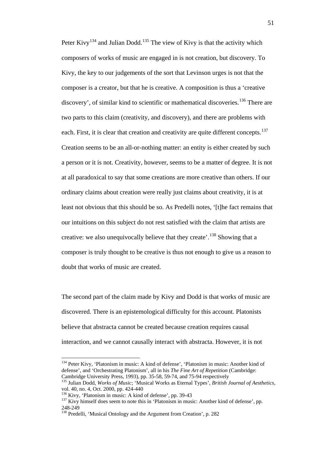Peter Kivy<sup>[134](#page-52-0)</sup> and Julian Dodd.<sup>[135](#page-52-1)</sup> The view of Kivy is that the activity which composers of works of music are engaged in is not creation, but discovery. To Kivy, the key to our judgements of the sort that Levinson urges is not that the composer is a creator, but that he is creative. A composition is thus a 'creative discovery', of similar kind to scientific or mathematical discoveries.<sup>[136](#page-52-2)</sup> There are two parts to this claim (creativity, and discovery), and there are problems with each. First, it is clear that creation and creativity are quite different concepts.<sup>[137](#page-52-3)</sup> Creation seems to be an all-or-nothing matter: an entity is either created by such a person or it is not. Creativity, however, seems to be a matter of degree. It is not at all paradoxical to say that some creations are more creative than others. If our ordinary claims about creation were really just claims about creativity, it is at least not obvious that this should be so. As Predelli notes, '[t]he fact remains that our intuitions on this subject do not rest satisfied with the claim that artists are creative: we also unequivocally believe that they create'.<sup>[138](#page-52-4)</sup> Showing that a composer is truly thought to be creative is thus not enough to give us a reason to doubt that works of music are created.

The second part of the claim made by Kivy and Dodd is that works of music are discovered. There is an epistemological difficulty for this account. Platonists believe that abstracta cannot be created because creation requires causal interaction, and we cannot causally interact with abstracta. However, it is not

<span id="page-52-0"></span><sup>&</sup>lt;sup>134</sup> Peter Kivy, 'Platonism in music: A kind of defense', 'Platonism in music: Another kind of defense', and 'Orchestrating Platonism', all in his *The Fine Art of Repetition* (Cambridge:

<span id="page-52-1"></span><sup>&</sup>lt;sup>135</sup> Julian Dodd, *Works of Music*; 'Musical Works as Eternal Types', *British Journal of Aesthetics*, vol. 40, no. 4, Oct. 2000, pp. 424-440

<span id="page-52-3"></span><span id="page-52-2"></span><sup>&</sup>lt;sup>136</sup> Kivy, 'Platonism in music: A kind of defense', pp. 39-43<br><sup>137</sup> Kivy himself does seem to note this in 'Platonism in music: Another kind of defense', pp.<br>248-249

<span id="page-52-4"></span><sup>&</sup>lt;sup>138</sup> Predelli, 'Musical Ontology and the Argument from Creation', p. 282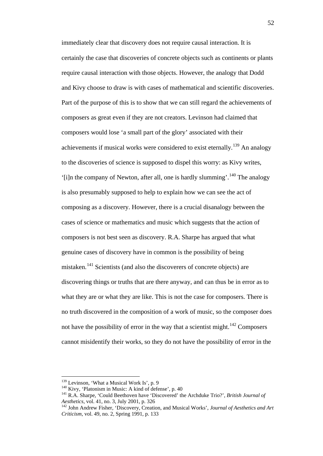immediately clear that discovery does not require causal interaction. It is certainly the case that discoveries of concrete objects such as continents or plants require causal interaction with those objects. However, the analogy that Dodd and Kivy choose to draw is with cases of mathematical and scientific discoveries. Part of the purpose of this is to show that we can still regard the achievements of composers as great even if they are not creators. Levinson had claimed that composers would lose 'a small part of the glory' associated with their achievements if musical works were considered to exist eternally.<sup>[139](#page-53-0)</sup> An analogy to the discoveries of science is supposed to dispel this worry: as Kivy writes, '[i]n the company of Newton, after all, one is hardly slumming'.[140](#page-53-1) The analogy is also presumably supposed to help to explain how we can see the act of composing as a discovery. However, there is a crucial disanalogy between the cases of science or mathematics and music which suggests that the action of composers is not best seen as discovery. R.A. Sharpe has argued that what genuine cases of discovery have in common is the possibility of being mistaken.<sup>[141](#page-53-2)</sup> Scientists (and also the discoverers of concrete objects) are discovering things or truths that are there anyway, and can thus be in error as to what they are or what they are like. This is not the case for composers. There is no truth discovered in the composition of a work of music, so the composer does not have the possibility of error in the way that a scientist might.<sup>[142](#page-53-3)</sup> Composers cannot misidentify their works, so they do not have the possibility of error in the

<span id="page-53-1"></span><span id="page-53-0"></span><sup>&</sup>lt;sup>139</sup> Levinson, 'What a Musical Work Is', p. 9<br><sup>140</sup> Kivy, 'Platonism in Music: A kind of defense', p. 40

<span id="page-53-2"></span><sup>&</sup>lt;sup>141</sup> R.A. Sharpe, 'Could Beethoven have 'Discovered' the Archduke Trio?', *British Journal of Aesthetics*, vol. 41, no. 3. July 2001, p. 326

<span id="page-53-3"></span>*Aesthetics*, vol. 41, no. 3, July 2001, p. 326 <sup>142</sup> John Andrew Fisher, 'Discovery, Creation, and Musical Works', *Journal of Aesthetics and Art Criticism*, vol. 49, no. 2, Spring 1991, p. 133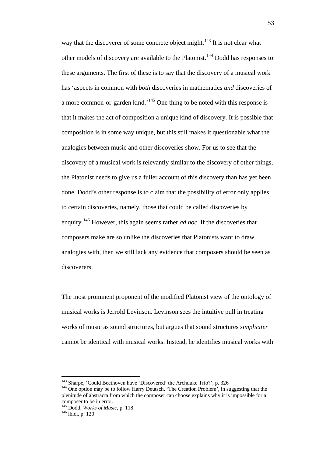way that the discoverer of some concrete object might.<sup>[143](#page-54-0)</sup> It is not clear what other models of discovery are available to the Platonist.[144](#page-54-1) Dodd has responses to these arguments. The first of these is to say that the discovery of a musical work has 'aspects in common with *both* discoveries in mathematics *and* discoveries of a more common-or-garden kind.'[145](#page-54-2) One thing to be noted with this response is that it makes the act of composition a unique kind of discovery. It is possible that composition is in some way unique, but this still makes it questionable what the analogies between music and other discoveries show. For us to see that the discovery of a musical work is relevantly similar to the discovery of other things, the Platonist needs to give us a fuller account of this discovery than has yet been done. Dodd's other response is to claim that the possibility of error only applies to certain discoveries, namely, those that could be called discoveries by enquiry.[146](#page-54-3) However, this again seems rather *ad hoc*. If the discoveries that composers make are so unlike the discoveries that Platonists want to draw analogies with, then we still lack any evidence that composers should be seen as discoverers.

The most prominent proponent of the modified Platonist view of the ontology of musical works is Jerrold Levinson. Levinson sees the intuitive pull in treating works of music as sound structures, but argues that sound structures *simpliciter* cannot be identical with musical works. Instead, he identifies musical works with

<span id="page-54-1"></span><span id="page-54-0"></span><sup>&</sup>lt;sup>143</sup> Sharpe, 'Could Beethoven have 'Discovered' the Archduke Trio?', p. 326  $144$  One option may be to follow Harry Deutsch, 'The Creation Problem', in suggesting that the plenitude of abstracta from which the composer can choose explains why it is impossible for a composer to be in error.

<span id="page-54-3"></span><span id="page-54-2"></span><sup>145</sup> Dodd, *Works of Music*, p. 118<br><sup>146</sup> ibid., p. 120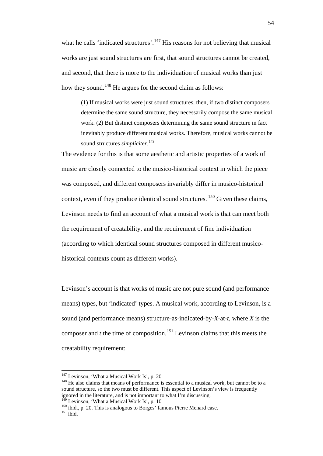what he calls 'indicated structures'.<sup>[147](#page-55-0)</sup> His reasons for not believing that musical works are just sound structures are first, that sound structures cannot be created, and second, that there is more to the individuation of musical works than just how they sound.<sup>[148](#page-55-1)</sup> He argues for the second claim as follows:

(1) If musical works were just sound structures, then, if two distinct composers determine the same sound structure, they necessarily compose the same musical work. (2) But distinct composers determining the same sound structure in fact inevitably produce different musical works. Therefore, musical works cannot be sound structures *simpliciter*. [149](#page-55-2)

The evidence for this is that some aesthetic and artistic properties of a work of music are closely connected to the musico-historical context in which the piece was composed, and different composers invariably differ in musico-historical context, even if they produce identical sound structures.  $150$  Given these claims, Levinson needs to find an account of what a musical work is that can meet both the requirement of creatability, and the requirement of fine individuation (according to which identical sound structures composed in different musicohistorical contexts count as different works).

Levinson's account is that works of music are not pure sound (and performance means) types, but 'indicated' types. A musical work, according to Levinson, is a sound (and performance means) structure-as-indicated-by-*X*-at-*t*, where *X* is the composer and  $t$  the time of composition.<sup>[151](#page-55-4)</sup> Levinson claims that this meets the creatability requirement:

<span id="page-55-0"></span><sup>&</sup>lt;sup>147</sup> Levinson, 'What a Musical Work Is', p. 20

<span id="page-55-1"></span> $148$  He also claims that means of performance is essential to a musical work, but cannot be to a sound structure, so the two must be different. This aspect of Levinson's view is frequently ignored in the literature, and is not important to what I'm discussing.  $149$  Levinson, 'What a Musical Work Is', p. 10

<span id="page-55-4"></span><span id="page-55-3"></span><span id="page-55-2"></span> $\frac{150 \text{ lbid}}{151 \text{ ibid}}$ , p. 20. This is analogous to Borges' famous Pierre Menard case.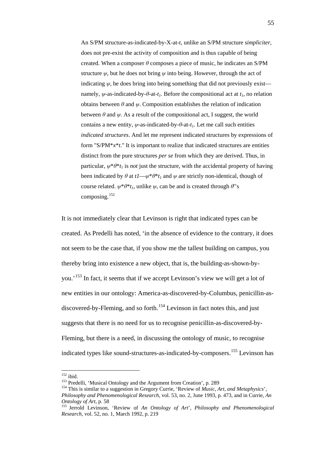An S/PM structure-as-indicated-by-X-at-*t*, unlike an S/PM structure *simpliciter*, does not pre-exist the activity of composition and is thus capable of being created. When a composer *θ* composes a piece of music, he indicates an S/PM structure  $\psi$ , but he does not bring  $\psi$  into being. However, through the act of indicating  $\psi$ , he does bring into being something that did not previously exist namely,  $\psi$ -as-indicated-by- $\theta$ -at-*t<sub>1</sub>*. Before the compositional act at *t<sub>1</sub>*, no relation obtains between  $\theta$  and  $\psi$ . Composition establishes the relation of indication between  $\theta$  and  $\psi$ . As a result of the compositional act, I suggest, the world contains a new entity,  $\psi$ -as-indicated-by- $\theta$ -at- $t_1$ . Let me call such entities *indicated structures*. And let me represent indicated structures by expressions of form "S/PM\**x*\**t*." It is important to realize that indicated structures are entities distinct from the pure structures *per se* from which they are derived. Thus, in particular,  $w^*\theta^*t_1$  is *not* just the structure, with the accidental property of having been indicated by  $\theta$  at  $tI - \psi^* \theta^* t_I$  and  $\psi$  are strictly non-identical, though of course related.  $\psi^* \theta^* t_1$ , unlike  $\psi$ , can be and is created through  $\theta$ ''s composing.[152](#page-56-0)

It is not immediately clear that Levinson is right that indicated types can be created. As Predelli has noted, 'in the absence of evidence to the contrary, it does not seem to be the case that, if you show me the tallest building on campus, you thereby bring into existence a new object, that is, the building-as-shown-by-you.<sup>[153](#page-56-1)</sup> In fact, it seems that if we accept Levinson's view we will get a lot of new entities in our ontology: America-as-discovered-by-Columbus, penicillin-as-discovered-by-Fleming, and so forth.<sup>[154](#page-56-2)</sup> Levinson in fact notes this, and just suggests that there is no need for us to recognise penicillin-as-discovered-by-Fleming, but there is a need, in discussing the ontology of music, to recognise indicated types like sound-structures-as-indicated-by-composers.<sup>[155](#page-56-3)</sup> Levinson has

<span id="page-56-0"></span> $152$  ibid.<br><sup>152</sup> ibid.<br><sup>153</sup> Predelli, 'Musical Ontology and the Argument from Creation', p. 289

<span id="page-56-2"></span><span id="page-56-1"></span><sup>&</sup>lt;sup>154</sup> This is similar to a suggestion in Gregory Currie, 'Review of *Music, Art, and Metaphysics*', *Philosophy and Phenomenological Research*, vol. 53, no. 2, June 1993, p. 473, and in Currie, *An Ontology of Art*, p. 58 **155 Jerrold Levinson, 'Review of** *An Ontology of Art***',** *Philosophy and Phenomenological* **<b>155** 

<span id="page-56-3"></span>*Research*, vol. 52, no. 1, March 1992, p. 219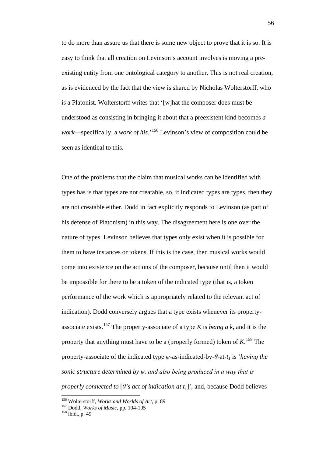to do more than assure us that there is some new object to prove that it is so. It is easy to think that all creation on Levinson's account involves is moving a preexisting entity from one ontological category to another. This is not real creation, as is evidenced by the fact that the view is shared by Nicholas Wolterstorff, who is a Platonist. Wolterstorff writes that '[w]hat the composer does must be understood as consisting in bringing it about that a preexistent kind becomes *a work*—specifically, a *work of his*.'[156](#page-57-0) Levinson's view of composition could be seen as identical to this.

One of the problems that the claim that musical works can be identified with types has is that types are not creatable, so, if indicated types are types, then they are not creatable either. Dodd in fact explicitly responds to Levinson (as part of his defense of Platonism) in this way. The disagreement here is one over the nature of types. Levinson believes that types only exist when it is possible for them to have instances or tokens. If this is the case, then musical works would come into existence on the actions of the composer, because until then it would be impossible for there to be a token of the indicated type (that is, a token performance of the work which is appropriately related to the relevant act of indication). Dodd conversely argues that a type exists whenever its property-associate exists.<sup>[157](#page-57-1)</sup> The property-associate of a type *K* is *being a k*, and it is the property that anything must have to be a (properly formed) token of *K*. [158](#page-57-2) The property-associate of the indicated type *ψ*-as-indicated-by-*θ*-at-*t1* is '*having the sonic structure determined by ψ, and also being produced in a way that is properly connected to*  $[\theta]$ *'s act of indication at t<sub>1</sub>]*', and, because Dodd believes

<span id="page-57-0"></span> <sup>156</sup> Wolterstorff, *Works and Worlds of Art*, p. 89

<span id="page-57-2"></span><span id="page-57-1"></span><sup>&</sup>lt;sup>157</sup> Dodd, *Works of Music*, pp. 104-105<sup>158</sup> ibid., p. 49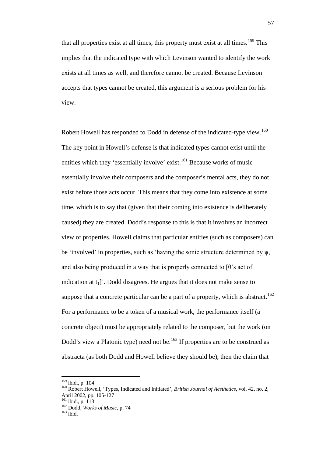that all properties exist at all times, this property must exist at all times.<sup>[159](#page-58-0)</sup> This implies that the indicated type with which Levinson wanted to identify the work exists at all times as well, and therefore cannot be created. Because Levinson accepts that types cannot be created, this argument is a serious problem for his view.

Robert Howell has responded to Dodd in defense of the indicated-type view.<sup>[160](#page-58-1)</sup> The key point in Howell's defense is that indicated types cannot exist until the entities which they 'essentially involve' exist.<sup>[161](#page-58-2)</sup> Because works of music essentially involve their composers and the composer's mental acts, they do not exist before those acts occur. This means that they come into existence at some time, which is to say that (given that their coming into existence is deliberately caused) they are created. Dodd's response to this is that it involves an incorrect view of properties. Howell claims that particular entities (such as composers) can be 'involved' in properties, such as 'having the sonic structure determined by ψ, and also being produced in a way that is properly connected to  $[\theta]$ 's act of indication at  $t_1$ ]'. Dodd disagrees. He argues that it does not make sense to suppose that a concrete particular can be a part of a property, which is abstract.<sup>[162](#page-58-3)</sup> For a performance to be a token of a musical work, the performance itself (a concrete object) must be appropriately related to the composer, but the work (on Dodd's view a Platonic type) need not be.<sup>[163](#page-58-4)</sup> If properties are to be construed as abstracta (as both Dodd and Howell believe they should be), then the claim that

 <sup>159</sup> ibid., p. 104

<span id="page-58-1"></span><span id="page-58-0"></span><sup>&</sup>lt;sup>160</sup> Robert Howell, 'Types, Indicated and Initiated', *British Journal of Aesthetics*, vol. 42, no. 2,<br>April 2002, pp. 105-127<br><sup>161</sup> ibid.

<span id="page-58-3"></span><span id="page-58-2"></span><sup>&</sup>lt;sup>161</sup> ibid., p. 113<br><sup>162</sup> Dodd, *Works of Music*, p. 74<br><sup>163</sup> ibid.

<span id="page-58-4"></span>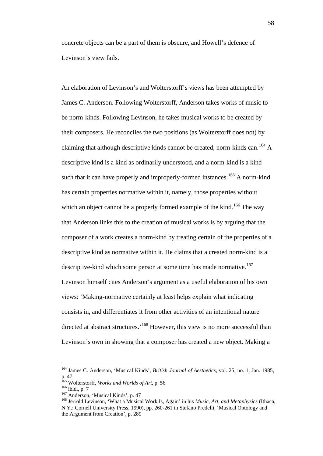concrete objects can be a part of them is obscure, and Howell's defence of Levinson's view fails.

An elaboration of Levinson's and Wolterstorff's views has been attempted by James C. Anderson. Following Wolterstorff, Anderson takes works of music to be norm-kinds. Following Levinson, he takes musical works to be created by their composers. He reconciles the two positions (as Wolterstorff does not) by claiming that although descriptive kinds cannot be created, norm-kinds can.<sup>[164](#page-59-0)</sup> A descriptive kind is a kind as ordinarily understood, and a norm-kind is a kind such that it can have properly and improperly-formed instances.<sup>[165](#page-59-1)</sup> A norm-kind has certain properties normative within it, namely, those properties without which an object cannot be a properly formed example of the kind.<sup>[166](#page-59-2)</sup> The way that Anderson links this to the creation of musical works is by arguing that the composer of a work creates a norm-kind by treating certain of the properties of a descriptive kind as normative within it. He claims that a created norm-kind is a descriptive-kind which some person at some time has made normative.<sup>[167](#page-59-3)</sup> Levinson himself cites Anderson's argument as a useful elaboration of his own views: 'Making-normative certainly at least helps explain what indicating consists in, and differentiates it from other activities of an intentional nature directed at abstract structures.<sup>'[168](#page-59-4)</sup> However, this view is no more successful than Levinson's own in showing that a composer has created a new object. Making a

<span id="page-59-0"></span> <sup>164</sup> James C. Anderson, 'Musical Kinds', *British Journal of Aesthetics*, vol. 25, no. 1, Jan. 1985, p. 47<br><sup>165</sup> Wolterstorff, *Works and Worlds of Art*, p. 56

<span id="page-59-4"></span>

<span id="page-59-3"></span><span id="page-59-2"></span><span id="page-59-1"></span><sup>166</sup> ibid., p. 7<br><sup>167</sup> Anderson, 'Musical Kinds', p. 47<br><sup>168</sup> Jerrold Levinson, 'What a Musical Work Is, Again' in his *Music, Art, and Metaphysics* (Ithaca, N.Y.: Cornell University Press, 1990), pp. 260-261 in Stefano Predelli, 'Musical Ontology and the Argument from Creation', p. 289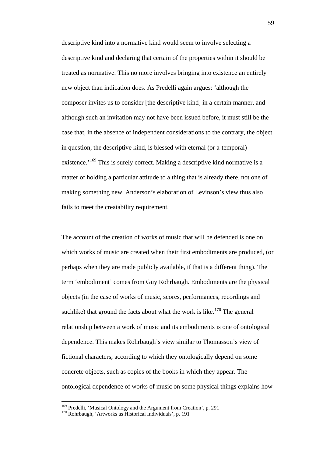descriptive kind into a normative kind would seem to involve selecting a descriptive kind and declaring that certain of the properties within it should be treated as normative. This no more involves bringing into existence an entirely new object than indication does. As Predelli again argues: 'although the composer invites us to consider [the descriptive kind] in a certain manner, and although such an invitation may not have been issued before, it must still be the case that, in the absence of independent considerations to the contrary, the object in question, the descriptive kind, is blessed with eternal (or a-temporal) existence.<sup>'[169](#page-60-0)</sup> This is surely correct. Making a descriptive kind normative is a matter of holding a particular attitude to a thing that is already there, not one of making something new. Anderson's elaboration of Levinson's view thus also fails to meet the creatability requirement.

The account of the creation of works of music that will be defended is one on which works of music are created when their first embodiments are produced, (or perhaps when they are made publicly available, if that is a different thing). The term 'embodiment' comes from Guy Rohrbaugh. Embodiments are the physical objects (in the case of works of music, scores, performances, recordings and suchlike) that ground the facts about what the work is like.<sup>[170](#page-60-1)</sup> The general relationship between a work of music and its embodiments is one of ontological dependence. This makes Rohrbaugh's view similar to Thomasson's view of fictional characters, according to which they ontologically depend on some concrete objects, such as copies of the books in which they appear. The ontological dependence of works of music on some physical things explains how

<span id="page-60-0"></span> <sup>169</sup> Predelli, 'Musical Ontology and the Argument from Creation', p. 291

<span id="page-60-1"></span><sup>170</sup> Rohrbaugh, 'Artworks as Historical Individuals', p. 191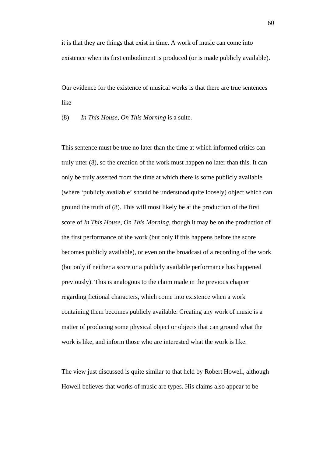it is that they are things that exist in time. A work of music can come into existence when its first embodiment is produced (or is made publicly available).

Our evidence for the existence of musical works is that there are true sentences like

(8) *In This House, On This Morning* is a suite.

This sentence must be true no later than the time at which informed critics can truly utter (8), so the creation of the work must happen no later than this. It can only be truly asserted from the time at which there is some publicly available (where 'publicly available' should be understood quite loosely) object which can ground the truth of (8). This will most likely be at the production of the first score of *In This House, On This Morning*, though it may be on the production of the first performance of the work (but only if this happens before the score becomes publicly available), or even on the broadcast of a recording of the work (but only if neither a score or a publicly available performance has happened previously). This is analogous to the claim made in the previous chapter regarding fictional characters, which come into existence when a work containing them becomes publicly available. Creating any work of music is a matter of producing some physical object or objects that can ground what the work is like, and inform those who are interested what the work is like.

The view just discussed is quite similar to that held by Robert Howell, although Howell believes that works of music are types. His claims also appear to be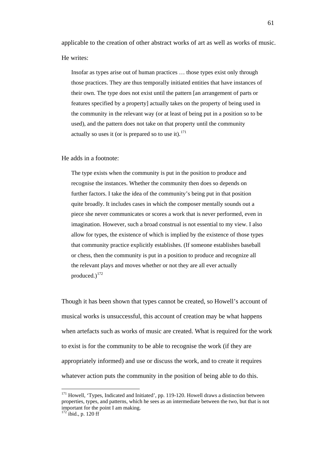applicable to the creation of other abstract works of art as well as works of music. He writes:

Insofar as types arise out of human practices … those types exist only through those practices. They are thus temporally initiated entities that have instances of their own. The type does not exist until the pattern [an arrangement of parts or features specified by a property] actually takes on the property of being used in the community in the relevant way (or at least of being put in a position so to be used), and the pattern does not take on that property until the community actually so uses it (or is prepared so to use it). $^{171}$  $^{171}$  $^{171}$ 

#### He adds in a footnote:

The type exists when the community is put in the position to produce and recognise the instances. Whether the community then does so depends on further factors. I take the idea of the community's being put in that position quite broadly. It includes cases in which the composer mentally sounds out a piece she never communicates or scores a work that is never performed, even in imagination. However, such a broad construal is not essential to my view. I also allow for types, the existence of which is implied by the existence of those types that community practice explicitly establishes. (If someone establishes baseball or chess, then the community is put in a position to produce and recognize all the relevant plays and moves whether or not they are all ever actually produced.)<sup>[172](#page-62-1)</sup>

Though it has been shown that types cannot be created, so Howell's account of musical works is unsuccessful, this account of creation may be what happens when artefacts such as works of music are created. What is required for the work to exist is for the community to be able to recognise the work (if they are appropriately informed) and use or discuss the work, and to create it requires whatever action puts the community in the position of being able to do this.

<span id="page-62-0"></span><sup>&</sup>lt;sup>171</sup> Howell, 'Types, Indicated and Initiated', pp. 119-120. Howell draws a distinction between properties, types, and patterns, which he sees as an intermediate between the two, but that is not important for the point I am making.

<span id="page-62-1"></span> $172$  ibid., p. 120 ff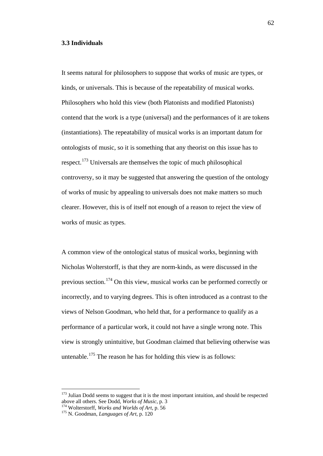# **3.3 Individuals**

It seems natural for philosophers to suppose that works of music are types, or kinds, or universals. This is because of the repeatability of musical works. Philosophers who hold this view (both Platonists and modified Platonists) contend that the work is a type (universal) and the performances of it are tokens (instantiations). The repeatability of musical works is an important datum for ontologists of music, so it is something that any theorist on this issue has to respect.[173](#page-63-0) Universals are themselves the topic of much philosophical controversy, so it may be suggested that answering the question of the ontology of works of music by appealing to universals does not make matters so much clearer. However, this is of itself not enough of a reason to reject the view of works of music as types.

A common view of the ontological status of musical works, beginning with Nicholas Wolterstorff, is that they are norm-kinds, as were discussed in the previous section.<sup>[174](#page-63-1)</sup> On this view, musical works can be performed correctly or incorrectly, and to varying degrees. This is often introduced as a contrast to the views of Nelson Goodman, who held that, for a performance to qualify as a performance of a particular work, it could not have a single wrong note. This view is strongly unintuitive, but Goodman claimed that believing otherwise was untenable.<sup>[175](#page-63-2)</sup> The reason he has for holding this view is as follows:

<span id="page-63-0"></span><sup>&</sup>lt;sup>173</sup> Julian Dodd seems to suggest that it is the most important intuition, and should be respected above all others. See Dodd, *Works of Music*, p. 3

<span id="page-63-2"></span><span id="page-63-1"></span><sup>&</sup>lt;sup>174</sup> Wolterstorff, *Works and Worlds of Art*, p. 56<br><sup>175</sup> N. Goodman, *Languages of Art*, p. 120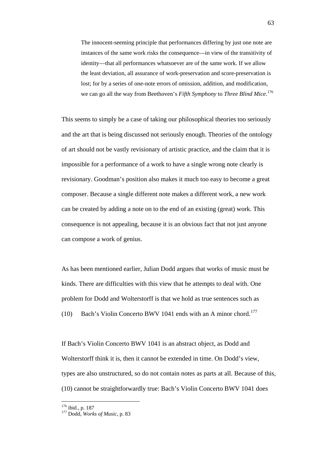The innocent-seeming principle that performances differing by just one note are instances of the same work risks the consequence—in view of the transitivity of identity—that all performances whatsoever are of the same work. If we allow the least deviation, all assurance of work-preservation and score-preservation is lost; for by a series of one-note errors of omission, addition, and modification, we can go all the way from Beethoven's *Fifth Symphony* to *Three Blind Mice*. [176](#page-64-0)

This seems to simply be a case of taking our philosophical theories too seriously and the art that is being discussed not seriously enough. Theories of the ontology of art should not be vastly revisionary of artistic practice, and the claim that it is impossible for a performance of a work to have a single wrong note clearly is revisionary. Goodman's position also makes it much too easy to become a great composer. Because a single different note makes a different work, a new work can be created by adding a note on to the end of an existing (great) work. This consequence is not appealing, because it is an obvious fact that not just anyone can compose a work of genius.

As has been mentioned earlier, Julian Dodd argues that works of music must be kinds. There are difficulties with this view that he attempts to deal with. One problem for Dodd and Wolterstorff is that we hold as true sentences such as (10) Bach's Violin Concerto BWV 1041 ends with an A minor chord.<sup>[177](#page-64-1)</sup>

If Bach's Violin Concerto BWV 1041 is an abstract object, as Dodd and Wolterstorff think it is, then it cannot be extended in time. On Dodd's view, types are also unstructured, so do not contain notes as parts at all. Because of this, (10) cannot be straightforwardly true: Bach's Violin Concerto BWV 1041 does

<span id="page-64-1"></span><span id="page-64-0"></span><sup>176</sup> ibid., p. 187 <sup>177</sup> Dodd, *Works of Music*, p. 83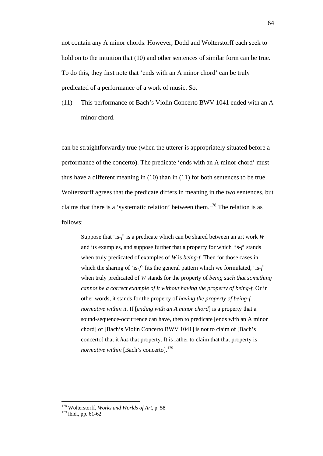not contain any A minor chords. However, Dodd and Wolterstorff each seek to hold on to the intuition that (10) and other sentences of similar form can be true. To do this, they first note that 'ends with an A minor chord' can be truly predicated of a performance of a work of music. So,

(11) This performance of Bach's Violin Concerto BWV 1041 ended with an A minor chord.

can be straightforwardly true (when the utterer is appropriately situated before a performance of the concerto). The predicate 'ends with an A minor chord' must thus have a different meaning in (10) than in (11) for both sentences to be true. Wolterstorff agrees that the predicate differs in meaning in the two sentences, but claims that there is a 'systematic relation' between them.<sup>[178](#page-65-0)</sup> The relation is as follows:

Suppose that 'is-*f*' is a predicate which can be shared between an art work *W* and its examples, and suppose further that a property for which 'is-*f*' stands when truly predicated of examples of *W* is *being-f*. Then for those cases in which the sharing of 'is-*f*' fits the general pattern which we formulated, 'is-*f*' when truly predicated of *W* stands for the property of *being such that something cannot be a correct example of it without having the property of being-f*. Or in other words, it stands for the property of *having the property of being-f normative within it*. If [*ending with an A minor chord*] is a property that a sound-sequence-occurrence can have, then to predicate [ends with an A minor chord] of [Bach's Violin Concerto BWV 1041] is not to claim of [Bach's concerto] that it *has* that property. It is rather to claim that that property is *normative within* [Bach's concerto]. [179](#page-65-1)

<span id="page-65-0"></span> <sup>178</sup> Wolterstorff, *Works and Worlds of Art*, p. 58

<span id="page-65-1"></span> $179$  ibid., pp. 61-62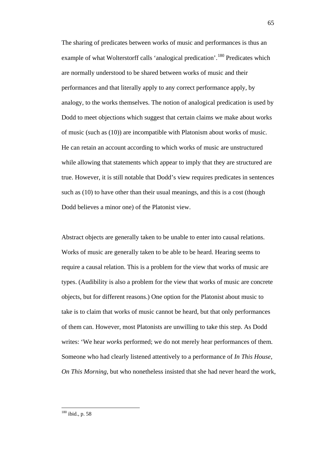The sharing of predicates between works of music and performances is thus an example of what Wolterstorff calls 'analogical predication'.<sup>[180](#page-66-0)</sup> Predicates which are normally understood to be shared between works of music and their performances and that literally apply to any correct performance apply, by analogy, to the works themselves. The notion of analogical predication is used by Dodd to meet objections which suggest that certain claims we make about works of music (such as (10)) are incompatible with Platonism about works of music. He can retain an account according to which works of music are unstructured while allowing that statements which appear to imply that they are structured are true. However, it is still notable that Dodd's view requires predicates in sentences such as (10) to have other than their usual meanings, and this is a cost (though Dodd believes a minor one) of the Platonist view.

Abstract objects are generally taken to be unable to enter into causal relations. Works of music are generally taken to be able to be heard. Hearing seems to require a causal relation. This is a problem for the view that works of music are types. (Audibility is also a problem for the view that works of music are concrete objects, but for different reasons.) One option for the Platonist about music to take is to claim that works of music cannot be heard, but that only performances of them can. However, most Platonists are unwilling to take this step. As Dodd writes: 'We hear *works* performed; we do not merely hear performances of them. Someone who had clearly listened attentively to a performance of *In This House, On This Morning*, but who nonetheless insisted that she had never heard the work,

<span id="page-66-0"></span> $180$  ibid., p. 58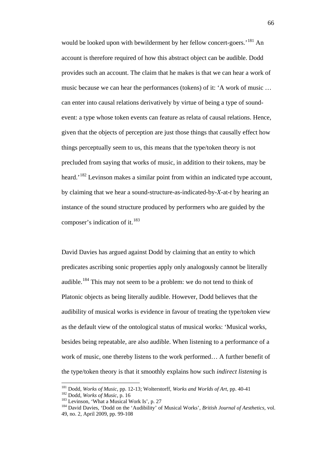would be looked upon with bewilderment by her fellow concert-goers.<sup>'[181](#page-67-0)</sup> An account is therefore required of how this abstract object can be audible. Dodd provides such an account. The claim that he makes is that we can hear a work of music because we can hear the performances (tokens) of it: 'A work of music … can enter into causal relations derivatively by virtue of being a type of soundevent: a type whose token events can feature as relata of causal relations. Hence, given that the objects of perception are just those things that causally effect how things perceptually seem to us, this means that the type/token theory is not precluded from saying that works of music, in addition to their tokens, may be heard.<sup>[182](#page-67-1)</sup> Levinson makes a similar point from within an indicated type account, by claiming that we hear a sound-structure-as-indicated-by-*X*-at-*t* by hearing an instance of the sound structure produced by performers who are guided by the composer's indication of it. $^{183}$  $^{183}$  $^{183}$ 

David Davies has argued against Dodd by claiming that an entity to which predicates ascribing sonic properties apply only analogously cannot be literally audible.<sup>[184](#page-67-3)</sup> This may not seem to be a problem: we do not tend to think of Platonic objects as being literally audible. However, Dodd believes that the audibility of musical works is evidence in favour of treating the type/token view as the default view of the ontological status of musical works: 'Musical works, besides being repeatable, are also audible. When listening to a performance of a work of music, one thereby listens to the work performed… A further benefit of the type/token theory is that it smoothly explains how such *indirect listening* is

<span id="page-67-0"></span><sup>&</sup>lt;sup>181</sup> Dodd, *Works of Music*, pp. 12-13; Wolterstorff, *Works and Worlds of Art*, pp. 40-41<sup>182</sup> Dodd. *Works of Music*, p. 16

<span id="page-67-3"></span><span id="page-67-2"></span><span id="page-67-1"></span><sup>183</sup> Levinson, 'What a Musical Work Is', p. 27<br><sup>184</sup> David Davies, 'Dodd on the 'Audibility' of Musical Works', *British Journal of Aesthetics*, vol. 49, no. 2, April 2009, pp. 99-108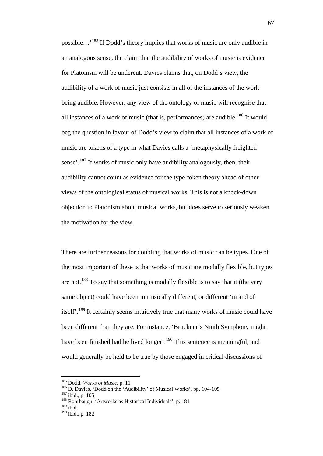possible…'[185](#page-68-0) If Dodd's theory implies that works of music are only audible in an analogous sense, the claim that the audibility of works of music is evidence for Platonism will be undercut. Davies claims that, on Dodd's view, the audibility of a work of music just consists in all of the instances of the work being audible. However, any view of the ontology of music will recognise that all instances of a work of music (that is, performances) are audible.<sup>[186](#page-68-1)</sup> It would beg the question in favour of Dodd's view to claim that all instances of a work of music are tokens of a type in what Davies calls a 'metaphysically freighted sense'.<sup>[187](#page-68-2)</sup> If works of music only have audibility analogously, then, their audibility cannot count as evidence for the type-token theory ahead of other views of the ontological status of musical works. This is not a knock-down objection to Platonism about musical works, but does serve to seriously weaken the motivation for the view.

There are further reasons for doubting that works of music can be types. One of the most important of these is that works of music are modally flexible, but types are not.<sup>[188](#page-68-3)</sup> To say that something is modally flexible is to say that it (the very same object) could have been intrinsically different, or different 'in and of itself<sup>'</sup>.<sup>[189](#page-68-4)</sup> It certainly seems intuitively true that many works of music could have been different than they are. For instance, 'Bruckner's Ninth Symphony might have been finished had he lived longer'.<sup>[190](#page-68-5)</sup> This sentence is meaningful, and would generally be held to be true by those engaged in critical discussions of

<span id="page-68-0"></span> <sup>185</sup> Dodd, *Works of Music*, p. 11

<span id="page-68-1"></span><sup>&</sup>lt;sup>186</sup> D. Davies, 'Dodd on the 'Audibility' of Musical Works', pp. 104-105<br><sup>187</sup> ibid., p. 105<br><sup>188</sup> Rohrbaugh, 'Artworks as Historical Individuals', p. 181

<span id="page-68-4"></span><span id="page-68-3"></span><span id="page-68-2"></span> $189$ ibid.

<span id="page-68-5"></span><sup>190</sup> ibid., p. 182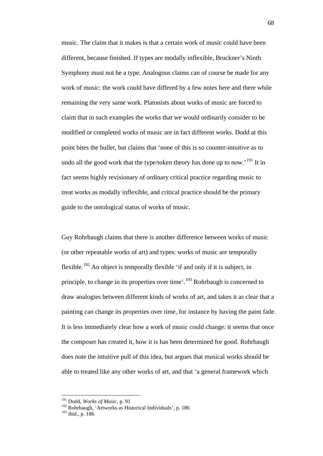music. The claim that it makes is that a certain work of music could have been different, because finished. If types are modally inflexible, Bruckner's Ninth Symphony must not be a type. Analogous claims can of course be made for any work of music: the work could have differed by a few notes here and there while remaining the very same work. Platonists about works of music are forced to claim that in such examples the works that we would ordinarily consider to be modified or completed works of music are in fact different works. Dodd at this point bites the bullet, but claims that 'none of this is *so* counter-intuitive as to undo all the good work that the type/token theory has done up to now.<sup>'[191](#page-69-0)</sup> It in fact seems highly revisionary of ordinary critical practice regarding music to treat works as modally inflexible, and critical practice should be the primary guide to the ontological status of works of music.

Guy Rohrbaugh claims that there is another difference between works of music (or other repeatable works of art) and types: works of music are temporally flexible.<sup>[192](#page-69-1)</sup> An object is temporally flexible 'if and only if it is subject, in principle, to change in its properties over time'.<sup>[193](#page-69-2)</sup> Rohrbaugh is concerned to draw analogies between different kinds of works of art, and takes it as clear that a painting can change its properties over time, for instance by having the paint fade. It is less immediately clear how a work of music could change: it seems that once the composer has created it, how it is has been determined for good. Rohrbaugh does note the intuitive pull of this idea, but argues that musical works should be able to treated like any other works of art, and that 'a general framework which

<span id="page-69-0"></span> <sup>191</sup> Dodd, *Works of Music*, p. 91

<span id="page-69-1"></span><sup>&</sup>lt;sup>192</sup> Rohrbaugh, 'Artworks as Historical Individuals', p. 186

<span id="page-69-2"></span> $193$  ibid., p. 186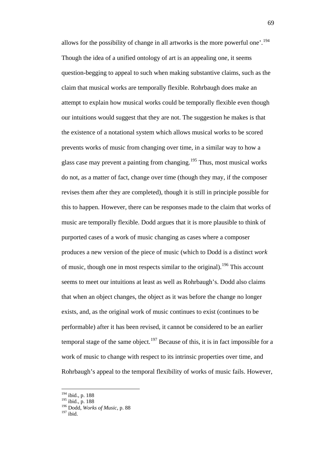allows for the possibility of change in all artworks is the more powerful one'.[194](#page-70-0) Though the idea of a unified ontology of art is an appealing one, it seems question-begging to appeal to such when making substantive claims, such as the claim that musical works are temporally flexible. Rohrbaugh does make an attempt to explain how musical works could be temporally flexible even though our intuitions would suggest that they are not. The suggestion he makes is that the existence of a notational system which allows musical works to be scored prevents works of music from changing over time, in a similar way to how a glass case may prevent a painting from changing.<sup>[195](#page-70-1)</sup> Thus, most musical works do not, as a matter of fact, change over time (though they may, if the composer revises them after they are completed), though it is still in principle possible for this to happen. However, there can be responses made to the claim that works of music are temporally flexible. Dodd argues that it is more plausible to think of purported cases of a work of music changing as cases where a composer produces a new version of the piece of music (which to Dodd is a distinct *work* of music, though one in most respects similar to the original).<sup>[196](#page-70-2)</sup> This account seems to meet our intuitions at least as well as Rohrbaugh's. Dodd also claims that when an object changes, the object as it was before the change no longer exists, and, as the original work of music continues to exist (continues to be performable) after it has been revised, it cannot be considered to be an earlier temporal stage of the same object.<sup>[197](#page-70-3)</sup> Because of this, it is in fact impossible for a work of music to change with respect to its intrinsic properties over time, and Rohrbaugh's appeal to the temporal flexibility of works of music fails. However,

<span id="page-70-0"></span> <sup>194</sup> ibid., p. 188

<span id="page-70-1"></span><sup>195</sup> ibid., p. 188

<sup>196</sup> Dodd, *Works of Music*, p. 88

<span id="page-70-3"></span><span id="page-70-2"></span> $197$  ibid.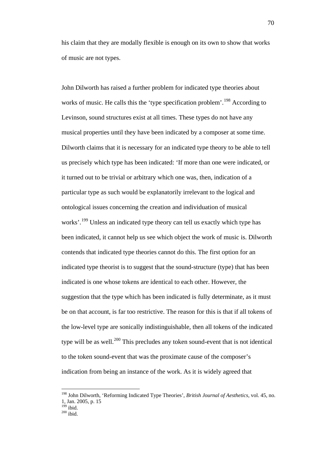his claim that they are modally flexible is enough on its own to show that works of music are not types.

John Dilworth has raised a further problem for indicated type theories about works of music. He calls this the 'type specification problem'.<sup>[198](#page-71-0)</sup> According to Levinson, sound structures exist at all times. These types do not have any musical properties until they have been indicated by a composer at some time. Dilworth claims that it is necessary for an indicated type theory to be able to tell us precisely which type has been indicated: 'If more than one were indicated, or it turned out to be trivial or arbitrary which one was, then, indication of a particular type as such would be explanatorily irrelevant to the logical and ontological issues concerning the creation and individuation of musical works'.<sup>[199](#page-71-1)</sup> Unless an indicated type theory can tell us exactly which type has been indicated, it cannot help us see which object the work of music is. Dilworth contends that indicated type theories cannot do this. The first option for an indicated type theorist is to suggest that the sound-structure (type) that has been indicated is one whose tokens are identical to each other. However, the suggestion that the type which has been indicated is fully determinate, as it must be on that account, is far too restrictive. The reason for this is that if all tokens of the low-level type are sonically indistinguishable, then all tokens of the indicated type will be as well.<sup>[200](#page-71-2)</sup> This precludes any token sound-event that is not identical to the token sound-event that was the proximate cause of the composer's indication from being an instance of the work. As it is widely agreed that

<span id="page-71-0"></span> <sup>198</sup> John Dilworth, 'Reforming Indicated Type Theories', *British Journal of Aesthetics*, vol. 45, no. 1, Jan. 2005, p. 15<br><sup>199</sup> ibid.

<span id="page-71-2"></span><span id="page-71-1"></span> $200$  ibid.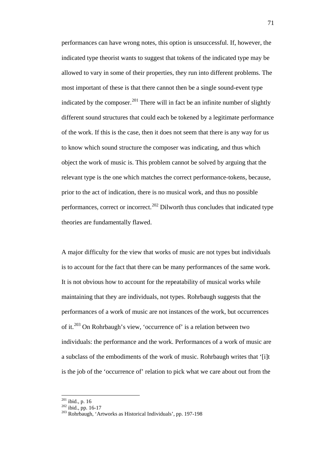performances can have wrong notes, this option is unsuccessful. If, however, the indicated type theorist wants to suggest that tokens of the indicated type may be allowed to vary in some of their properties, they run into different problems. The most important of these is that there cannot then be a single sound-event type indicated by the composer.<sup>[201](#page-72-0)</sup> There will in fact be an infinite number of slightly different sound structures that could each be tokened by a legitimate performance of the work. If this is the case, then it does not seem that there is any way for us to know which sound structure the composer was indicating, and thus which object the work of music is. This problem cannot be solved by arguing that the relevant type is the one which matches the correct performance-tokens, because, prior to the act of indication, there is no musical work, and thus no possible performances, correct or incorrect.<sup>[202](#page-72-1)</sup> Dilworth thus concludes that indicated type theories are fundamentally flawed.

A major difficulty for the view that works of music are not types but individuals is to account for the fact that there can be many performances of the same work. It is not obvious how to account for the repeatability of musical works while maintaining that they are individuals, not types. Rohrbaugh suggests that the performances of a work of music are not instances of the work, but occurrences of it.<sup>[203](#page-72-2)</sup> On Rohrbaugh's view, 'occurrence of' is a relation between two individuals: the performance and the work. Performances of a work of music are a subclass of the embodiments of the work of music. Rohrbaugh writes that '[i]t is the job of the 'occurrence of' relation to pick what we care about out from the

<span id="page-72-1"></span><span id="page-72-0"></span> $^{201}$  ibid., p. 16<br> $^{202}$  ibid., pp. 16-17

<span id="page-72-2"></span><sup>&</sup>lt;sup>203</sup> Rohrbaugh, 'Artworks as Historical Individuals', pp. 197-198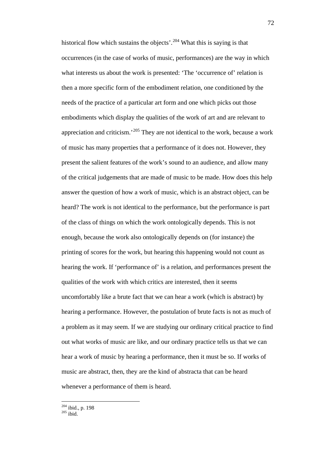historical flow which sustains the objects'.<sup>[204](#page-73-0)</sup> What this is saying is that occurrences (in the case of works of music, performances) are the way in which what interests us about the work is presented: 'The 'occurrence of' relation is then a more specific form of the embodiment relation, one conditioned by the needs of the practice of a particular art form and one which picks out those embodiments which display the qualities of the work of art and are relevant to appreciation and criticism.<sup>[205](#page-73-1)</sup> They are not identical to the work, because a work of music has many properties that a performance of it does not. However, they present the salient features of the work's sound to an audience, and allow many of the critical judgements that are made of music to be made. How does this help answer the question of how a work of music, which is an abstract object, can be heard? The work is not identical to the performance, but the performance is part of the class of things on which the work ontologically depends. This is not enough, because the work also ontologically depends on (for instance) the printing of scores for the work, but hearing this happening would not count as hearing the work. If 'performance of' is a relation, and performances present the qualities of the work with which critics are interested, then it seems uncomfortably like a brute fact that we can hear a work (which is abstract) by hearing a performance. However, the postulation of brute facts is not as much of a problem as it may seem. If we are studying our ordinary critical practice to find out what works of music are like, and our ordinary practice tells us that we can hear a work of music by hearing a performance, then it must be so. If works of music are abstract, then, they are the kind of abstracta that can be heard whenever a performance of them is heard.

<span id="page-73-0"></span> $\frac{204 \text{ ibid., p. } 198}{204 \text{ ibid., p. } }$ 

<span id="page-73-1"></span> $205$  ibid.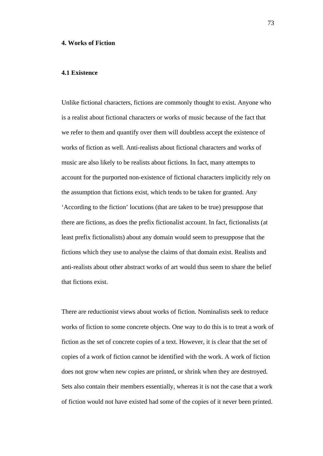#### **4. Works of Fiction**

### **4.1 Existence**

Unlike fictional characters, fictions are commonly thought to exist. Anyone who is a realist about fictional characters or works of music because of the fact that we refer to them and quantify over them will doubtless accept the existence of works of fiction as well. Anti-realists about fictional characters and works of music are also likely to be realists about fictions. In fact, many attempts to account for the purported non-existence of fictional characters implicitly rely on the assumption that fictions exist, which tends to be taken for granted. Any 'According to the fiction' locutions (that are taken to be true) presuppose that there are fictions, as does the prefix fictionalist account. In fact, fictionalists (at least prefix fictionalists) about any domain would seem to presuppose that the fictions which they use to analyse the claims of that domain exist. Realists and anti-realists about other abstract works of art would thus seem to share the belief that fictions exist.

There are reductionist views about works of fiction. Nominalists seek to reduce works of fiction to some concrete objects. One way to do this is to treat a work of fiction as the set of concrete copies of a text. However, it is clear that the set of copies of a work of fiction cannot be identified with the work. A work of fiction does not grow when new copies are printed, or shrink when they are destroyed. Sets also contain their members essentially, whereas it is not the case that a work of fiction would not have existed had some of the copies of it never been printed.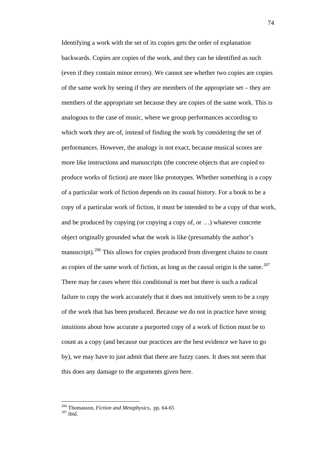Identifying a work with the set of its copies gets the order of explanation backwards. Copies are copies of the work, and they can be identified as such (even if they contain minor errors). We cannot see whether two copies are copies of the same work by seeing if they are members of the appropriate set – they are members of the appropriate set because they are copies of the same work. This is analogous to the case of music, where we group performances according to which work they are of, instead of finding the work by considering the set of performances. However, the analogy is not exact, because musical scores are more like instructions and manuscripts (the concrete objects that are copied to produce works of fiction) are more like prototypes. Whether something is a copy of a particular work of fiction depends on its causal history. For a book to be a copy of a particular work of fiction, it must be intended to be a copy of that work, and be produced by copying (or copying a copy of, or …) whatever concrete object originally grounded what the work is like (presumably the author's manuscript).<sup>[206](#page-75-0)</sup> This allows for copies produced from divergent chains to count as copies of the same work of fiction, as long as the causal origin is the same.<sup>[207](#page-75-1)</sup> There may be cases where this conditional is met but there is such a radical failure to copy the work accurately that it does not intuitively seem to be a copy of the work that has been produced. Because we do not in practice have strong intuitions about how accurate a purported copy of a work of fiction must be to count as a copy (and because our practices are the best evidence we have to go by), we may have to just admit that there are fuzzy cases. It does not seem that this does any damage to the arguments given here.

<span id="page-75-1"></span><span id="page-75-0"></span><sup>&</sup>lt;sup>206</sup> Thomasson, *Fiction and Metaphysics*, pp. 64-65<sup>207</sup> ibid.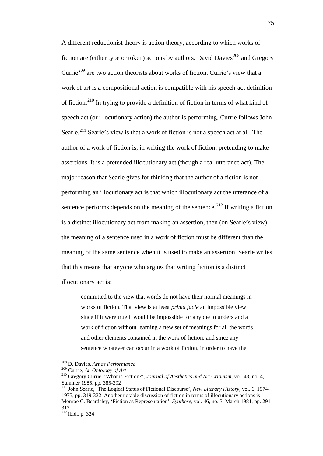A different reductionist theory is action theory, according to which works of fiction are (either type or token) actions by authors. David Davies<sup>[208](#page-76-0)</sup> and Gregory Currie<sup>[209](#page-76-1)</sup> are two action theorists about works of fiction. Currie's view that a work of art is a compositional action is compatible with his speech-act definition of fiction.[210](#page-76-2) In trying to provide a definition of fiction in terms of what kind of speech act (or illocutionary action) the author is performing, Currie follows John Searle.<sup>[211](#page-76-3)</sup> Searle's view is that a work of fiction is not a speech act at all. The author of a work of fiction is, in writing the work of fiction, pretending to make assertions. It is a pretended illocutionary act (though a real utterance act). The major reason that Searle gives for thinking that the author of a fiction is not performing an illocutionary act is that which illocutionary act the utterance of a sentence performs depends on the meaning of the sentence.<sup>[212](#page-76-4)</sup> If writing a fiction is a distinct illocutionary act from making an assertion, then (on Searle's view) the meaning of a sentence used in a work of fiction must be different than the meaning of the same sentence when it is used to make an assertion. Searle writes that this means that anyone who argues that writing fiction is a distinct

illocutionary act is:

committed to the view that words do not have their normal meanings in works of fiction. That view is at least *prima facie* an impossible view since if it were true it would be impossible for anyone to understand a work of fiction without learning a new set of meanings for all the words and other elements contained in the work of fiction, and since any sentence whatever can occur in a work of fiction, in order to have the

<span id="page-76-0"></span> <sup>208</sup> D. Davies, *Art as Performance*

<span id="page-76-1"></span>

<span id="page-76-2"></span><sup>&</sup>lt;sup>210</sup> Gregory Currie, 'What is Fiction?', *Journal of Aesthetics and Art Criticism*, vol. 43, no. 4, Summer 1985, pp. 385-392

<span id="page-76-3"></span><sup>&</sup>lt;sup>211</sup> John Searle, 'The Logical Status of Fictional Discourse', *New Literary History*, vol. 6, 1974-1975, pp. 319-332. Another notable discussion of fiction in terms of illocutionary actions is Monroe C. Beardsley, 'Fiction as Representation', *Synthese*, vol. 46, no. 3, March 1981, pp. 291- 313

<span id="page-76-4"></span> $^{212}$  ibid., p. 324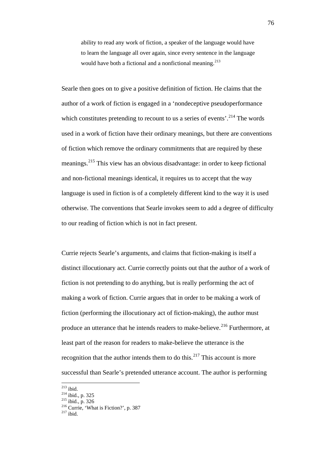ability to read any work of fiction, a speaker of the language would have to learn the language all over again, since every sentence in the language would have both a fictional and a nonfictional meaning.<sup>[213](#page-77-0)</sup>

Searle then goes on to give a positive definition of fiction. He claims that the author of a work of fiction is engaged in a 'nondeceptive pseudoperformance which constitutes pretending to recount to us a series of events'.<sup>[214](#page-77-1)</sup> The words used in a work of fiction have their ordinary meanings, but there are conventions of fiction which remove the ordinary commitments that are required by these meanings.[215](#page-77-2) This view has an obvious disadvantage: in order to keep fictional and non-fictional meanings identical, it requires us to accept that the way language is used in fiction is of a completely different kind to the way it is used otherwise. The conventions that Searle invokes seem to add a degree of difficulty to our reading of fiction which is not in fact present.

Currie rejects Searle's arguments, and claims that fiction-making is itself a distinct illocutionary act. Currie correctly points out that the author of a work of fiction is not pretending to do anything, but is really performing the act of making a work of fiction. Currie argues that in order to be making a work of fiction (performing the illocutionary act of fiction-making), the author must produce an utterance that he intends readers to make-believe.<sup>[216](#page-77-3)</sup> Furthermore, at least part of the reason for readers to make-believe the utterance is the recognition that the author intends them to do this.<sup>[217](#page-77-4)</sup> This account is more successful than Searle's pretended utterance account. The author is performing

<span id="page-77-0"></span>

 $^{213}$  ibid.<br> $^{214}$  ibid., p. 325

<span id="page-77-3"></span><span id="page-77-2"></span><span id="page-77-1"></span><sup>&</sup>lt;sup>215</sup> ibid., p. 326<br><sup>216</sup> Currie, 'What is Fiction?', p. 387<br><sup>217</sup> ibid.

<span id="page-77-4"></span>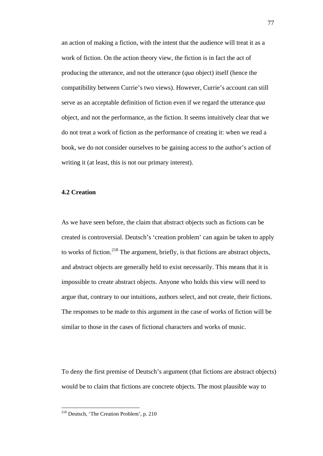an action of making a fiction, with the intent that the audience will treat it as a work of fiction. On the action theory view, the fiction is in fact the act of producing the utterance, and not the utterance (*qua* object) itself (hence the compatibility between Currie's two views). However, Currie's account can still serve as an acceptable definition of fiction even if we regard the utterance *qua* object, and not the performance, as the fiction. It seems intuitively clear that we do not treat a work of fiction as the performance of creating it: when we read a book, we do not consider ourselves to be gaining access to the author's action of writing it (at least, this is not our primary interest).

# **4.2 Creation**

As we have seen before, the claim that abstract objects such as fictions can be created is controversial. Deutsch's 'creation problem' can again be taken to apply to works of fiction.<sup>[218](#page-78-0)</sup> The argument, briefly, is that fictions are abstract objects, and abstract objects are generally held to exist necessarily. This means that it is impossible to create abstract objects. Anyone who holds this view will need to argue that, contrary to our intuitions, authors select, and not create, their fictions. The responses to be made to this argument in the case of works of fiction will be similar to those in the cases of fictional characters and works of music.

To deny the first premise of Deutsch's argument (that fictions are abstract objects) would be to claim that fictions are concrete objects. The most plausible way to

<span id="page-78-0"></span> <sup>218</sup> Deutsch, 'The Creation Problem', p. 210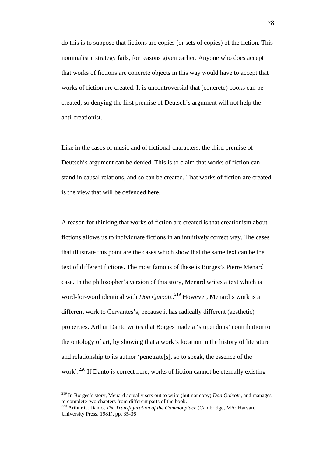do this is to suppose that fictions are copies (or sets of copies) of the fiction. This nominalistic strategy fails, for reasons given earlier. Anyone who does accept that works of fictions are concrete objects in this way would have to accept that works of fiction are created. It is uncontroversial that (concrete) books can be created, so denying the first premise of Deutsch's argument will not help the anti-creationist.

Like in the cases of music and of fictional characters, the third premise of Deutsch's argument can be denied. This is to claim that works of fiction can stand in causal relations, and so can be created. That works of fiction are created is the view that will be defended here.

A reason for thinking that works of fiction are created is that creationism about fictions allows us to individuate fictions in an intuitively correct way. The cases that illustrate this point are the cases which show that the same text can be the text of different fictions. The most famous of these is Borges's Pierre Menard case. In the philosopher's version of this story, Menard writes a text which is word-for-word identical with *Don Quixote*. [219](#page-79-0) However, Menard's work is a different work to Cervantes's, because it has radically different (aesthetic) properties. Arthur Danto writes that Borges made a 'stupendous' contribution to the ontology of art, by showing that a work's location in the history of literature and relationship to its author 'penetrate[s], so to speak, the essence of the work'.<sup>[220](#page-79-1)</sup> If Danto is correct here, works of fiction cannot be eternally existing

<span id="page-79-0"></span> <sup>219</sup> In Borges's story, Menard actually sets out to write (but not copy) *Don Quixote*, and manages to complete two chapters from different parts of the book.

<span id="page-79-1"></span><sup>220</sup> Arthur C. Danto, *The Transfiguration of the Commonplace* (Cambridge, MA: Harvard University Press, 1981), pp. 35-36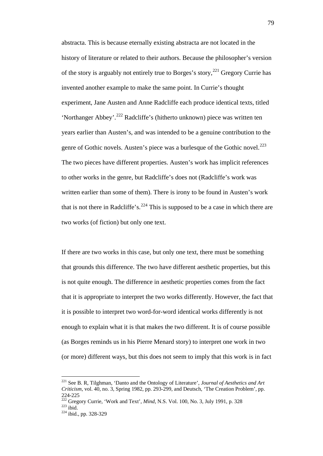abstracta. This is because eternally existing abstracta are not located in the history of literature or related to their authors. Because the philosopher's version of the story is arguably not entirely true to Borges's story,<sup>[221](#page-80-0)</sup> Gregory Currie has invented another example to make the same point. In Currie's thought experiment, Jane Austen and Anne Radcliffe each produce identical texts, titled 'Northanger Abbey'.[222](#page-80-1) Radcliffe's (hitherto unknown) piece was written ten years earlier than Austen's, and was intended to be a genuine contribution to the genre of Gothic novels. Austen's piece was a burlesque of the Gothic novel.<sup>[223](#page-80-2)</sup> The two pieces have different properties. Austen's work has implicit references to other works in the genre, but Radcliffe's does not (Radcliffe's work was written earlier than some of them). There is irony to be found in Austen's work that is not there in Radcliffe's.<sup>[224](#page-80-3)</sup> This is supposed to be a case in which there are two works (of fiction) but only one text.

If there are two works in this case, but only one text, there must be something that grounds this difference. The two have different aesthetic properties, but this is not quite enough. The difference in aesthetic properties comes from the fact that it is appropriate to interpret the two works differently. However, the fact that it is possible to interpret two word-for-word identical works differently is not enough to explain what it is that makes the two different. It is of course possible (as Borges reminds us in his Pierre Menard story) to interpret one work in two (or more) different ways, but this does not seem to imply that this work is in fact

<span id="page-80-0"></span> <sup>221</sup> See B. R, Tilghman, 'Danto and the Ontology of Literature', *Journal of Aesthetics and Art Criticism*, vol. 40, no. 3, Spring 1982, pp. 293-299, and Deutsch, 'The Creation Problem', pp.

<span id="page-80-2"></span><span id="page-80-1"></span><sup>224-225&</sup>lt;br><sup>222</sup> Gregory Currie, 'Work and Text', *Mind*, N.S. Vol. 100, No. 3, July 1991, p. 328<br><sup>223</sup> ibid., pp. 328-329

<span id="page-80-3"></span>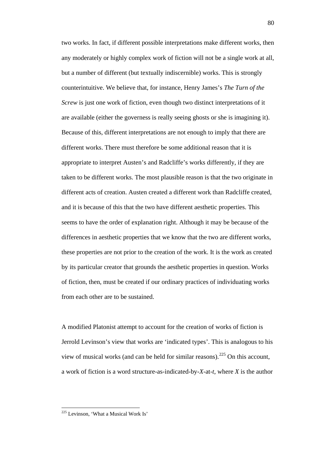two works. In fact, if different possible interpretations make different works, then any moderately or highly complex work of fiction will not be a single work at all, but a number of different (but textually indiscernible) works. This is strongly counterintuitive. We believe that, for instance, Henry James's *The Turn of the Screw* is just one work of fiction, even though two distinct interpretations of it are available (either the governess is really seeing ghosts or she is imagining it). Because of this, different interpretations are not enough to imply that there are different works. There must therefore be some additional reason that it is appropriate to interpret Austen's and Radcliffe's works differently, if they are taken to be different works. The most plausible reason is that the two originate in different acts of creation. Austen created a different work than Radcliffe created, and it is because of this that the two have different aesthetic properties. This seems to have the order of explanation right. Although it may be because of the differences in aesthetic properties that we know that the two are different works, these properties are not prior to the creation of the work. It is the work as created by its particular creator that grounds the aesthetic properties in question. Works of fiction, then, must be created if our ordinary practices of individuating works from each other are to be sustained.

A modified Platonist attempt to account for the creation of works of fiction is Jerrold Levinson's view that works are 'indicated types'. This is analogous to his view of musical works (and can be held for similar reasons). $^{225}$  $^{225}$  $^{225}$  On this account, a work of fiction is a word structure-as-indicated-by-*X*-at-*t*, where *X* is the author

<span id="page-81-0"></span> $225$  Levinson, 'What a Musical Work Is'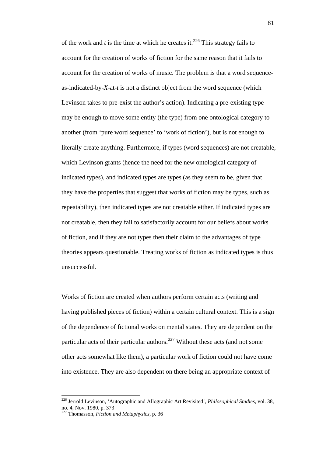of the work and  $t$  is the time at which he creates it.<sup>[226](#page-82-0)</sup> This strategy fails to account for the creation of works of fiction for the same reason that it fails to account for the creation of works of music. The problem is that a word sequenceas-indicated-by-*X*-at-*t* is not a distinct object from the word sequence (which Levinson takes to pre-exist the author's action). Indicating a pre-existing type may be enough to move some entity (the type) from one ontological category to another (from 'pure word sequence' to 'work of fiction'), but is not enough to literally create anything. Furthermore, if types (word sequences) are not creatable, which Levinson grants (hence the need for the new ontological category of indicated types), and indicated types are types (as they seem to be, given that they have the properties that suggest that works of fiction may be types, such as repeatability), then indicated types are not creatable either. If indicated types are not creatable, then they fail to satisfactorily account for our beliefs about works of fiction, and if they are not types then their claim to the advantages of type theories appears questionable. Treating works of fiction as indicated types is thus unsuccessful.

Works of fiction are created when authors perform certain acts (writing and having published pieces of fiction) within a certain cultural context. This is a sign of the dependence of fictional works on mental states. They are dependent on the particular acts of their particular authors. $227$  Without these acts (and not some other acts somewhat like them), a particular work of fiction could not have come into existence. They are also dependent on there being an appropriate context of

<span id="page-82-0"></span> <sup>226</sup> Jerrold Levinson, 'Autographic and Allographic Art Revisited', *Philosophical Studies*, vol. 38, no. 4, Nov. 1980, p. 373

<span id="page-82-1"></span><sup>227</sup> Thomasson, *Fiction and Metaphysics*, p. 36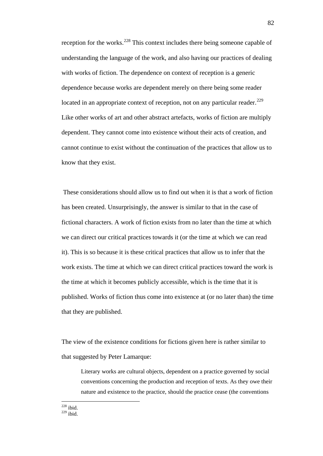reception for the works.<sup>[228](#page-83-0)</sup> This context includes there being someone capable of understanding the language of the work, and also having our practices of dealing with works of fiction. The dependence on context of reception is a generic dependence because works are dependent merely on there being some reader located in an appropriate context of reception, not on any particular reader.<sup>[229](#page-83-1)</sup> Like other works of art and other abstract artefacts, works of fiction are multiply dependent. They cannot come into existence without their acts of creation, and cannot continue to exist without the continuation of the practices that allow us to know that they exist.

These considerations should allow us to find out when it is that a work of fiction has been created. Unsurprisingly, the answer is similar to that in the case of fictional characters. A work of fiction exists from no later than the time at which we can direct our critical practices towards it (or the time at which we can read it). This is so because it is these critical practices that allow us to infer that the work exists. The time at which we can direct critical practices toward the work is the time at which it becomes publicly accessible, which is the time that it is published. Works of fiction thus come into existence at (or no later than) the time that they are published.

The view of the existence conditions for fictions given here is rather similar to that suggested by Peter Lamarque:

Literary works are cultural objects, dependent on a practice governed by social conventions concerning the production and reception of texts. As they owe their nature and existence to the practice, should the practice cease (the conventions

<span id="page-83-1"></span><span id="page-83-0"></span> $228$  ibid.  $229$  ibid.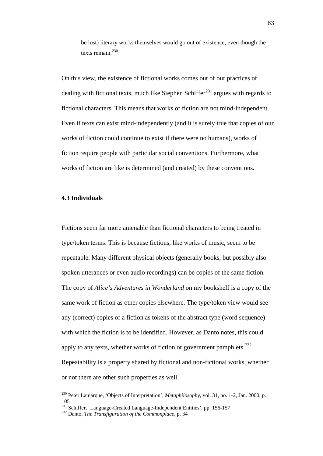be lost) literary works themselves would go out of existence, even though the texts remain.<sup>[230](#page-84-0)</sup>

On this view, the existence of fictional works comes out of our practices of dealing with fictional texts, much like Stephen Schiffer<sup>[231](#page-84-1)</sup> argues with regards to fictional characters. This means that works of fiction are not mind-independent. Even if texts can exist mind-independently (and it is surely true that copies of our works of fiction could continue to exist if there were no humans), works of fiction require people with particular social conventions. Furthermore, what works of fiction are like is determined (and created) by these conventions.

### **4.3 Individuals**

Fictions seem far more amenable than fictional characters to being treated in type/token terms. This is because fictions, like works of music, seem to be repeatable. Many different physical objects (generally books, but possibly also spoken utterances or even audio recordings) can be copies of the same fiction. The copy of *Alice's Adventures in Wonderland* on my bookshelf is a copy of the same work of fiction as other copies elsewhere. The type/token view would see any (correct) copies of a fiction as tokens of the abstract type (word sequence) with which the fiction is to be identified. However, as Danto notes, this could apply to any texts, whether works of fiction or government pamphlets. $232$ Repeatability is a property shared by fictional and non-fictional works, whether or not there are other such properties as well.

<span id="page-84-0"></span> <sup>230</sup> Peter Lamarque, 'Objects of Interpretation', *Metaphilosophy*, vol. 31, no. 1-2, Jan. 2000, p. 105

<span id="page-84-2"></span><span id="page-84-1"></span><sup>&</sup>lt;sup>231</sup> Schiffer, 'Language-Created Language-Independent Entities', pp. 156-157<br><sup>232</sup> Danto, *The Transfiguration of the Commonplace*, p. 34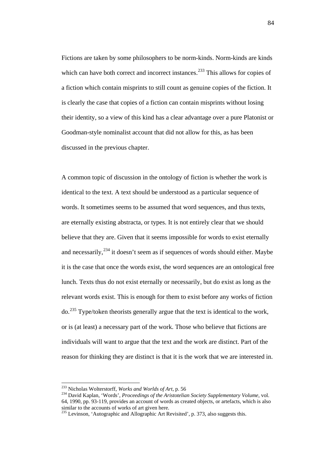Fictions are taken by some philosophers to be norm-kinds. Norm-kinds are kinds which can have both correct and incorrect instances.<sup>[233](#page-85-0)</sup> This allows for copies of a fiction which contain misprints to still count as genuine copies of the fiction. It is clearly the case that copies of a fiction can contain misprints without losing their identity, so a view of this kind has a clear advantage over a pure Platonist or Goodman-style nominalist account that did not allow for this, as has been discussed in the previous chapter.

A common topic of discussion in the ontology of fiction is whether the work is identical to the text. A text should be understood as a particular sequence of words. It sometimes seems to be assumed that word sequences, and thus texts, are eternally existing abstracta, or types. It is not entirely clear that we should believe that they are. Given that it seems impossible for words to exist eternally and necessarily,  $2^{34}$  it doesn't seem as if sequences of words should either. Maybe it is the case that once the words exist, the word sequences are an ontological free lunch. Texts thus do not exist eternally or necessarily, but do exist as long as the relevant words exist. This is enough for them to exist before any works of fiction do.<sup>[235](#page-85-2)</sup> Type/token theorists generally argue that the text is identical to the work, or is (at least) a necessary part of the work. Those who believe that fictions are individuals will want to argue that the text and the work are distinct. Part of the reason for thinking they are distinct is that it is the work that we are interested in.

<span id="page-85-0"></span> <sup>233</sup> Nicholas Wolterstorff, *Works and Worlds of Art*, p. 56

<span id="page-85-1"></span><sup>234</sup> David Kaplan, 'Words', *Proceedings of the Aristotelian Society Supplementary Volume*, vol. 64, 1990, pp. 93-119, provides an account of words as created objects, or artefacts, which is also similar to the accounts of works of art given here.

<span id="page-85-2"></span><sup>&</sup>lt;sup>235</sup> Levinson, 'Autographic and Allographic Art Revisited', p. 373, also suggests this.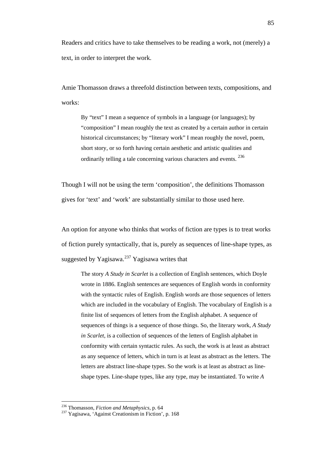Readers and critics have to take themselves to be reading a work, not (merely) a text, in order to interpret the work.

Amie Thomasson draws a threefold distinction between texts, compositions, and works:

By "text" I mean a sequence of symbols in a language (or languages); by "composition" I mean roughly the text as created by a certain author in certain historical circumstances; by "literary work" I mean roughly the novel, poem, short story, or so forth having certain aesthetic and artistic qualities and ordinarily telling a tale concerning various characters and events. [236](#page-86-0)

Though I will not be using the term 'composition', the definitions Thomasson gives for 'text' and 'work' are substantially similar to those used here.

An option for anyone who thinks that works of fiction are types is to treat works of fiction purely syntactically, that is, purely as sequences of line-shape types, as suggested by Yagisawa.<sup>[237](#page-86-1)</sup> Yagisawa writes that

The story *A Study in Scarlet* is a collection of English sentences, which Doyle wrote in 1886. English sentences are sequences of English words in conformity with the syntactic rules of English. English words are those sequences of letters which are included in the vocabulary of English. The vocabulary of English is a finite list of sequences of letters from the English alphabet. A sequence of sequences of things is a sequence of those things. So, the literary work, *A Study in Scarlet*, is a collection of sequences of the letters of English alphabet in conformity with certain syntactic rules. As such, the work is at least as abstract as any sequence of letters, which in turn is at least as abstract as the letters. The letters are abstract line-shape types. So the work is at least as abstract as lineshape types. Line-shape types, like any type, may be instantiated. To write *A* 

<span id="page-86-1"></span><span id="page-86-0"></span><sup>&</sup>lt;sup>236</sup> Thomasson, *Fiction and Metaphysics*, p. 64<br><sup>237</sup> Yagisawa, 'Against Creationism in Fiction', p. 168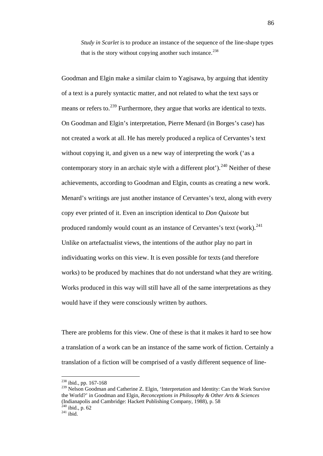*Study in Scarlet* is to produce an instance of the sequence of the line-shape types that is the story without copying another such instance. $^{238}$  $^{238}$  $^{238}$ 

Goodman and Elgin make a similar claim to Yagisawa, by arguing that identity of a text is a purely syntactic matter, and not related to what the text says or means or refers to.<sup>[239](#page-87-1)</sup> Furthermore, they argue that works are identical to texts. On Goodman and Elgin's interpretation, Pierre Menard (in Borges's case) has not created a work at all. He has merely produced a replica of Cervantes's text without copying it, and given us a new way of interpreting the work ('as a contemporary story in an archaic style with a different plot').<sup>[240](#page-87-2)</sup> Neither of these achievements, according to Goodman and Elgin, counts as creating a new work. Menard's writings are just another instance of Cervantes's text, along with every copy ever printed of it. Even an inscription identical to *Don Quixote* but produced randomly would count as an instance of Cervantes's text (work). $^{241}$  $^{241}$  $^{241}$ Unlike on artefactualist views, the intentions of the author play no part in individuating works on this view. It is even possible for texts (and therefore works) to be produced by machines that do not understand what they are writing. Works produced in this way will still have all of the same interpretations as they would have if they were consciously written by authors.

There are problems for this view. One of these is that it makes it hard to see how a translation of a work can be an instance of the same work of fiction. Certainly a translation of a fiction will be comprised of a vastly different sequence of line-

 <sup>238</sup> ibid., pp. 167-168

<span id="page-87-1"></span><span id="page-87-0"></span><sup>&</sup>lt;sup>239</sup> Nelson Goodman and Catherine Z. Elgin, 'Interpretation and Identity: Can the Work Survive the World?' in Goodman and Elgin, *Reconceptions in Philosophy & Other Arts & Sciences* (Indianapolis and Cambridge: Hackett Publishing Company, 1988), p. 58  $^{240}$  ibid., p. 62<br><sup>241</sup> ibid., p. 62

<span id="page-87-3"></span><span id="page-87-2"></span>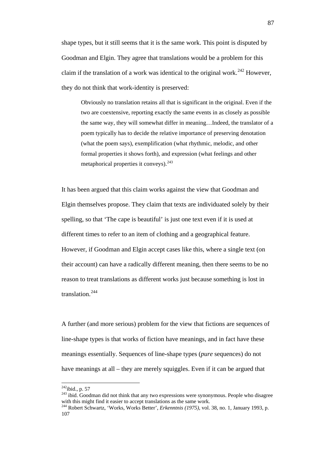shape types, but it still seems that it is the same work. This point is disputed by Goodman and Elgin. They agree that translations would be a problem for this claim if the translation of a work was identical to the original work.<sup>[242](#page-88-0)</sup> However, they do not think that work-identity is preserved:

Obviously no translation retains all that is significant in the original. Even if the two are coextensive, reporting exactly the same events in as closely as possible the same way, they will somewhat differ in meaning…Indeed, the translator of a poem typically has to decide the relative importance of preserving denotation (what the poem says), exemplification (what rhythmic, melodic, and other formal properties it shows forth), and expression (what feelings and other metaphorical properties it conveys). [243](#page-88-1)

It has been argued that this claim works against the view that Goodman and Elgin themselves propose. They claim that texts are individuated solely by their spelling, so that 'The cape is beautiful' is just one text even if it is used at different times to refer to an item of clothing and a geographical feature. However, if Goodman and Elgin accept cases like this, where a single text (on their account) can have a radically different meaning, then there seems to be no reason to treat translations as different works just because something is lost in translation.[244](#page-88-2)

A further (and more serious) problem for the view that fictions are sequences of line-shape types is that works of fiction have meanings, and in fact have these meanings essentially. Sequences of line-shape types (*pure* sequences) do not have meanings at all – they are merely squiggles. Even if it can be argued that

<span id="page-88-1"></span><span id="page-88-0"></span><sup>&</sup>lt;sup>242</sup>ibid., p. 57<br><sup>243</sup> ibid. Goodman did not think that any two expressions were synonymous. People who disagree with this might find it easier to accept translations as the same work.

<span id="page-88-2"></span>with this might find it easier to accept translations as the same works, Works Better', *Erkenntnis (1975)*, vol. 38, no. 1, January 1993, p. 107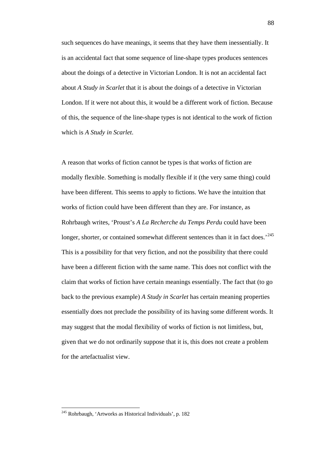such sequences do have meanings, it seems that they have them inessentially. It is an accidental fact that some sequence of line-shape types produces sentences about the doings of a detective in Victorian London. It is not an accidental fact about *A Study in Scarlet* that it is about the doings of a detective in Victorian London. If it were not about this, it would be a different work of fiction. Because of this, the sequence of the line-shape types is not identical to the work of fiction which is *A Study in Scarlet*.

A reason that works of fiction cannot be types is that works of fiction are modally flexible. Something is modally flexible if it (the very same thing) could have been different. This seems to apply to fictions. We have the intuition that works of fiction could have been different than they are. For instance, as Rohrbaugh writes, 'Proust's *A La Recherche du Temps Perdu* could have been longer, shorter, or contained somewhat different sentences than it in fact does.<sup>[245](#page-89-0)</sup> This is a possibility for that very fiction, and not the possibility that there could have been a different fiction with the same name. This does not conflict with the claim that works of fiction have certain meanings essentially. The fact that (to go back to the previous example) *A Study in Scarlet* has certain meaning properties essentially does not preclude the possibility of its having some different words. It may suggest that the modal flexibility of works of fiction is not limitless, but, given that we do not ordinarily suppose that it is, this does not create a problem for the artefactualist view.

<span id="page-89-0"></span> <sup>245</sup> Rohrbaugh, 'Artworks as Historical Individuals', p. 182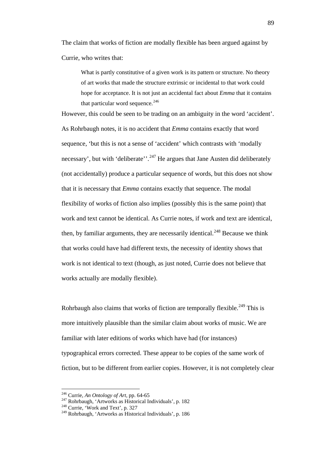The claim that works of fiction are modally flexible has been argued against by Currie, who writes that:

What is partly constitutive of a given work is its pattern or structure. No theory of art works that made the structure extrinsic or incidental to that work could hope for acceptance. It is not just an accidental fact about *Emma* that it contains that particular word sequence. $^{246}$  $^{246}$  $^{246}$ 

However, this could be seen to be trading on an ambiguity in the word 'accident'. As Rohrbaugh notes, it is no accident that *Emma* contains exactly that word sequence, 'but this is not a sense of 'accident' which contrasts with 'modally necessary', but with 'deliberate''.<sup>[247](#page-90-1)</sup> He argues that Jane Austen did deliberately (not accidentally) produce a particular sequence of words, but this does not show that it is necessary that *Emma* contains exactly that sequence. The modal flexibility of works of fiction also implies (possibly this is the same point) that work and text cannot be identical. As Currie notes, if work and text are identical, then, by familiar arguments, they are necessarily identical.<sup>[248](#page-90-2)</sup> Because we think that works could have had different texts, the necessity of identity shows that work is not identical to text (though, as just noted, Currie does not believe that works actually are modally flexible).

Rohrbaugh also claims that works of fiction are temporally flexible.<sup>[249](#page-90-3)</sup> This is more intuitively plausible than the similar claim about works of music. We are familiar with later editions of works which have had (for instances) typographical errors corrected. These appear to be copies of the same work of fiction, but to be different from earlier copies. However, it is not completely clear

<span id="page-90-0"></span> <sup>246</sup> Currie, *An Ontology of Art*, pp. 64-65

<span id="page-90-1"></span><sup>&</sup>lt;sup>247</sup> Rohrbaugh, 'Artworks as Historical Individuals', p. 182<sup>248</sup> Currie, 'Work and Text', p. 327

<span id="page-90-3"></span><span id="page-90-2"></span><sup>249</sup> Rohrbaugh, 'Artworks as Historical Individuals', p. 186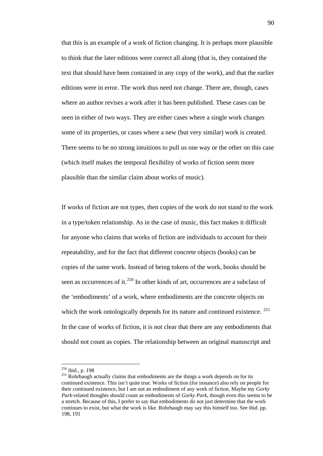that this is an example of a work of fiction changing. It is perhaps more plausible to think that the later editions were correct all along (that is, they contained the text that should have been contained in any copy of the work), and that the earlier editions were in error. The work thus need not change. There are, though, cases where an author revises a work after it has been published. These cases can be seen in either of two ways. They are either cases where a single work changes some of its properties, or cases where a new (but very similar) work is created. There seems to be no strong intuitions to pull us one way or the other on this case (which itself makes the temporal flexibility of works of fiction seem more plausible than the similar claim about works of music).

If works of fiction are not types, then copies of the work do not stand to the work in a type/token relationship. As in the case of music, this fact makes it difficult for anyone who claims that works of fiction are individuals to account for their repeatability, and for the fact that different concrete objects (books) can be copies of the same work. Instead of being tokens of the work, books should be seen as occurrences of it.<sup>[250](#page-91-0)</sup> In other kinds of art, occurrences are a subclass of the 'embodiments' of a work, where embodiments are the concrete objects on which the work ontologically depends for its nature and continued existence. <sup>[251](#page-91-1)</sup> In the case of works of fiction, it is not clear that there are any embodiments that should not count as copies. The relationship between an original manuscript and

<span id="page-91-0"></span> $250$  ibid., p. 198

<span id="page-91-1"></span><sup>&</sup>lt;sup>251</sup> Rohrbaugh actually claims that embodiments are the things a work depends on for its continued existence. This isn't quite true. Works of fiction (for instance) also rely on people for their continued existence, but I am not an embodiment of any work of fiction. Maybe my *Gorky Park*-related thoughts should count as embodiments of *Gorky Park*, though even this seems to be a stretch. Because of this, I prefer to say that embodiments do not just determine that the work continues to exist, but what the work is like. Rohrbaugh may say this himself too. See ibid. pp. 198, 191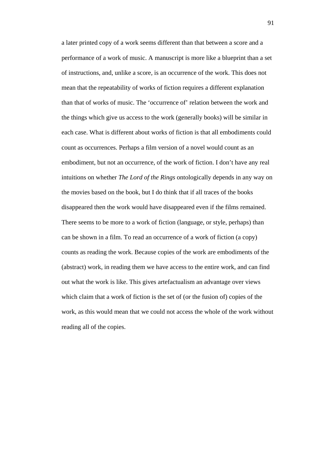a later printed copy of a work seems different than that between a score and a performance of a work of music. A manuscript is more like a blueprint than a set of instructions, and, unlike a score, is an occurrence of the work. This does not mean that the repeatability of works of fiction requires a different explanation than that of works of music. The 'occurrence of' relation between the work and the things which give us access to the work (generally books) will be similar in each case. What is different about works of fiction is that all embodiments could count as occurrences. Perhaps a film version of a novel would count as an embodiment, but not an occurrence, of the work of fiction. I don't have any real intuitions on whether *The Lord of the Rings* ontologically depends in any way on the movies based on the book, but I do think that if all traces of the books disappeared then the work would have disappeared even if the films remained. There seems to be more to a work of fiction (language, or style, perhaps) than can be shown in a film. To read an occurrence of a work of fiction (a copy) counts as reading the work. Because copies of the work are embodiments of the (abstract) work, in reading them we have access to the entire work, and can find out what the work is like. This gives artefactualism an advantage over views which claim that a work of fiction is the set of (or the fusion of) copies of the work, as this would mean that we could not access the whole of the work without reading all of the copies.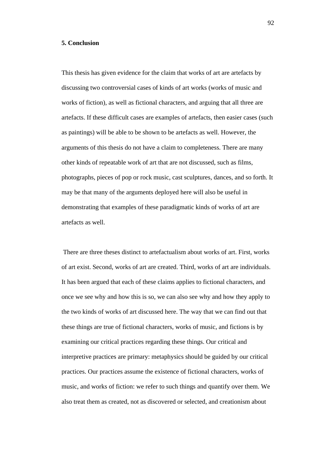### **5. Conclusion**

This thesis has given evidence for the claim that works of art are artefacts by discussing two controversial cases of kinds of art works (works of music and works of fiction), as well as fictional characters, and arguing that all three are artefacts. If these difficult cases are examples of artefacts, then easier cases (such as paintings) will be able to be shown to be artefacts as well. However, the arguments of this thesis do not have a claim to completeness. There are many other kinds of repeatable work of art that are not discussed, such as films, photographs, pieces of pop or rock music, cast sculptures, dances, and so forth. It may be that many of the arguments deployed here will also be useful in demonstrating that examples of these paradigmatic kinds of works of art are artefacts as well.

There are three theses distinct to artefactualism about works of art. First, works of art exist. Second, works of art are created. Third, works of art are individuals. It has been argued that each of these claims applies to fictional characters, and once we see why and how this is so, we can also see why and how they apply to the two kinds of works of art discussed here. The way that we can find out that these things are true of fictional characters, works of music, and fictions is by examining our critical practices regarding these things. Our critical and interpretive practices are primary: metaphysics should be guided by our critical practices. Our practices assume the existence of fictional characters, works of music, and works of fiction: we refer to such things and quantify over them. We also treat them as created, not as discovered or selected, and creationism about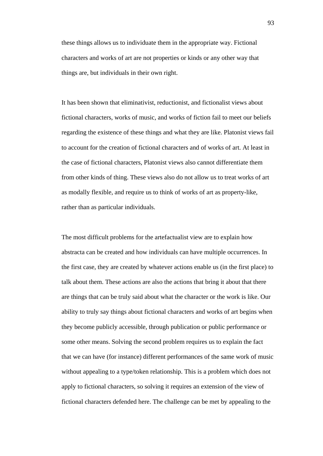these things allows us to individuate them in the appropriate way. Fictional characters and works of art are not properties or kinds or any other way that things are, but individuals in their own right.

It has been shown that eliminativist, reductionist, and fictionalist views about fictional characters, works of music, and works of fiction fail to meet our beliefs regarding the existence of these things and what they are like. Platonist views fail to account for the creation of fictional characters and of works of art. At least in the case of fictional characters, Platonist views also cannot differentiate them from other kinds of thing. These views also do not allow us to treat works of art as modally flexible, and require us to think of works of art as property-like, rather than as particular individuals.

The most difficult problems for the artefactualist view are to explain how abstracta can be created and how individuals can have multiple occurrences. In the first case, they are created by whatever actions enable us (in the first place) to talk about them. These actions are also the actions that bring it about that there are things that can be truly said about what the character or the work is like. Our ability to truly say things about fictional characters and works of art begins when they become publicly accessible, through publication or public performance or some other means. Solving the second problem requires us to explain the fact that we can have (for instance) different performances of the same work of music without appealing to a type/token relationship. This is a problem which does not apply to fictional characters, so solving it requires an extension of the view of fictional characters defended here. The challenge can be met by appealing to the

93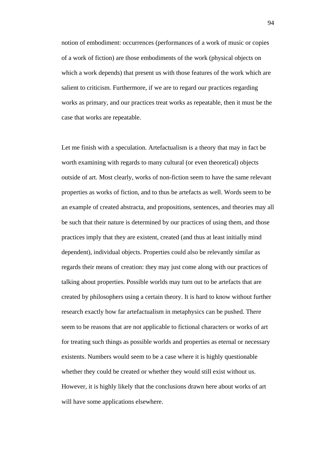notion of embodiment: occurrences (performances of a work of music or copies of a work of fiction) are those embodiments of the work (physical objects on which a work depends) that present us with those features of the work which are salient to criticism. Furthermore, if we are to regard our practices regarding works as primary, and our practices treat works as repeatable, then it must be the case that works are repeatable.

Let me finish with a speculation. Artefactualism is a theory that may in fact be worth examining with regards to many cultural (or even theoretical) objects outside of art. Most clearly, works of non-fiction seem to have the same relevant properties as works of fiction, and to thus be artefacts as well. Words seem to be an example of created abstracta, and propositions, sentences, and theories may all be such that their nature is determined by our practices of using them, and those practices imply that they are existent, created (and thus at least initially mind dependent), individual objects. Properties could also be relevantly similar as regards their means of creation: they may just come along with our practices of talking about properties. Possible worlds may turn out to be artefacts that are created by philosophers using a certain theory. It is hard to know without further research exactly how far artefactualism in metaphysics can be pushed. There seem to be reasons that are not applicable to fictional characters or works of art for treating such things as possible worlds and properties as eternal or necessary existents. Numbers would seem to be a case where it is highly questionable whether they could be created or whether they would still exist without us. However, it is highly likely that the conclusions drawn here about works of art will have some applications elsewhere.

94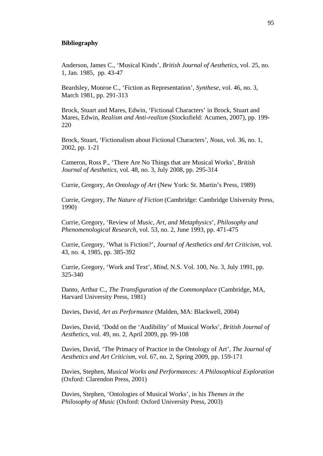## **Bibliography**

Anderson, James C., 'Musical Kinds', *British Journal of Aesthetics*, vol. 25, no. 1, Jan. 1985, pp. 43-47

Beardsley, Monroe C., 'Fiction as Representation', *Synthese*, vol. 46, no. 3, March 1981, pp. 291-313

Brock, Stuart and Mares, Edwin, 'Fictional Characters' in Brock, Stuart and Mares, Edwin, *Realism and Anti-realism* (Stocksfield: Acumen, 2007), pp. 199- 220

Brock, Stuart, 'Fictionalism about Fictional Characters', *Nous*, vol. 36, no. 1, 2002, pp. 1-21

Cameron, Ross P., 'There Are No Things that are Musical Works', *British Journal of Aesthetics*, vol. 48, no. 3, July 2008, pp. 295-314

Currie, Gregory, *An Ontology of Art* (New York: St. Martin's Press, 1989)

Currie, Gregory, *The Nature of Fiction* (Cambridge: Cambridge University Press, 1990)

Currie, Gregory, 'Review of *Music, Art, and Metaphysics*', *Philosophy and Phenomenological Research*, vol. 53, no. 2, June 1993, pp. 471-475

Currie, Gregory, 'What is Fiction?', *Journal of Aesthetics and Art Criticism*, vol. 43, no. 4, 1985, pp. 385-392

Currie, Gregory, 'Work and Text', *Mind*, N.S. Vol. 100, No. 3, July 1991, pp. 325-340

Danto, Arthur C., *The Transfiguration of the Commonplace* (Cambridge, MA, Harvard University Press, 1981)

Davies, David, *Art as Performance* (Malden, MA: Blackwell, 2004)

Davies, David, 'Dodd on the 'Audibility' of Musical Works', *British Journal of Aesthetics*, vol. 49, no. 2, April 2009, pp. 99-108

Davies, David, 'The Primacy of Practice in the Ontology of Art', *The Journal of Aesthetics and Art Criticism*, vol. 67, no. 2, Spring 2009, pp. 159-171

Davies, Stephen, *Musical Works and Performances: A Philosophical Exploration* (Oxford: Clarendon Press, 2001)

Davies, Stephen, 'Ontologies of Musical Works', in his *Themes in the Philosophy of Music* (Oxford: Oxford University Press, 2003)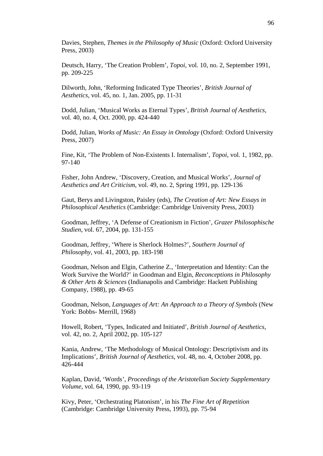Davies, Stephen, *Themes in the Philosophy of Music* (Oxford: Oxford University Press, 2003)

Deutsch, Harry, 'The Creation Problem', *Topoi*, vol. 10, no. 2, September 1991, pp. 209-225

Dilworth, John, 'Reforming Indicated Type Theories', *British Journal of Aesthetics*, vol. 45, no. 1, Jan. 2005, pp. 11-31

Dodd, Julian, 'Musical Works as Eternal Types', *British Journal of Aesthetics*, vol. 40, no. 4, Oct. 2000, pp. 424-440

Dodd, Julian, *Works of Music: An Essay in Ontology* (Oxford: Oxford University Press, 2007)

Fine, Kit, 'The Problem of Non-Existents I. Internalism', *Topoi*, vol. 1, 1982, pp. 97-140

Fisher, John Andrew, 'Discovery, Creation, and Musical Works', *Journal of Aesthetics and Art Criticism*, vol. 49, no. 2, Spring 1991, pp. 129-136

Gaut, Berys and Livingston, Paisley (eds), *The Creation of Art: New Essays in Philosophical Aesthetics* (Cambridge: Cambridge University Press, 2003)

Goodman, Jeffrey, 'A Defense of Creationism in Fiction', *Grazer Philosophische Studien*, vol. 67, 2004, pp. 131-155

Goodman, Jeffrey, 'Where is Sherlock Holmes?', *Southern Journal of Philosophy*, vol. 41, 2003, pp. 183-198

Goodman, Nelson and Elgin, Catherine Z., 'Interpretation and Identity: Can the Work Survive the World?' in Goodman and Elgin, *Reconceptions in Philosophy & Other Arts & Sciences* (Indianapolis and Cambridge: Hackett Publishing Company, 1988), pp. 49-65

Goodman, Nelson, *Languages of Art: An Approach to a Theory of Symbols* (New York: Bobbs- Merrill, 1968)

Howell, Robert, 'Types, Indicated and Initiated', *British Journal of Aesthetics*, vol. 42, no. 2, April 2002, pp. 105-127

Kania, Andrew, 'The Methodology of Musical Ontology: Descriptivism and its Implications', *British Journal of Aesthetics*, vol. 48, no. 4, October 2008, pp. 426-444

Kaplan, David, 'Words', *Proceedings of the Aristotelian Society Supplementary Volume*, vol. 64, 1990, pp. 93-119

Kivy, Peter, 'Orchestrating Platonism', in his *The Fine Art of Repetition* (Cambridge: Cambridge University Press, 1993), pp. 75-94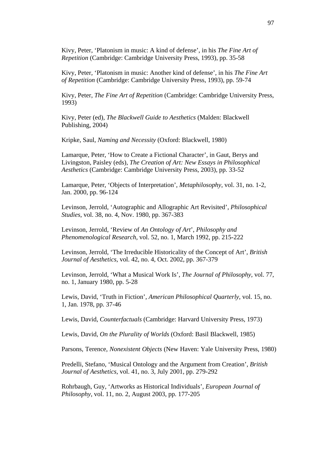Kivy, Peter, 'Platonism in music: A kind of defense', in his *The Fine Art of Repetition* (Cambridge: Cambridge University Press, 1993), pp. 35-58

Kivy, Peter, 'Platonism in music: Another kind of defense', in his *The Fine Art of Repetition* (Cambridge: Cambridge University Press, 1993), pp. 59-74

Kivy, Peter, *The Fine Art of Repetition* (Cambridge: Cambridge University Press, 1993)

Kivy, Peter (ed), *The Blackwell Guide to Aesthetics* (Malden: Blackwell Publishing, 2004)

Kripke, Saul, *Naming and Necessity* (Oxford: Blackwell, 1980)

Lamarque, Peter, 'How to Create a Fictional Character', in Gaut, Berys and Livingston, Paisley (eds), *The Creation of Art: New Essays in Philosophical Aesthetics* (Cambridge: Cambridge University Press, 2003), pp. 33-52

Lamarque, Peter, 'Objects of Interpretation', *Metaphilosophy*, vol. 31, no. 1-2, Jan. 2000, pp. 96-124

Levinson, Jerrold, 'Autographic and Allographic Art Revisited', *Philosophical Studies*, vol. 38, no. 4, Nov. 1980, pp. 367-383

Levinson, Jerrold, 'Review of *An Ontology of Art*', *Philosophy and Phenomenological Research*, vol. 52, no. 1, March 1992, pp. 215-222

Levinson, Jerrold, 'The Irreducible Historicality of the Concept of Art', *British Journal of Aesthetics*, vol. 42, no. 4, Oct. 2002, pp. 367-379

Levinson, Jerrold, 'What a Musical Work Is', *The Journal of Philosophy*, vol. 77, no. 1, January 1980, pp. 5-28

Lewis, David, 'Truth in Fiction', *American Philosophical Quarterly*, vol. 15, no. 1, Jan. 1978, pp. 37-46

Lewis, David, *Counterfactuals* (Cambridge: Harvard University Press, 1973)

Lewis, David, *On the Plurality of Worlds* (Oxford: Basil Blackwell, 1985)

Parsons, Terence, *Nonexistent Objects* (New Haven: Yale University Press, 1980)

Predelli, Stefano, 'Musical Ontology and the Argument from Creation', *British Journal of Aesthetics*, vol. 41, no. 3, July 2001, pp. 279-292

Rohrbaugh, Guy, 'Artworks as Historical Individuals', *European Journal of Philosophy*, vol. 11, no. 2, August 2003, pp. 177-205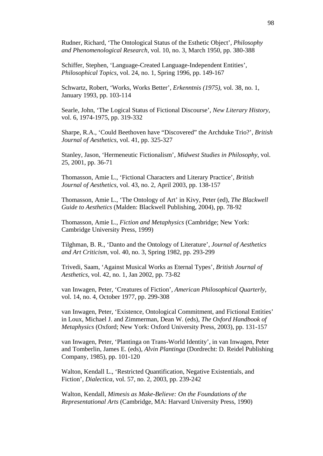Rudner, Richard, 'The Ontological Status of the Esthetic Object', *Philosophy and Phenomenological Research*, vol. 10, no. 3, March 1950, pp. 380-388

Schiffer, Stephen, 'Language-Created Language-Independent Entities', *Philosophical Topics*, vol. 24, no. 1, Spring 1996, pp. 149-167

Schwartz, Robert, 'Works, Works Better', *Erkenntnis (1975)*, vol. 38, no. 1, January 1993, pp. 103-114

Searle, John, 'The Logical Status of Fictional Discourse', *New Literary History*, vol. 6, 1974-1975, pp. 319-332

Sharpe, R.A., 'Could Beethoven have "Discovered" the Archduke Trio?', *British Journal of Aesthetics*, vol. 41, pp. 325-327

Stanley, Jason, 'Hermeneutic Fictionalism', *Midwest Studies in Philosophy*, vol. 25, 2001, pp. 36-71

Thomasson, Amie L., 'Fictional Characters and Literary Practice', *British Journal of Aesthetics*, vol. 43, no. 2, April 2003, pp. 138-157

Thomasson, Amie L., 'The Ontology of Art' in Kivy, Peter (ed), *The Blackwell Guide to Aesthetics* (Malden: Blackwell Publishing, 2004), pp. 78-92

Thomasson, Amie L., *Fiction and Metaphysics* (Cambridge; New York: Cambridge University Press, 1999)

Tilghman, B. R., 'Danto and the Ontology of Literature', *Journal of Aesthetics and Art Criticism*, vol. 40, no. 3, Spring 1982, pp. 293-299

Trivedi, Saam, 'Against Musical Works as Eternal Types', *British Journal of Aesthetics*, vol. 42, no. 1, Jan 2002, pp. 73-82

van Inwagen, Peter, 'Creatures of Fiction', *American Philosophical Quarterly*, vol. 14, no. 4, October 1977, pp. 299-308

van Inwagen, Peter, 'Existence, Ontological Commitment, and Fictional Entities' in Loux, Michael J. and Zimmerman, Dean W. (eds), *The Oxford Handbook of Metaphysics* (Oxford; New York: Oxford University Press, 2003), pp. 131-157

van Inwagen, Peter, 'Plantinga on Trans-World Identity', in van Inwagen, Peter and Tomberlin, James E. (eds), *Alvin Plantinga* (Dordrecht: D. Reidel Publishing Company, 1985), pp. 101-120

Walton, Kendall L., 'Restricted Quantification, Negative Existentials, and Fiction', *Dialectica*, vol. 57, no. 2, 2003, pp. 239-242

Walton, Kendall, *Mimesis as Make-Believe: On the Foundations of the Representational Arts* (Cambridge, MA: Harvard University Press, 1990)